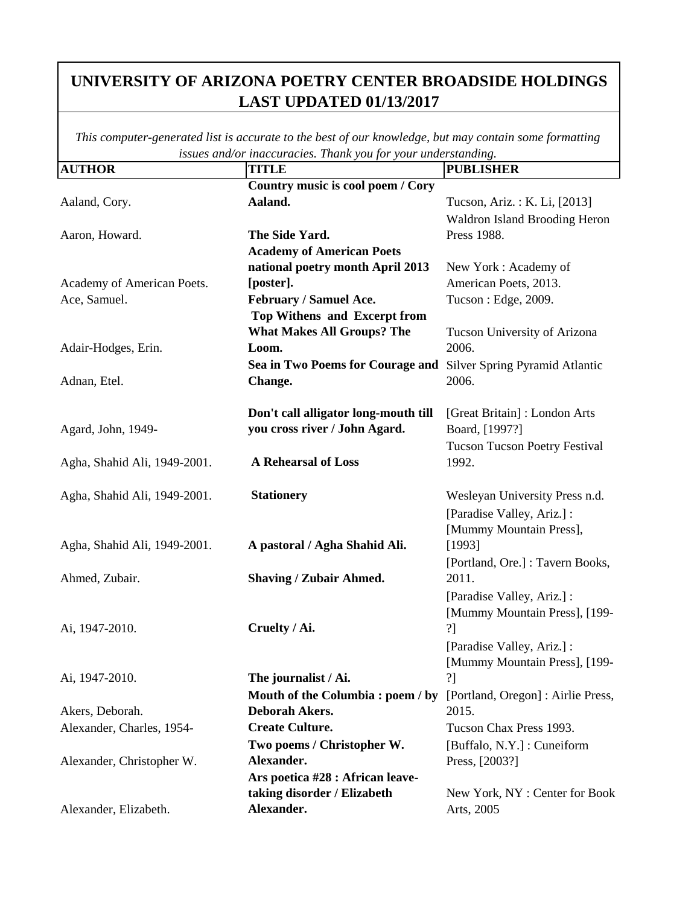| <b>AUTHOR</b>                | issues ana/or maccuracies. Thank you jor your unacristantum s.<br><b>TITLE</b> | <b>PUBLISHER</b>                     |
|------------------------------|--------------------------------------------------------------------------------|--------------------------------------|
|                              | Country music is cool poem / Cory                                              |                                      |
| Aaland, Cory.                | Aaland.                                                                        | Tucson, Ariz.: K. Li, [2013]         |
|                              |                                                                                | <b>Waldron Island Brooding Heron</b> |
| Aaron, Howard.               | The Side Yard.                                                                 | Press 1988.                          |
|                              | <b>Academy of American Poets</b>                                               |                                      |
|                              | national poetry month April 2013                                               | New York: Academy of                 |
| Academy of American Poets.   | [poster].                                                                      | American Poets, 2013.                |
| Ace, Samuel.                 | February / Samuel Ace.                                                         | Tucson: Edge, 2009.                  |
|                              | Top Withens and Excerpt from                                                   |                                      |
|                              | <b>What Makes All Groups? The</b>                                              | Tucson University of Arizona         |
| Adair-Hodges, Erin.          | Loom.                                                                          | 2006.                                |
|                              | Sea in Two Poems for Courage and                                               | Silver Spring Pyramid Atlantic       |
| Adnan, Etel.                 | Change.                                                                        | 2006.                                |
|                              |                                                                                |                                      |
|                              | Don't call alligator long-mouth till                                           | [Great Britain]: London Arts         |
| Agard, John, 1949-           | you cross river / John Agard.                                                  | Board, [1997?]                       |
|                              |                                                                                | <b>Tucson Tucson Poetry Festival</b> |
| Agha, Shahid Ali, 1949-2001. | A Rehearsal of Loss                                                            | 1992.                                |
|                              |                                                                                |                                      |
| Agha, Shahid Ali, 1949-2001. | <b>Stationery</b>                                                              | Wesleyan University Press n.d.       |
|                              |                                                                                | [Paradise Valley, Ariz.] :           |
|                              |                                                                                | [Mummy Mountain Press],              |
| Agha, Shahid Ali, 1949-2001. | A pastoral / Agha Shahid Ali.                                                  | [1993]                               |
|                              |                                                                                | [Portland, Ore.] : Tavern Books,     |
| Ahmed, Zubair.               | <b>Shaving / Zubair Ahmed.</b>                                                 | 2011.                                |
|                              |                                                                                | [Paradise Valley, Ariz.] :           |
|                              |                                                                                | [Mummy Mountain Press], [199-        |
| Ai, 1947-2010.               | Cruelty / Ai.                                                                  | ?]                                   |
|                              |                                                                                | [Paradise Valley, Ariz.] :           |
|                              |                                                                                | [Mummy Mountain Press], [199-        |
| Ai, 1947-2010.               | The journalist / Ai.                                                           | ?]                                   |
|                              | Mouth of the Columbia: poem / by                                               | [Portland, Oregon] : Airlie Press,   |
| Akers, Deborah.              | <b>Deborah Akers.</b>                                                          | 2015.                                |
| Alexander, Charles, 1954-    | <b>Create Culture.</b>                                                         | Tucson Chax Press 1993.              |
|                              | Two poems / Christopher W.                                                     | [Buffalo, N.Y.] : Cuneiform          |
| Alexander, Christopher W.    | Alexander.                                                                     | Press, [2003?]                       |
|                              | Ars poetica #28 : African leave-                                               |                                      |
|                              | taking disorder / Elizabeth                                                    | New York, NY: Center for Book        |
| Alexander, Elizabeth.        | Alexander.                                                                     | Arts, 2005                           |
|                              |                                                                                |                                      |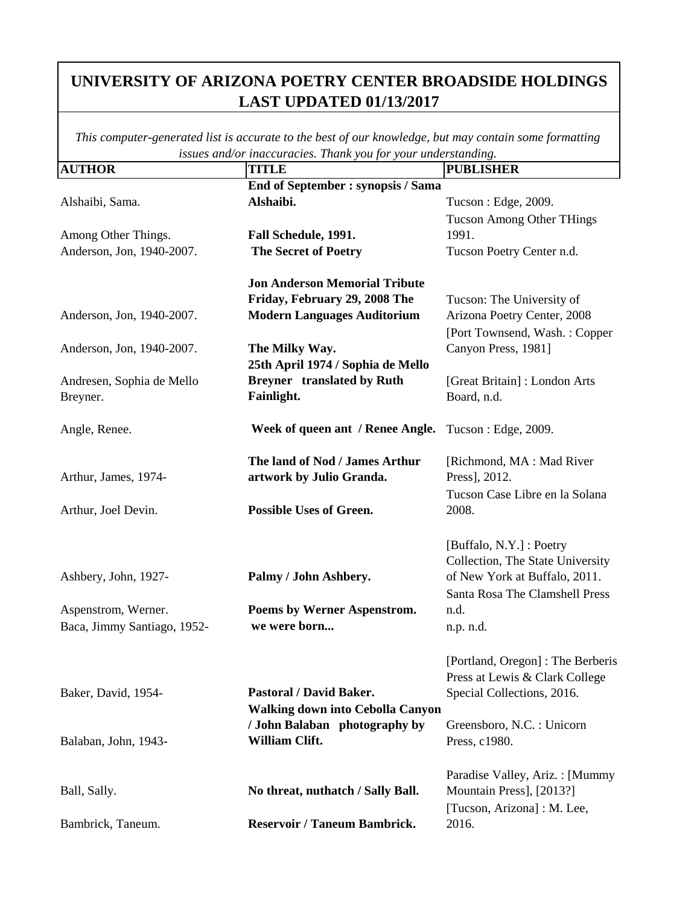| <b>AUTHOR</b>               | issues ana/or inaccuracies. Thank you jor your unacristanam <sub>8</sub> .<br><b>TITLE</b> | <b>PUBLISHER</b>                  |
|-----------------------------|--------------------------------------------------------------------------------------------|-----------------------------------|
|                             | End of September : synopsis / Sama                                                         |                                   |
| Alshaibi, Sama.             | Alshaibi.                                                                                  | Tucson: Edge, 2009.               |
|                             |                                                                                            | <b>Tucson Among Other THings</b>  |
| Among Other Things.         | Fall Schedule, 1991.                                                                       | 1991.                             |
| Anderson, Jon, 1940-2007.   | <b>The Secret of Poetry</b>                                                                | Tucson Poetry Center n.d.         |
|                             |                                                                                            |                                   |
|                             | <b>Jon Anderson Memorial Tribute</b>                                                       |                                   |
|                             | Friday, February 29, 2008 The                                                              | Tucson: The University of         |
| Anderson, Jon, 1940-2007.   | <b>Modern Languages Auditorium</b>                                                         | Arizona Poetry Center, 2008       |
|                             |                                                                                            | [Port Townsend, Wash.: Copper     |
| Anderson, Jon, 1940-2007.   | The Milky Way.                                                                             | Canyon Press, 1981]               |
|                             | 25th April 1974 / Sophia de Mello                                                          |                                   |
| Andresen, Sophia de Mello   | <b>Breyner</b> translated by Ruth                                                          | [Great Britain]: London Arts      |
| Breyner.                    | Fainlight.                                                                                 | Board, n.d.                       |
|                             |                                                                                            |                                   |
| Angle, Renee.               | Week of queen ant / Renee Angle. Tucson: Edge, 2009.                                       |                                   |
|                             |                                                                                            |                                   |
|                             | The land of Nod / James Arthur                                                             | [Richmond, MA : Mad River         |
| Arthur, James, 1974-        | artwork by Julio Granda.                                                                   | Press], 2012.                     |
|                             |                                                                                            | Tucson Case Libre en la Solana    |
| Arthur, Joel Devin.         | <b>Possible Uses of Green.</b>                                                             | 2008.                             |
|                             |                                                                                            |                                   |
|                             |                                                                                            | [Buffalo, N.Y.] : Poetry          |
|                             |                                                                                            | Collection, The State University  |
| Ashbery, John, 1927-        | Palmy / John Ashbery.                                                                      | of New York at Buffalo, 2011.     |
|                             |                                                                                            | Santa Rosa The Clamshell Press    |
| Aspenstrom, Werner.         | Poems by Werner Aspenstrom.                                                                | n.d.                              |
| Baca, Jimmy Santiago, 1952- | we were born                                                                               | n.p. n.d.                         |
|                             |                                                                                            |                                   |
|                             |                                                                                            | [Portland, Oregon] : The Berberis |
|                             |                                                                                            | Press at Lewis & Clark College    |
| Baker, David, 1954-         | <b>Pastoral / David Baker.</b>                                                             | Special Collections, 2016.        |
|                             | <b>Walking down into Cebolla Canyon</b>                                                    |                                   |
|                             | / John Balaban photography by                                                              | Greensboro, N.C. : Unicorn        |
| Balaban, John, 1943-        | William Clift.                                                                             | Press, c1980.                     |
|                             |                                                                                            |                                   |
|                             |                                                                                            | Paradise Valley, Ariz. : [Mummy]  |
| Ball, Sally.                | No threat, nuthatch / Sally Ball.                                                          | Mountain Press], [2013?]          |
|                             |                                                                                            | [Tucson, Arizona] : M. Lee,       |
| Bambrick, Taneum.           | <b>Reservoir / Taneum Bambrick.</b>                                                        | 2016.                             |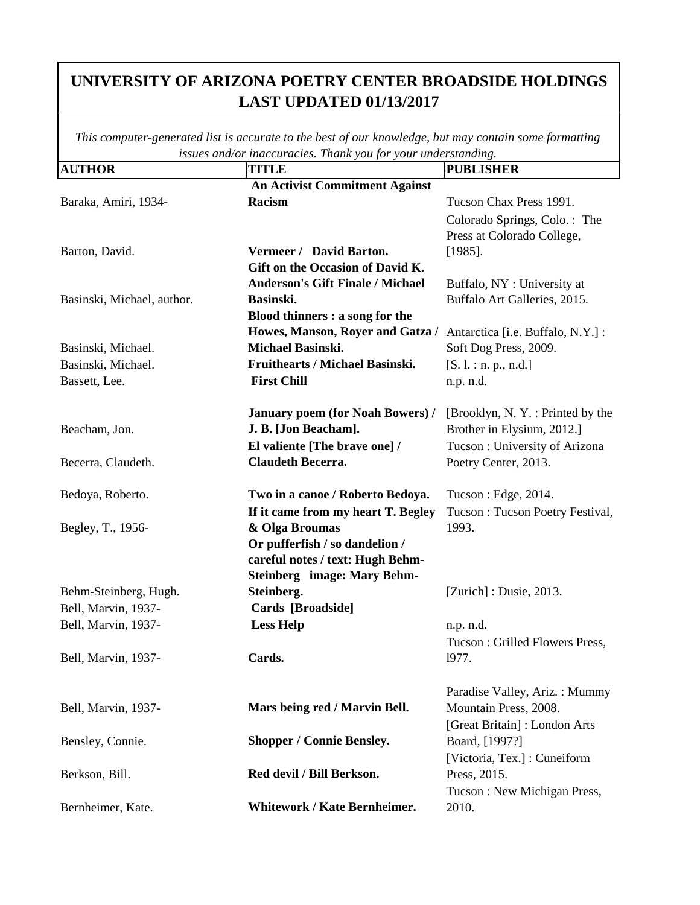|                            | issues ana/or maccuracies. Thank you for your understanding. |                                   |
|----------------------------|--------------------------------------------------------------|-----------------------------------|
| <b>AUTHOR</b>              | <b>TITLE</b>                                                 | <b>PUBLISHER</b>                  |
|                            | <b>An Activist Commitment Against</b>                        |                                   |
| Baraka, Amiri, 1934-       | Racism                                                       | Tucson Chax Press 1991.           |
|                            |                                                              | Colorado Springs, Colo.: The      |
|                            |                                                              | Press at Colorado College,        |
| Barton, David.             | Vermeer / David Barton.                                      | $[1985]$ .                        |
|                            | Gift on the Occasion of David K.                             |                                   |
|                            | <b>Anderson's Gift Finale / Michael</b>                      | Buffalo, NY : University at       |
| Basinski, Michael, author. | Basinski.                                                    | Buffalo Art Galleries, 2015.      |
|                            | Blood thinners : a song for the                              |                                   |
|                            | Howes, Manson, Royer and Gatza /                             | Antarctica [i.e. Buffalo, N.Y.] : |
| Basinski, Michael.         | Michael Basinski.                                            | Soft Dog Press, 2009.             |
| Basinski, Michael.         | Fruithearts / Michael Basinski.                              | [S. l.: n. p., n.d.]              |
| Bassett, Lee.              | <b>First Chill</b>                                           | n.p. n.d.                         |
|                            |                                                              |                                   |
|                            | <b>January poem (for Noah Bowers) /</b>                      | [Brooklyn, N.Y.: Printed by the   |
| Beacham, Jon.              | J. B. [Jon Beacham].                                         | Brother in Elysium, 2012.]        |
|                            | El valiente [The brave one] /                                | Tucson: University of Arizona     |
| Becerra, Claudeth.         | <b>Claudeth Becerra.</b>                                     | Poetry Center, 2013.              |
|                            |                                                              |                                   |
| Bedoya, Roberto.           | Two in a canoe / Roberto Bedoya.                             | Tucson : Edge, 2014.              |
|                            | If it came from my heart T. Begley                           | Tucson: Tucson Poetry Festival,   |
| Begley, T., 1956-          | & Olga Broumas                                               | 1993.                             |
|                            | Or pufferfish / so dandelion /                               |                                   |
|                            | careful notes / text: Hugh Behm-                             |                                   |
|                            | <b>Steinberg</b> image: Mary Behm-                           |                                   |
| Behm-Steinberg, Hugh.      | Steinberg.                                                   | $[Zurich]$ : Dusie, 2013.         |
| Bell, Marvin, 1937-        | Cards [Broadside]                                            |                                   |
| Bell, Marvin, 1937-        | <b>Less Help</b>                                             | n.p. n.d.                         |
|                            |                                                              | Tucson: Grilled Flowers Press,    |
| Bell, Marvin, 1937-        | Cards.                                                       | 1977.                             |
|                            |                                                              |                                   |
|                            |                                                              | Paradise Valley, Ariz.: Mummy     |
| Bell, Marvin, 1937-        | Mars being red / Marvin Bell.                                | Mountain Press, 2008.             |
|                            |                                                              | [Great Britain]: London Arts      |
| Bensley, Connie.           | <b>Shopper / Connie Bensley.</b>                             | Board, [1997?]                    |
|                            |                                                              | [Victoria, Tex.] : Cuneiform      |
| Berkson, Bill.             | Red devil / Bill Berkson.                                    | Press, 2015.                      |
|                            |                                                              | Tucson: New Michigan Press,       |
| Bernheimer, Kate.          | <b>Whitework / Kate Bernheimer.</b>                          | 2010.                             |
|                            |                                                              |                                   |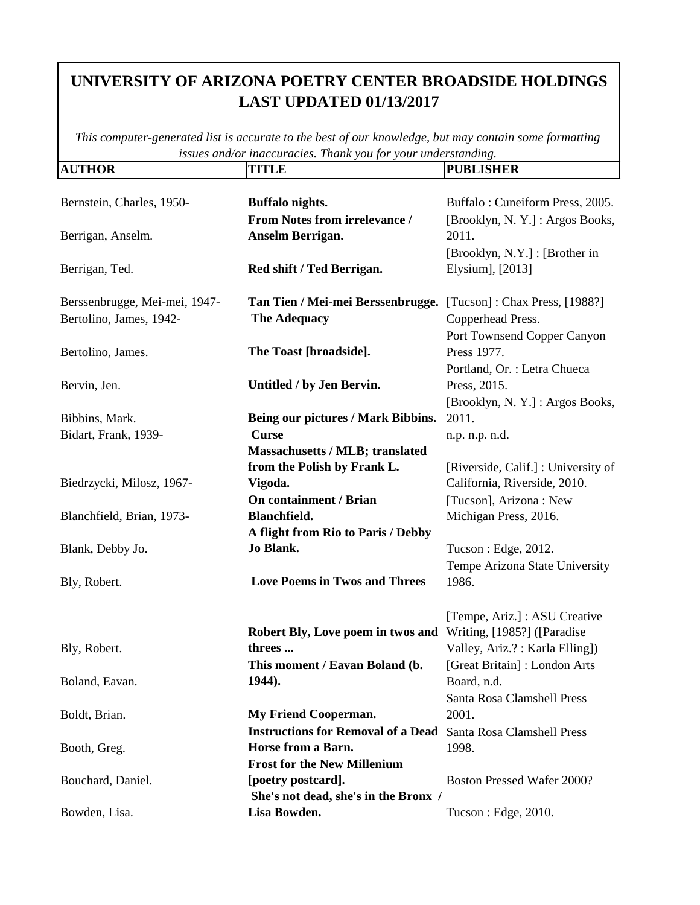| <b>AUTHOR</b>                 | <b>TITLE</b>                                                         | <b>PUBLISHER</b>                    |
|-------------------------------|----------------------------------------------------------------------|-------------------------------------|
|                               |                                                                      |                                     |
| Bernstein, Charles, 1950-     | Buffalo nights.                                                      | Buffalo: Cuneiform Press, 2005.     |
|                               | From Notes from irrelevance /                                        | [Brooklyn, N.Y.]: Argos Books,      |
| Berrigan, Anselm.             | Anselm Berrigan.                                                     | 2011.                               |
|                               |                                                                      | [Brooklyn, N.Y.] : [Brother in      |
| Berrigan, Ted.                | Red shift / Ted Berrigan.                                            | Elysium], [2013]                    |
|                               |                                                                      |                                     |
| Berssenbrugge, Mei-mei, 1947- | Tan Tien / Mei-mei Berssenbrugge.                                    | [Tucson]: Chax Press, [1988?]       |
| Bertolino, James, 1942-       | <b>The Adequacy</b>                                                  | Copperhead Press.                   |
|                               |                                                                      | Port Townsend Copper Canyon         |
| Bertolino, James.             | The Toast [broadside].                                               | Press 1977.                         |
|                               |                                                                      | Portland, Or. : Letra Chueca        |
| Bervin, Jen.                  | Untitled / by Jen Bervin.                                            | Press, 2015.                        |
|                               |                                                                      | [Brooklyn, N.Y.]: Argos Books,      |
| Bibbins, Mark.                | Being our pictures / Mark Bibbins.                                   | 2011.                               |
| Bidart, Frank, 1939-          | <b>Curse</b>                                                         | n.p. n.p. n.d.                      |
|                               | Massachusetts / MLB; translated                                      |                                     |
|                               | from the Polish by Frank L.                                          | [Riverside, Calif.] : University of |
| Biedrzycki, Milosz, 1967-     | Vigoda.                                                              | California, Riverside, 2010.        |
|                               | <b>On containment / Brian</b>                                        | [Tucson], Arizona: New              |
| Blanchfield, Brian, 1973-     | Blanchfield.                                                         | Michigan Press, 2016.               |
|                               | A flight from Rio to Paris / Debby                                   |                                     |
| Blank, Debby Jo.              | Jo Blank.                                                            | Tucson: Edge, 2012.                 |
|                               |                                                                      | Tempe Arizona State University      |
| Bly, Robert.                  | <b>Love Poems in Twos and Threes</b>                                 | 1986.                               |
|                               |                                                                      |                                     |
|                               |                                                                      | [Tempe, Ariz.] : ASU Creative       |
|                               | Robert Bly, Love poem in twos and                                    | Writing, [1985?] ([Paradise]        |
| Bly, Robert.                  | threes                                                               | Valley, Ariz.?: Karla Elling])      |
|                               | This moment / Eavan Boland (b.                                       | [Great Britain]: London Arts        |
| Boland, Eavan.                | 1944).                                                               | Board, n.d.                         |
|                               |                                                                      | Santa Rosa Clamshell Press          |
| Boldt, Brian.                 | <b>My Friend Cooperman.</b>                                          | 2001.                               |
|                               | <b>Instructions for Removal of a Dead</b> Santa Rosa Clamshell Press |                                     |
| Booth, Greg.                  | Horse from a Barn.                                                   | 1998.                               |
|                               | <b>Frost for the New Millenium</b>                                   |                                     |
| Bouchard, Daniel.             | [poetry postcard].                                                   | Boston Pressed Wafer 2000?          |
|                               | She's not dead, she's in the Bronx /                                 |                                     |
| Bowden, Lisa.                 | Lisa Bowden.                                                         | Tucson: Edge, 2010.                 |
|                               |                                                                      |                                     |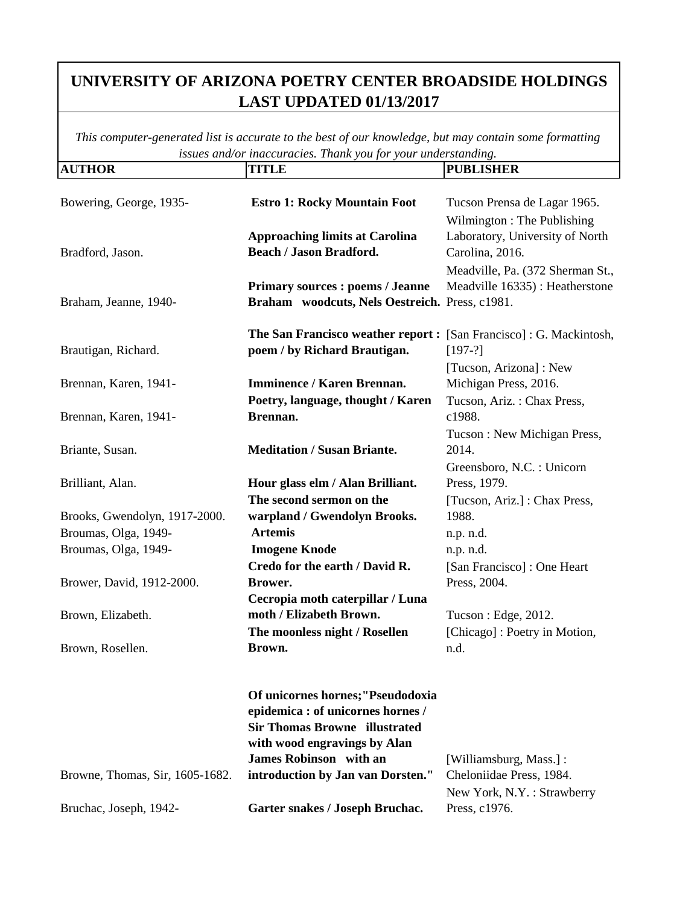| <b>AUTHOR</b>                   | <b>TITLE</b>                                                      | <b>PUBLISHER</b>                 |
|---------------------------------|-------------------------------------------------------------------|----------------------------------|
|                                 |                                                                   |                                  |
| Bowering, George, 1935-         | <b>Estro 1: Rocky Mountain Foot</b>                               | Tucson Prensa de Lagar 1965.     |
|                                 |                                                                   | Wilmington: The Publishing       |
|                                 | <b>Approaching limits at Carolina</b>                             | Laboratory, University of North  |
| Bradford, Jason.                | <b>Beach / Jason Bradford.</b>                                    | Carolina, 2016.                  |
|                                 |                                                                   | Meadville, Pa. (372 Sherman St., |
|                                 | <b>Primary sources : poems / Jeanne</b>                           | Meadville 16335) : Heatherstone  |
| Braham, Jeanne, 1940-           | Braham woodcuts, Nels Oestreich. Press, c1981.                    |                                  |
|                                 |                                                                   |                                  |
|                                 | The San Francisco weather report: [San Francisco]: G. Mackintosh, |                                  |
| Brautigan, Richard.             | poem / by Richard Brautigan.                                      | $[197-?]$                        |
|                                 |                                                                   | [Tucson, Arizona]: New           |
| Brennan, Karen, 1941-           | <b>Imminence / Karen Brennan.</b>                                 | Michigan Press, 2016.            |
|                                 | Poetry, language, thought / Karen                                 | Tucson, Ariz.: Chax Press,       |
| Brennan, Karen, 1941-           | Brennan.                                                          | c1988.                           |
|                                 |                                                                   | Tucson: New Michigan Press,      |
| Briante, Susan.                 | <b>Meditation / Susan Briante.</b>                                | 2014.                            |
|                                 |                                                                   | Greensboro, N.C. : Unicorn       |
| Brilliant, Alan.                | Hour glass elm / Alan Brilliant.                                  | Press, 1979.                     |
|                                 | The second sermon on the                                          | [Tucson, Ariz.] : Chax Press,    |
| Brooks, Gwendolyn, 1917-2000.   | warpland / Gwendolyn Brooks.                                      | 1988.                            |
| Broumas, Olga, 1949-            | <b>Artemis</b>                                                    | n.p. n.d.                        |
| Broumas, Olga, 1949-            | <b>Imogene Knode</b>                                              | n.p. n.d.                        |
|                                 | Credo for the earth / David R.                                    | [San Francisco]: One Heart       |
| Brower, David, 1912-2000.       | Brower.                                                           | Press, 2004.                     |
|                                 | Cecropia moth caterpillar / Luna                                  |                                  |
| Brown, Elizabeth.               | moth / Elizabeth Brown.                                           | Tucson : Edge, 2012.             |
|                                 | The moonless night / Rosellen                                     | [Chicago] : Poetry in Motion,    |
| Brown, Rosellen.                | Brown.                                                            | n.d.                             |
|                                 |                                                                   |                                  |
|                                 |                                                                   |                                  |
|                                 | Of unicornes hornes;"Pseudodoxia                                  |                                  |
|                                 | epidemica : of unicornes hornes /                                 |                                  |
|                                 | <b>Sir Thomas Browne illustrated</b>                              |                                  |
|                                 | with wood engravings by Alan                                      |                                  |
|                                 | <b>James Robinson</b> with an                                     | [Williamsburg, Mass.]:           |
| Browne, Thomas, Sir, 1605-1682. | introduction by Jan van Dorsten."                                 | Cheloniidae Press, 1984.         |
|                                 |                                                                   | New York, N.Y.: Strawberry       |
| Bruchac, Joseph, 1942-          | Garter snakes / Joseph Bruchac.                                   | Press, c1976.                    |
|                                 |                                                                   |                                  |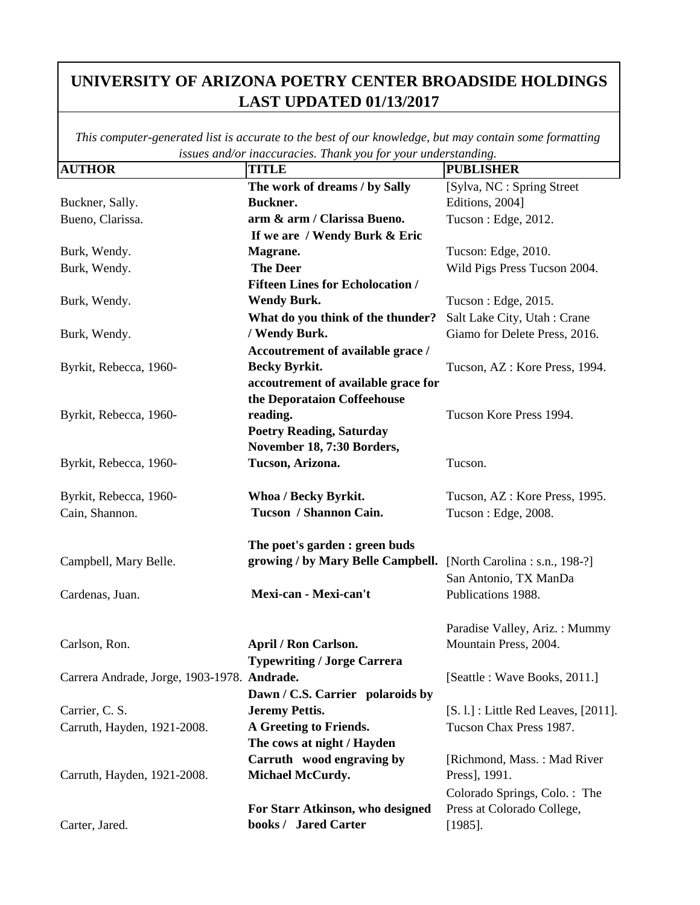| <b>AUTHOR</b>                               | <b>TITLE</b>                            | $\cdots$<br><b>PUBLISHER</b>         |
|---------------------------------------------|-----------------------------------------|--------------------------------------|
|                                             | The work of dreams / by Sally           | [Sylva, NC : Spring Street           |
| Buckner, Sally.                             | Buckner.                                | Editions, 2004]                      |
| Bueno, Clarissa.                            | arm & arm / Clarissa Bueno.             | Tucson : Edge, 2012.                 |
|                                             | If we are / Wendy Burk & Eric           |                                      |
| Burk, Wendy.                                | Magrane.                                | Tucson: Edge, 2010.                  |
| Burk, Wendy.                                | <b>The Deer</b>                         | Wild Pigs Press Tucson 2004.         |
|                                             | <b>Fifteen Lines for Echolocation /</b> |                                      |
| Burk, Wendy.                                | <b>Wendy Burk.</b>                      | Tucson : Edge, 2015.                 |
|                                             | What do you think of the thunder?       | Salt Lake City, Utah: Crane          |
| Burk, Wendy.                                | / Wendy Burk.                           | Giamo for Delete Press, 2016.        |
|                                             | Accoutrement of available grace /       |                                      |
| Byrkit, Rebecca, 1960-                      | <b>Becky Byrkit.</b>                    | Tucson, AZ : Kore Press, 1994.       |
|                                             | accoutrement of available grace for     |                                      |
|                                             | the Deporataion Coffeehouse             |                                      |
| Byrkit, Rebecca, 1960-                      | reading.                                | Tucson Kore Press 1994.              |
|                                             | <b>Poetry Reading, Saturday</b>         |                                      |
|                                             | November 18, 7:30 Borders,              |                                      |
| Byrkit, Rebecca, 1960-                      | Tucson, Arizona.                        | Tucson.                              |
|                                             |                                         |                                      |
| Byrkit, Rebecca, 1960-                      | Whoa / Becky Byrkit.                    | Tucson, AZ : Kore Press, 1995.       |
| Cain, Shannon.                              | Tucson / Shannon Cain.                  | Tucson: Edge, 2008.                  |
|                                             | The poet's garden : green buds          |                                      |
| Campbell, Mary Belle.                       | growing / by Mary Belle Campbell.       | [North Carolina : s.n., 198-?]       |
|                                             |                                         | San Antonio, TX ManDa                |
| Cardenas, Juan.                             | Mexi-can - Mexi-can't                   | Publications 1988.                   |
|                                             |                                         |                                      |
|                                             |                                         | Paradise Valley, Ariz.: Mummy        |
| Carlson, Ron.                               | April / Ron Carlson.                    | Mountain Press, 2004.                |
|                                             | <b>Typewriting / Jorge Carrera</b>      |                                      |
| Carrera Andrade, Jorge, 1903-1978. Andrade. |                                         | [Seattle : Wave Books, 2011.]        |
|                                             | Dawn / C.S. Carrier polaroids by        |                                      |
| Carrier, C. S.                              | <b>Jeremy Pettis.</b>                   | [S. l.] : Little Red Leaves, [2011]. |
| Carruth, Hayden, 1921-2008.                 | A Greeting to Friends.                  | Tucson Chax Press 1987.              |
|                                             | The cows at night / Hayden              |                                      |
|                                             | Carruth wood engraving by               | [Richmond, Mass.: Mad River          |
| Carruth, Hayden, 1921-2008.                 | <b>Michael McCurdy.</b>                 | Press], 1991.                        |
|                                             |                                         | Colorado Springs, Colo.: The         |
|                                             | For Starr Atkinson, who designed        | Press at Colorado College,           |
| Carter, Jared.                              | books / Jared Carter                    | $[1985]$ .                           |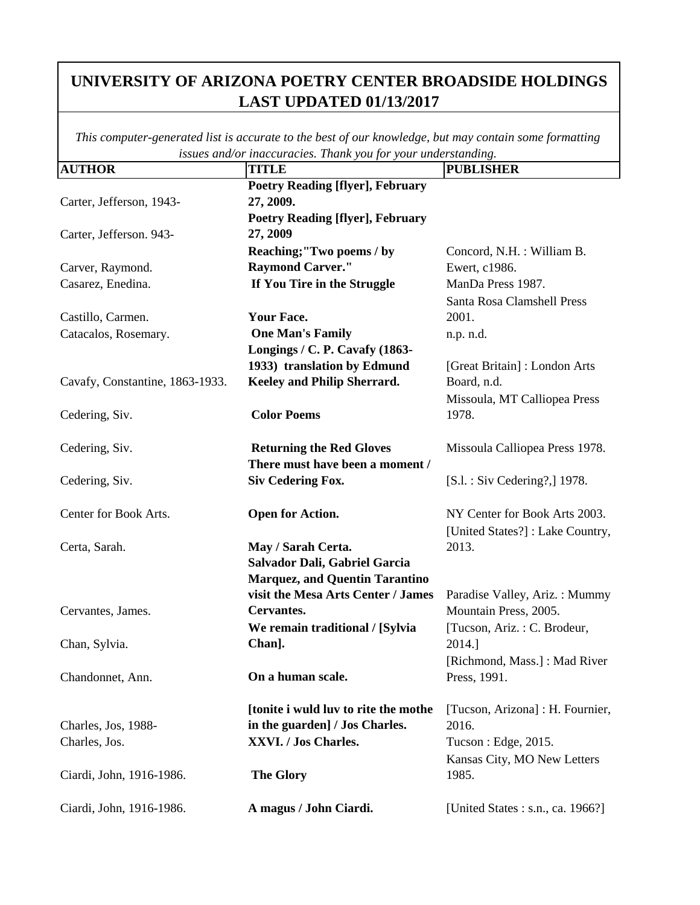| <b>AUTHOR</b>                   | maccumación Inama jón jón maiorsiamantzi<br><b>TITLE</b> | <b>PUBLISHER</b>                  |
|---------------------------------|----------------------------------------------------------|-----------------------------------|
|                                 | <b>Poetry Reading [flyer], February</b>                  |                                   |
| Carter, Jefferson, 1943-        | 27, 2009.                                                |                                   |
|                                 | <b>Poetry Reading [flyer], February</b>                  |                                   |
| Carter, Jefferson. 943-         | 27, 2009                                                 |                                   |
|                                 | Reaching;"Two poems / by                                 | Concord, N.H. : William B.        |
| Carver, Raymond.                | <b>Raymond Carver."</b>                                  | Ewert, c1986.                     |
| Casarez, Enedina.               | If You Tire in the Struggle                              | ManDa Press 1987.                 |
|                                 |                                                          | Santa Rosa Clamshell Press        |
| Castillo, Carmen.               | <b>Your Face.</b>                                        | 2001.                             |
| Catacalos, Rosemary.            | <b>One Man's Family</b>                                  | n.p. n.d.                         |
|                                 | Longings / C. P. Cavafy (1863-                           |                                   |
|                                 | 1933) translation by Edmund                              | [Great Britain]: London Arts      |
| Cavafy, Constantine, 1863-1933. | Keeley and Philip Sherrard.                              | Board, n.d.                       |
|                                 |                                                          | Missoula, MT Calliopea Press      |
| Cedering, Siv.                  | <b>Color Poems</b>                                       | 1978.                             |
|                                 |                                                          |                                   |
| Cedering, Siv.                  | <b>Returning the Red Gloves</b>                          | Missoula Calliopea Press 1978.    |
|                                 | There must have been a moment /                          |                                   |
| Cedering, Siv.                  | <b>Siv Cedering Fox.</b>                                 | $[S.1.:$ Siv Cedering?, 1978.     |
|                                 |                                                          |                                   |
| Center for Book Arts.           | <b>Open for Action.</b>                                  | NY Center for Book Arts 2003.     |
|                                 |                                                          | [United States?] : Lake Country,  |
| Certa, Sarah.                   | May / Sarah Certa.                                       | 2013.                             |
|                                 | Salvador Dali, Gabriel Garcia                            |                                   |
|                                 | <b>Marquez, and Quentin Tarantino</b>                    |                                   |
|                                 | visit the Mesa Arts Center / James                       | Paradise Valley, Ariz.: Mummy     |
| Cervantes, James.               | Cervantes.                                               | Mountain Press, 2005.             |
|                                 | We remain traditional / [Sylvia                          | [Tucson, Ariz.: C. Brodeur,       |
| Chan, Sylvia.                   | Chan].                                                   | 2014.]                            |
|                                 |                                                          | [Richmond, Mass.] : Mad River     |
| Chandonnet, Ann.                | On a human scale.                                        | Press, 1991.                      |
|                                 |                                                          |                                   |
|                                 | [tonite i wuld luv to rite the mothe                     | [Tucson, Arizona] : H. Fournier,  |
| Charles, Jos, 1988-             | in the guarden] / Jos Charles.                           | 2016.                             |
| Charles, Jos.                   | XXVI. / Jos Charles.                                     | Tucson: Edge, 2015.               |
|                                 |                                                          | Kansas City, MO New Letters       |
| Ciardi, John, 1916-1986.        | <b>The Glory</b>                                         | 1985.                             |
|                                 |                                                          |                                   |
| Ciardi, John, 1916-1986.        | A magus / John Ciardi.                                   | [United States : s.n., ca. 1966?] |
|                                 |                                                          |                                   |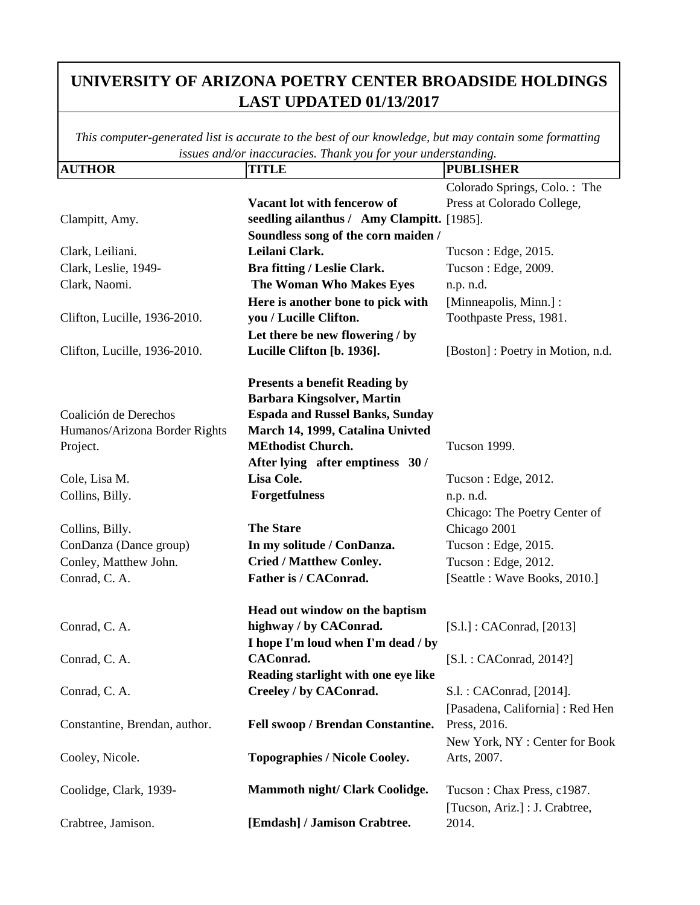| <b>AUTHOR</b>                 | <b>TITLE</b>                               | <b>PUBLISHER</b>                 |
|-------------------------------|--------------------------------------------|----------------------------------|
|                               |                                            | Colorado Springs, Colo.: The     |
|                               | Vacant lot with fencerow of                | Press at Colorado College,       |
| Clampitt, Amy.                | seedling ailanthus / Amy Clampitt. [1985]. |                                  |
|                               | Soundless song of the corn maiden /        |                                  |
| Clark, Leiliani.              | Leilani Clark.                             | Tucson : Edge, 2015.             |
| Clark, Leslie, 1949-          | Bra fitting / Leslie Clark.                | Tucson: Edge, 2009.              |
| Clark, Naomi.                 | The Woman Who Makes Eyes                   | n.p. n.d.                        |
|                               | Here is another bone to pick with          | [Minneapolis, Minn.] :           |
| Clifton, Lucille, 1936-2010.  | you / Lucille Clifton.                     | Toothpaste Press, 1981.          |
|                               | Let there be new flowering / by            |                                  |
| Clifton, Lucille, 1936-2010.  | Lucille Clifton [b. 1936].                 | [Boston]: Poetry in Motion, n.d. |
|                               | <b>Presents a benefit Reading by</b>       |                                  |
|                               | <b>Barbara Kingsolver, Martin</b>          |                                  |
| Coalición de Derechos         | <b>Espada and Russel Banks, Sunday</b>     |                                  |
| Humanos/Arizona Border Rights | March 14, 1999, Catalina Univted           |                                  |
| Project.                      | <b>MEthodist Church.</b>                   | <b>Tucson 1999.</b>              |
|                               | After lying after emptiness 30/            |                                  |
| Cole, Lisa M.                 | Lisa Cole.                                 | Tucson : Edge, 2012.             |
| Collins, Billy.               | <b>Forgetfulness</b>                       | n.p. n.d.                        |
|                               |                                            | Chicago: The Poetry Center of    |
| Collins, Billy.               | <b>The Stare</b>                           | Chicago 2001                     |
| ConDanza (Dance group)        | In my solitude / ConDanza.                 | Tucson: Edge, 2015.              |
| Conley, Matthew John.         | <b>Cried / Matthew Conley.</b>             | Tucson: Edge, 2012.              |
| Conrad, C. A.                 | Father is / CAConrad.                      | [Seattle : Wave Books, 2010.]    |
|                               | Head out window on the baptism             |                                  |
| Conrad, C. A.                 | highway / by CAConrad.                     | [S.1.] : CAConrad, [2013]        |
|                               | I hope I'm loud when I'm dead / by         |                                  |
| Conrad, C. A.                 | CAConrad.                                  | [S.1. : CAConrad, 2014?]         |
|                               | Reading starlight with one eye like        |                                  |
| Conrad, C. A.                 | Creeley / by CAConrad.                     | S.l.: CAConrad, [2014].          |
|                               |                                            | [Pasadena, California] : Red Hen |
| Constantine, Brendan, author. | Fell swoop / Brendan Constantine.          | Press, 2016.                     |
|                               |                                            | New York, NY: Center for Book    |
| Cooley, Nicole.               | <b>Topographies / Nicole Cooley.</b>       | Arts, 2007.                      |
| Coolidge, Clark, 1939-        | Mammoth night/ Clark Coolidge.             | Tucson: Chax Press, c1987.       |
|                               |                                            | [Tucson, Ariz.] : J. Crabtree,   |
| Crabtree, Jamison.            | [Emdash] / Jamison Crabtree.               | 2014.                            |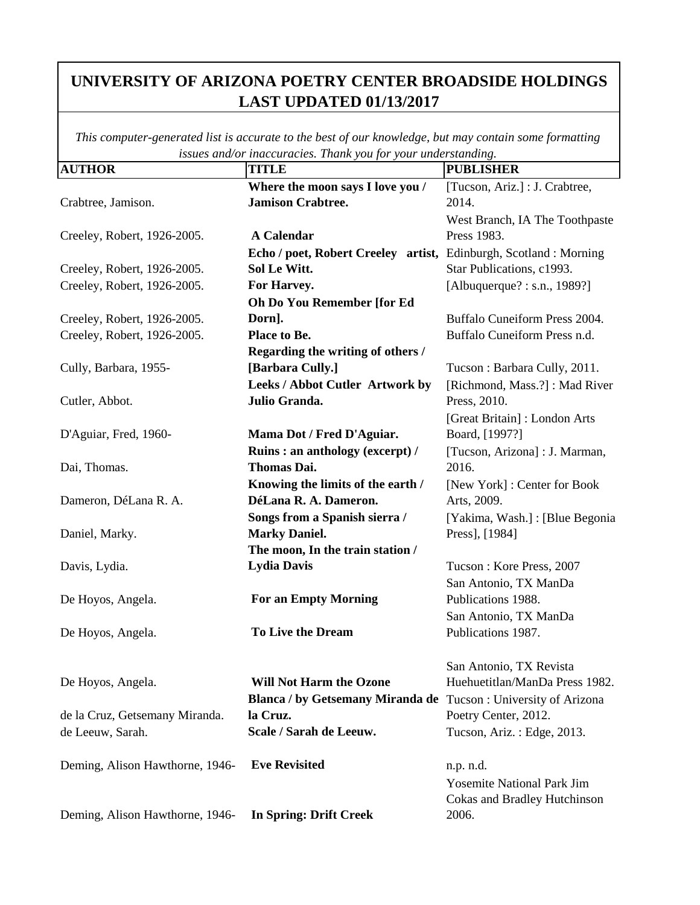| <b>AUTHOR</b>                   | <b>TITLE</b>                                                      | <b>PUBLISHER</b>                    |
|---------------------------------|-------------------------------------------------------------------|-------------------------------------|
|                                 | Where the moon says I love you /                                  | [Tucson, Ariz.] : J. Crabtree,      |
| Crabtree, Jamison.              | <b>Jamison Crabtree.</b>                                          | 2014.                               |
|                                 |                                                                   | West Branch, IA The Toothpaste      |
| Creeley, Robert, 1926-2005.     | <b>A Calendar</b>                                                 | Press 1983.                         |
|                                 | Echo / poet, Robert Creeley artist, Edinburgh, Scotland : Morning |                                     |
| Creeley, Robert, 1926-2005.     | Sol Le Witt.                                                      | Star Publications, c1993.           |
| Creeley, Robert, 1926-2005.     | For Harvey.                                                       | [Albuquerque?: s.n., 1989?]         |
|                                 | Oh Do You Remember [for Ed                                        |                                     |
| Creeley, Robert, 1926-2005.     | Dorn].                                                            | Buffalo Cuneiform Press 2004.       |
| Creeley, Robert, 1926-2005.     | Place to Be.                                                      | Buffalo Cuneiform Press n.d.        |
|                                 | Regarding the writing of others /                                 |                                     |
| Cully, Barbara, 1955-           | [Barbara Cully.]                                                  | Tucson: Barbara Cully, 2011.        |
|                                 | Leeks / Abbot Cutler Artwork by                                   | [Richmond, Mass.?]: Mad River       |
| Cutler, Abbot.                  | Julio Granda.                                                     | Press, 2010.                        |
|                                 |                                                                   | [Great Britain]: London Arts        |
| D'Aguiar, Fred, 1960-           | Mama Dot / Fred D'Aguiar.                                         | Board, [1997?]                      |
|                                 | Ruins: an anthology (excerpt) /                                   | [Tucson, Arizona] : J. Marman,      |
| Dai, Thomas.                    | <b>Thomas Dai.</b>                                                | 2016.                               |
|                                 | Knowing the limits of the earth /                                 | [New York] : Center for Book        |
| Dameron, DéLana R. A.           | DéLana R. A. Dameron.                                             | Arts, 2009.                         |
|                                 | Songs from a Spanish sierra /                                     | [Yakima, Wash.] : [Blue Begonia     |
| Daniel, Marky.                  | <b>Marky Daniel.</b>                                              | Press], [1984]                      |
|                                 | The moon, In the train station /                                  |                                     |
| Davis, Lydia.                   | <b>Lydia Davis</b>                                                | Tucson: Kore Press, 2007            |
|                                 |                                                                   | San Antonio, TX ManDa               |
| De Hoyos, Angela.               | <b>For an Empty Morning</b>                                       | Publications 1988.                  |
|                                 |                                                                   | San Antonio, TX ManDa               |
| De Hoyos, Angela.               | <b>To Live the Dream</b>                                          | Publications 1987.                  |
|                                 |                                                                   |                                     |
|                                 |                                                                   | San Antonio, TX Revista             |
| De Hoyos, Angela.               | <b>Will Not Harm the Ozone</b>                                    | Huehuetitlan/ManDa Press 1982.      |
|                                 | Blanca / by Getsemany Miranda de Tucson : University of Arizona   |                                     |
| de la Cruz, Getsemany Miranda.  | la Cruz.                                                          | Poetry Center, 2012.                |
| de Leeuw, Sarah.                | Scale / Sarah de Leeuw.                                           | Tucson, Ariz.: Edge, 2013.          |
| Deming, Alison Hawthorne, 1946- | <b>Eve Revisited</b>                                              | n.p. n.d.                           |
|                                 |                                                                   | <b>Yosemite National Park Jim</b>   |
|                                 |                                                                   | <b>Cokas and Bradley Hutchinson</b> |
| Deming, Alison Hawthorne, 1946- | <b>In Spring: Drift Creek</b>                                     | 2006.                               |
|                                 |                                                                   |                                     |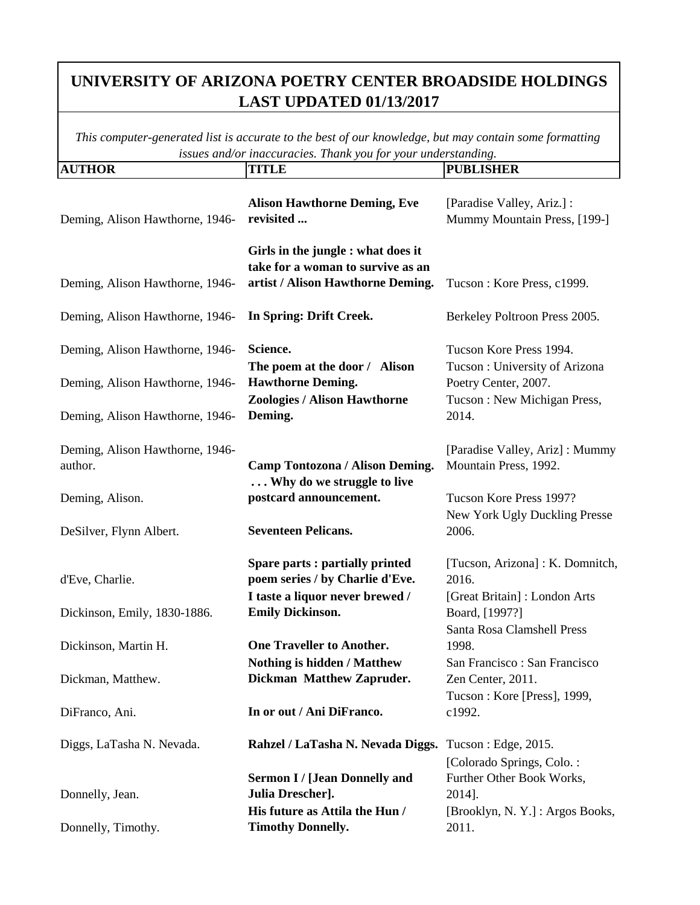| <b>AUTHOR</b>                                                      | <b>TITLE</b>                                                                                                 | <b>PUBLISHER</b>                                                         |
|--------------------------------------------------------------------|--------------------------------------------------------------------------------------------------------------|--------------------------------------------------------------------------|
| Deming, Alison Hawthorne, 1946-                                    | <b>Alison Hawthorne Deming, Eve</b><br>revisited                                                             | [Paradise Valley, Ariz.] :<br>Mummy Mountain Press, [199-]               |
| Deming, Alison Hawthorne, 1946-                                    | Girls in the jungle : what does it<br>take for a woman to survive as an<br>artist / Alison Hawthorne Deming. | Tucson: Kore Press, c1999.                                               |
| Deming, Alison Hawthorne, 1946-                                    | In Spring: Drift Creek.                                                                                      | Berkeley Poltroon Press 2005.                                            |
| Deming, Alison Hawthorne, 1946-                                    | Science.<br>The poem at the door / Alison                                                                    | Tucson Kore Press 1994.<br>Tucson: University of Arizona                 |
| Deming, Alison Hawthorne, 1946-<br>Deming, Alison Hawthorne, 1946- | <b>Hawthorne Deming.</b><br><b>Zoologies / Alison Hawthorne</b><br>Deming.                                   | Poetry Center, 2007.<br>Tucson: New Michigan Press,<br>2014.             |
| Deming, Alison Hawthorne, 1946-<br>author.                         | <b>Camp Tontozona / Alison Deming.</b><br>Why do we struggle to live                                         | [Paradise Valley, Ariz]: Mummy<br>Mountain Press, 1992.                  |
| Deming, Alison.                                                    | postcard announcement.                                                                                       | Tucson Kore Press 1997?<br>New York Ugly Duckling Presse                 |
| DeSilver, Flynn Albert.                                            | <b>Seventeen Pelicans.</b>                                                                                   | 2006.                                                                    |
| d'Eve, Charlie.                                                    | Spare parts : partially printed<br>poem series / by Charlie d'Eve.<br>I taste a liquor never brewed /        | [Tucson, Arizona]: K. Domnitch,<br>2016.<br>[Great Britain]: London Arts |
| Dickinson, Emily, 1830-1886.<br>Dickinson, Martin H.               | <b>Emily Dickinson.</b><br><b>One Traveller to Another.</b>                                                  | Board, [1997?]<br>Santa Rosa Clamshell Press<br>1998.                    |
| Dickman, Matthew.                                                  | Nothing is hidden / Matthew<br><b>Dickman Matthew Zapruder.</b>                                              | San Francisco: San Francisco<br>Zen Center, 2011.                        |
| DiFranco, Ani.                                                     | In or out / Ani DiFranco.                                                                                    | Tucson: Kore [Press], 1999,<br>c1992.                                    |
| Diggs, LaTasha N. Nevada.                                          | Rahzel / LaTasha N. Nevada Diggs. Tucson: Edge, 2015.                                                        | [Colorado Springs, Colo.:                                                |
| Donnelly, Jean.                                                    | <b>Sermon I / [Jean Donnelly and</b><br>Julia Drescher].<br>His future as Attila the Hun /                   | Further Other Book Works,<br>2014].<br>[Brooklyn, N.Y.] : Argos Books,   |
| Donnelly, Timothy.                                                 | <b>Timothy Donnelly.</b>                                                                                     | 2011.                                                                    |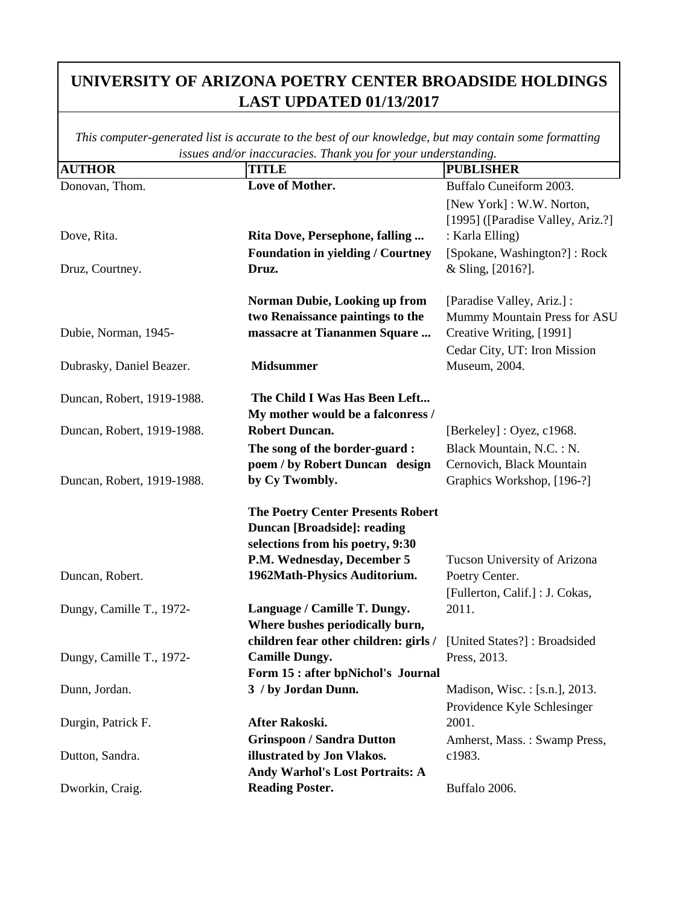| <b>AUTHOR</b>              | <b>TITLE</b>                                              | <b>PUBLISHER</b>                  |
|----------------------------|-----------------------------------------------------------|-----------------------------------|
| Donovan, Thom.             | Love of Mother.                                           | Buffalo Cuneiform 2003.           |
|                            |                                                           | [New York]: W.W. Norton,          |
|                            |                                                           | [1995] ([Paradise Valley, Ariz.?] |
| Dove, Rita.                | Rita Dove, Persephone, falling                            | : Karla Elling)                   |
|                            | <b>Foundation in yielding / Courtney</b>                  | [Spokane, Washington?]: Rock      |
| Druz, Courtney.            | Druz.                                                     | & Sling, [2016?].                 |
|                            | <b>Norman Dubie, Looking up from</b>                      | [Paradise Valley, Ariz.] :        |
|                            | two Renaissance paintings to the                          | Mummy Mountain Press for ASU      |
| Dubie, Norman, 1945-       | massacre at Tiananmen Square                              | Creative Writing, [1991]          |
|                            |                                                           | Cedar City, UT: Iron Mission      |
| Dubrasky, Daniel Beazer.   | <b>Midsummer</b>                                          | Museum, 2004.                     |
| Duncan, Robert, 1919-1988. | The Child I Was Has Been Left                             |                                   |
|                            | My mother would be a falconress /                         |                                   |
| Duncan, Robert, 1919-1988. | <b>Robert Duncan.</b>                                     | [Berkeley] : Oyez, c1968.         |
|                            | The song of the border-guard:                             | Black Mountain, N.C.: N.          |
|                            | poem / by Robert Duncan design                            | Cernovich, Black Mountain         |
| Duncan, Robert, 1919-1988. | by Cy Twombly.                                            | Graphics Workshop, [196-?]        |
|                            | <b>The Poetry Center Presents Robert</b>                  |                                   |
|                            | <b>Duncan [Broadside]: reading</b>                        |                                   |
|                            | selections from his poetry, 9:30                          |                                   |
|                            | P.M. Wednesday, December 5                                | Tucson University of Arizona      |
| Duncan, Robert.            | 1962Math-Physics Auditorium.                              | Poetry Center.                    |
|                            |                                                           | [Fullerton, Calif.] : J. Cokas,   |
| Dungy, Camille T., 1972-   | Language / Camille T. Dungy.                              | 2011.                             |
|                            | Where bushes periodically burn,                           |                                   |
|                            | children fear other children: girls /                     | [United States?]: Broadsided      |
| Dungy, Camille T., 1972-   | <b>Camille Dungy.</b>                                     | Press, 2013.                      |
|                            | Form 15 : after bpNichol's Journal                        |                                   |
| Dunn, Jordan.              | 3 / by Jordan Dunn.                                       | Madison, Wisc.: [s.n.], 2013.     |
|                            |                                                           | Providence Kyle Schlesinger       |
| Durgin, Patrick F.         | After Rakoski.                                            | 2001.                             |
|                            | <b>Grinspoon / Sandra Dutton</b>                          | Amherst, Mass.: Swamp Press,      |
| Dutton, Sandra.            | illustrated by Jon Vlakos.                                | c1983.                            |
| Dworkin, Craig.            | Andy Warhol's Lost Portraits: A<br><b>Reading Poster.</b> | Buffalo 2006.                     |
|                            |                                                           |                                   |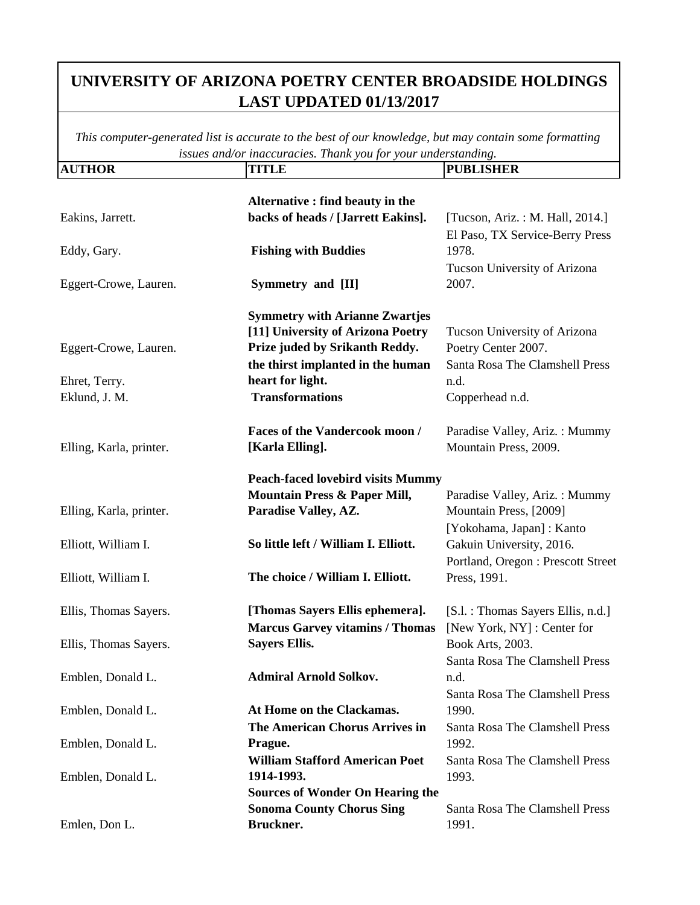| <b>AUTHOR</b>                                                         | <b>TITLE</b>                                                                                                                                                                                    | <b>PUBLISHER</b>                                                                                                                                                     |
|-----------------------------------------------------------------------|-------------------------------------------------------------------------------------------------------------------------------------------------------------------------------------------------|----------------------------------------------------------------------------------------------------------------------------------------------------------------------|
| Eakins, Jarrett.                                                      | Alternative : find beauty in the<br>backs of heads / [Jarrett Eakins].                                                                                                                          | [Tucson, Ariz.: M. Hall, 2014.]<br>El Paso, TX Service-Berry Press                                                                                                   |
| Eddy, Gary.                                                           | <b>Fishing with Buddies</b>                                                                                                                                                                     | 1978.<br>Tucson University of Arizona                                                                                                                                |
| Eggert-Crowe, Lauren.                                                 | Symmetry and [II]                                                                                                                                                                               | 2007.                                                                                                                                                                |
| Eggert-Crowe, Lauren.<br>Ehret, Terry.<br>Eklund, J. M.               | <b>Symmetry with Arianne Zwartjes</b><br>[11] University of Arizona Poetry<br>Prize juded by Srikanth Reddy.<br>the thirst implanted in the human<br>heart for light.<br><b>Transformations</b> | Tucson University of Arizona<br>Poetry Center 2007.<br>Santa Rosa The Clamshell Press<br>n.d.<br>Copperhead n.d.                                                     |
| Elling, Karla, printer.                                               | Faces of the Vandercook moon /<br>[Karla Elling].                                                                                                                                               | Paradise Valley, Ariz.: Mummy<br>Mountain Press, 2009.                                                                                                               |
| Elling, Karla, printer.<br>Elliott, William I.<br>Elliott, William I. | <b>Peach-faced lovebird visits Mummy</b><br><b>Mountain Press &amp; Paper Mill,</b><br>Paradise Valley, AZ.<br>So little left / William I. Elliott.<br>The choice / William I. Elliott.         | Paradise Valley, Ariz.: Mummy<br>Mountain Press, [2009]<br>[Yokohama, Japan]: Kanto<br>Gakuin University, 2016.<br>Portland, Oregon: Prescott Street<br>Press, 1991. |
| Ellis, Thomas Sayers.                                                 | [Thomas Sayers Ellis ephemera].                                                                                                                                                                 | [S.l. : Thomas Sayers Ellis, n.d.]                                                                                                                                   |
| Ellis, Thomas Sayers.                                                 | <b>Marcus Garvey vitamins / Thomas</b><br><b>Sayers Ellis.</b>                                                                                                                                  | [New York, NY] : Center for<br>Book Arts, 2003.<br>Santa Rosa The Clamshell Press                                                                                    |
| Emblen, Donald L.                                                     | <b>Admiral Arnold Solkov.</b>                                                                                                                                                                   | n.d.<br>Santa Rosa The Clamshell Press                                                                                                                               |
| Emblen, Donald L.                                                     | At Home on the Clackamas.<br><b>The American Chorus Arrives in</b>                                                                                                                              | 1990.<br>Santa Rosa The Clamshell Press                                                                                                                              |
| Emblen, Donald L.                                                     | Prague.<br><b>William Stafford American Poet</b>                                                                                                                                                | 1992.<br>Santa Rosa The Clamshell Press                                                                                                                              |
| Emblen, Donald L.                                                     | 1914-1993.<br><b>Sources of Wonder On Hearing the</b>                                                                                                                                           | 1993.                                                                                                                                                                |
| Emlen, Don L.                                                         | <b>Sonoma County Chorus Sing</b><br>Bruckner.                                                                                                                                                   | <b>Santa Rosa The Clamshell Press</b><br>1991.                                                                                                                       |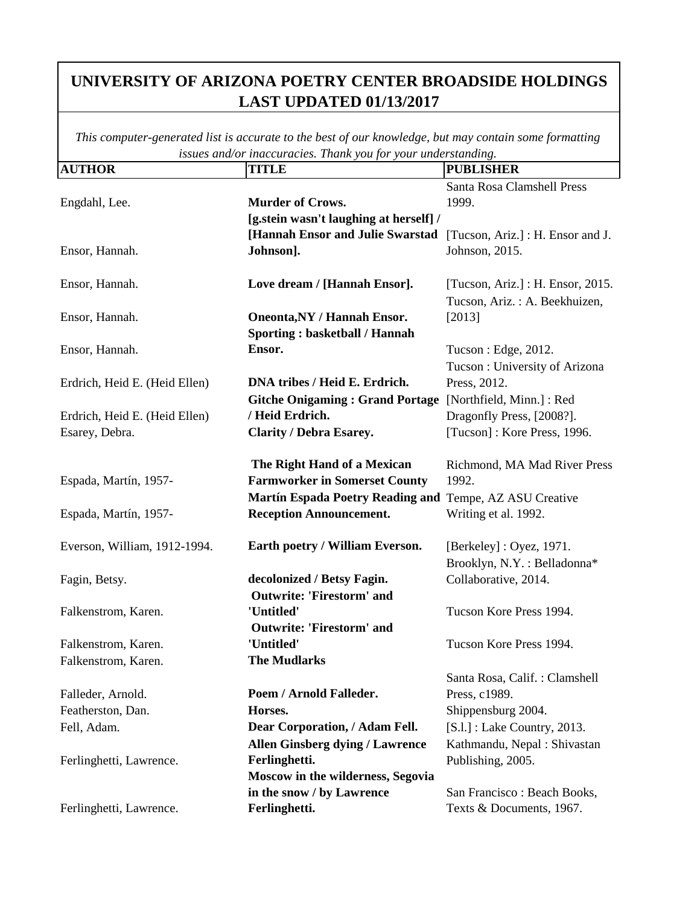| <b>AUTHOR</b>                 | <b>TITLE</b>                                            | <b>PUBLISHER</b>                  |
|-------------------------------|---------------------------------------------------------|-----------------------------------|
|                               |                                                         | Santa Rosa Clamshell Press        |
| Engdahl, Lee.                 | <b>Murder of Crows.</b>                                 | 1999.                             |
|                               | [g.stein wasn't laughing at herself] /                  |                                   |
|                               | [Hannah Ensor and Julie Swarstad                        | [Tucson, Ariz.] : H. Ensor and J. |
| Ensor, Hannah.                | Johnson].                                               | Johnson, 2015.                    |
|                               |                                                         |                                   |
| Ensor, Hannah.                | Love dream / [Hannah Ensor].                            | [Tucson, Ariz.] : H. Ensor, 2015. |
|                               |                                                         | Tucson, Ariz.: A. Beekhuizen,     |
| Ensor, Hannah.                | <b>Oneonta, NY / Hannah Ensor.</b>                      | [2013]                            |
|                               | <b>Sporting: basketball / Hannah</b>                    |                                   |
| Ensor, Hannah.                | Ensor.                                                  | Tucson : Edge, 2012.              |
|                               |                                                         | Tucson: University of Arizona     |
| Erdrich, Heid E. (Heid Ellen) | DNA tribes / Heid E. Erdrich.                           | Press, 2012.                      |
|                               | <b>Gitche Onigaming: Grand Portage</b>                  | [Northfield, Minn.] : Red         |
| Erdrich, Heid E. (Heid Ellen) | / Heid Erdrich.                                         | Dragonfly Press, [2008?].         |
| Esarey, Debra.                | <b>Clarity / Debra Esarey.</b>                          | [Tucson]: Kore Press, 1996.       |
|                               | The Right Hand of a Mexican                             | Richmond, MA Mad River Press      |
| Espada, Martín, 1957-         | <b>Farmworker in Somerset County</b>                    | 1992.                             |
|                               | Martín Espada Poetry Reading and Tempe, AZ ASU Creative |                                   |
| Espada, Martín, 1957-         | <b>Reception Announcement.</b>                          | Writing et al. 1992.              |
| Everson, William, 1912-1994.  | Earth poetry / William Everson.                         | [Berkeley] : Oyez, 1971.          |
|                               |                                                         | Brooklyn, N.Y.: Belladonna*       |
| Fagin, Betsy.                 | decolonized / Betsy Fagin.                              | Collaborative, 2014.              |
|                               | <b>Outwrite: 'Firestorm' and</b>                        |                                   |
| Falkenstrom, Karen.           | 'Untitled'                                              | Tucson Kore Press 1994.           |
|                               | <b>Outwrite: 'Firestorm' and</b>                        |                                   |
| Falkenstrom, Karen.           | 'Untitled'                                              | Tucson Kore Press 1994.           |
| Falkenstrom, Karen.           | <b>The Mudlarks</b>                                     |                                   |
|                               |                                                         | Santa Rosa, Calif.: Clamshell     |
| Falleder, Arnold.             | Poem / Arnold Falleder.                                 | Press, c1989.                     |
| Featherston, Dan.             | Horses.                                                 | Shippensburg 2004.                |
| Fell, Adam.                   | Dear Corporation, / Adam Fell.                          | [S.l.] : Lake Country, 2013.      |
|                               | <b>Allen Ginsberg dying / Lawrence</b>                  | Kathmandu, Nepal: Shivastan       |
| Ferlinghetti, Lawrence.       | Ferlinghetti.                                           | Publishing, 2005.                 |
|                               | Moscow in the wilderness, Segovia                       |                                   |
|                               | in the snow / by Lawrence                               | San Francisco: Beach Books,       |
| Ferlinghetti, Lawrence.       | Ferlinghetti.                                           | Texts & Documents, 1967.          |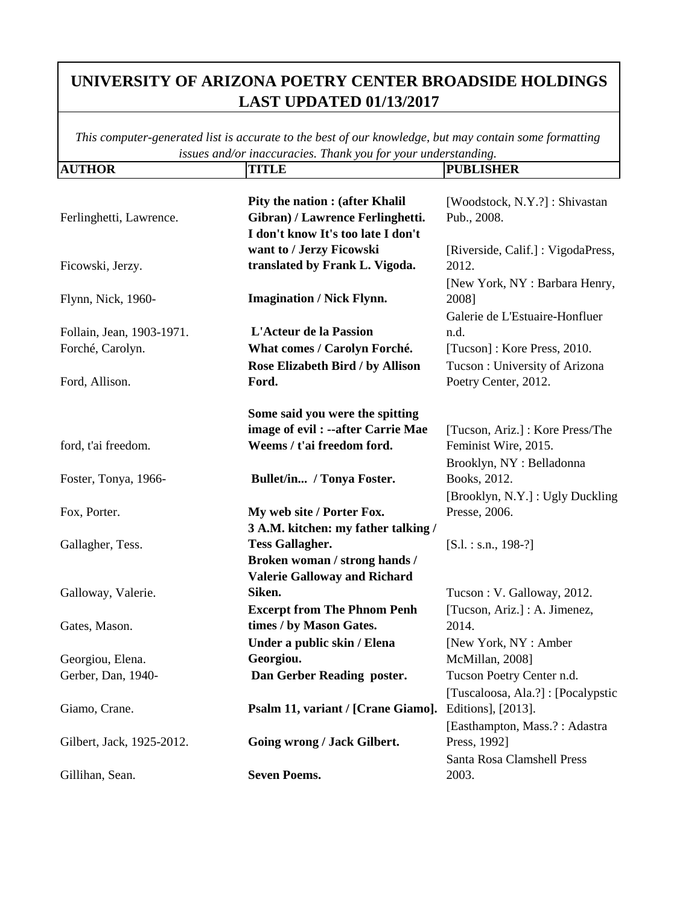| <b>AUTHOR</b>                                 | <b>TITLE</b>                                                                                                      | <b>PUBLISHER</b>                                                                  |
|-----------------------------------------------|-------------------------------------------------------------------------------------------------------------------|-----------------------------------------------------------------------------------|
| Ferlinghetti, Lawrence.                       | <b>Pity the nation : (after Khalil)</b><br>Gibran) / Lawrence Ferlinghetti.<br>I don't know It's too late I don't | [Woodstock, N.Y.?]: Shivastan<br>Pub., 2008.                                      |
| Ficowski, Jerzy.                              | want to / Jerzy Ficowski<br>translated by Frank L. Vigoda.                                                        | [Riverside, Calif.]: VigodaPress,<br>2012.                                        |
| Flynn, Nick, 1960-                            | <b>Imagination / Nick Flynn.</b>                                                                                  | [New York, NY : Barbara Henry,<br>2008]<br>Galerie de L'Estuaire-Honfluer         |
| Follain, Jean, 1903-1971.<br>Forché, Carolyn. | <b>L'Acteur de la Passion</b><br>What comes / Carolyn Forché.                                                     | n.d.<br>[Tucson]: Kore Press, 2010.                                               |
| Ford, Allison.                                | Rose Elizabeth Bird / by Allison<br>Ford.                                                                         | Tucson: University of Arizona<br>Poetry Center, 2012.                             |
|                                               | Some said you were the spitting<br>image of evil : --after Carrie Mae                                             | [Tucson, Ariz.] : Kore Press/The                                                  |
| ford, t'ai freedom.<br>Foster, Tonya, 1966-   | Weems / t'ai freedom ford.<br>Bullet/in / Tonya Foster.                                                           | Feminist Wire, 2015.<br>Brooklyn, NY: Belladonna<br>Books, 2012.                  |
| Fox, Porter.                                  | My web site / Porter Fox.<br>3 A.M. kitchen: my father talking /                                                  | [Brooklyn, N.Y.] : Ugly Duckling<br>Presse, 2006.                                 |
| Gallagher, Tess.                              | <b>Tess Gallagher.</b><br>Broken woman / strong hands /                                                           | $[S.1.:$ s.n., 198-?]                                                             |
| Galloway, Valerie.                            | <b>Valerie Galloway and Richard</b><br>Siken.<br><b>Excerpt from The Phnom Penh</b>                               | Tucson: V. Galloway, 2012.<br>[Tucson, Ariz.] : A. Jimenez,                       |
| Gates, Mason.                                 | times / by Mason Gates.<br>Under a public skin / Elena                                                            | 2014.<br>[New York, NY : Amber                                                    |
| Georgiou, Elena.<br>Gerber, Dan, 1940-        | Georgiou.<br>Dan Gerber Reading poster.                                                                           | McMillan, 2008]<br>Tucson Poetry Center n.d.<br>[Tuscaloosa, Ala.?]: [Pocalypstic |
| Giamo, Crane.                                 | Psalm 11, variant / [Crane Giamo].                                                                                | Editions], [2013].<br>[Easthampton, Mass.?: Adastra                               |
| Gilbert, Jack, 1925-2012.                     | Going wrong / Jack Gilbert.                                                                                       | Press, 1992]<br>Santa Rosa Clamshell Press                                        |
| Gillihan, Sean.                               | <b>Seven Poems.</b>                                                                                               | 2003.                                                                             |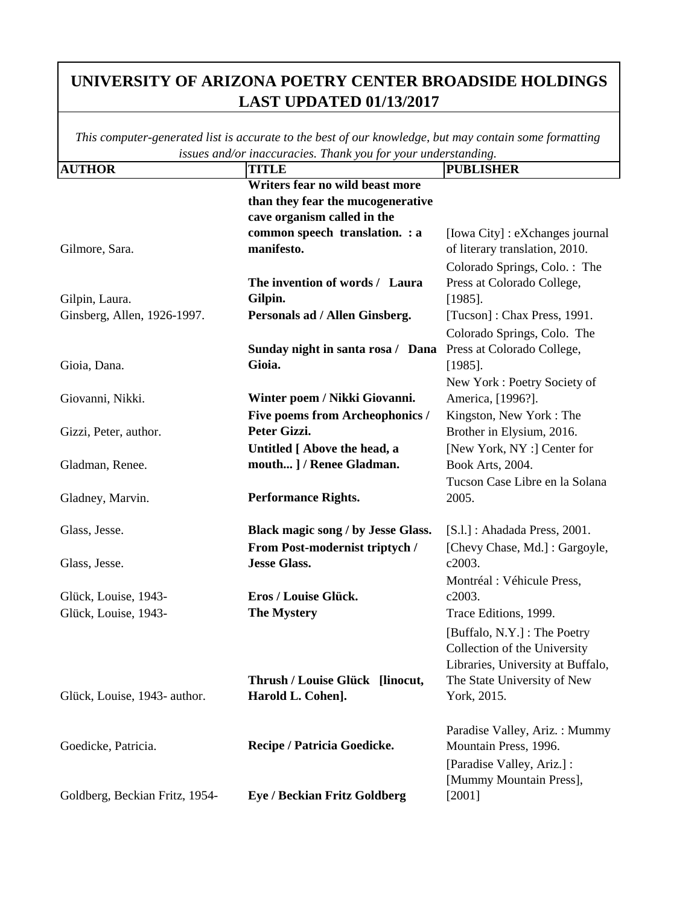| <b>AUTHOR</b>                  | issues ana/or maccuracies. Thank you for your undersidiating.<br><b>TITLE</b> | <b>PUBLISHER</b>                  |
|--------------------------------|-------------------------------------------------------------------------------|-----------------------------------|
|                                | Writers fear no wild beast more                                               |                                   |
|                                | than they fear the mucogenerative                                             |                                   |
|                                | cave organism called in the                                                   |                                   |
|                                | common speech translation. : a                                                | [Iowa City] : eXchanges journal   |
| Gilmore, Sara.                 | manifesto.                                                                    | of literary translation, 2010.    |
|                                |                                                                               | Colorado Springs, Colo.: The      |
|                                | The invention of words / Laura                                                | Press at Colorado College,        |
| Gilpin, Laura.                 | Gilpin.                                                                       | $[1985]$ .                        |
| Ginsberg, Allen, 1926-1997.    | Personals ad / Allen Ginsberg.                                                | [Tucson]: Chax Press, 1991.       |
|                                |                                                                               | Colorado Springs, Colo. The       |
|                                | Sunday night in santa rosa / Dana                                             | Press at Colorado College,        |
| Gioia, Dana.                   | Gioia.                                                                        | $[1985]$ .                        |
|                                |                                                                               | New York: Poetry Society of       |
| Giovanni, Nikki.               | Winter poem / Nikki Giovanni.                                                 | America, [1996?].                 |
|                                | <b>Five poems from Archeophonics /</b>                                        | Kingston, New York: The           |
| Gizzi, Peter, author.          | Peter Gizzi.                                                                  | Brother in Elysium, 2016.         |
|                                | Untitled [ Above the head, a                                                  | [New York, NY :] Center for       |
| Gladman, Renee.                | mouth ] / Renee Gladman.                                                      | Book Arts, 2004.                  |
|                                |                                                                               | Tucson Case Libre en la Solana    |
| Gladney, Marvin.               | <b>Performance Rights.</b>                                                    | 2005.                             |
|                                |                                                                               |                                   |
| Glass, Jesse.                  | Black magic song / by Jesse Glass.                                            | $[S.1.]$ : Ahadada Press, 2001.   |
|                                | From Post-modernist triptych /                                                | [Chevy Chase, Md.]: Gargoyle,     |
| Glass, Jesse.                  | <b>Jesse Glass.</b>                                                           | c2003.                            |
|                                |                                                                               | Montréal : Véhicule Press,        |
| Glück, Louise, 1943-           | Eros / Louise Glück.                                                          | c2003.                            |
| Glück, Louise, 1943-           | <b>The Mystery</b>                                                            | Trace Editions, 1999.             |
|                                |                                                                               | [Buffalo, N.Y.] : The Poetry      |
|                                |                                                                               | Collection of the University      |
|                                |                                                                               | Libraries, University at Buffalo, |
|                                | Thrush / Louise Glück [linocut,                                               | The State University of New       |
| Glück, Louise, 1943- author.   | Harold L. Cohen].                                                             | York, 2015.                       |
|                                |                                                                               |                                   |
|                                |                                                                               | Paradise Valley, Ariz.: Mummy     |
| Goedicke, Patricia.            | Recipe / Patricia Goedicke.                                                   | Mountain Press, 1996.             |
|                                |                                                                               | [Paradise Valley, Ariz.]:         |
|                                |                                                                               | [Mummy Mountain Press],           |
| Goldberg, Beckian Fritz, 1954- | <b>Eye / Beckian Fritz Goldberg</b>                                           | $[2001]$                          |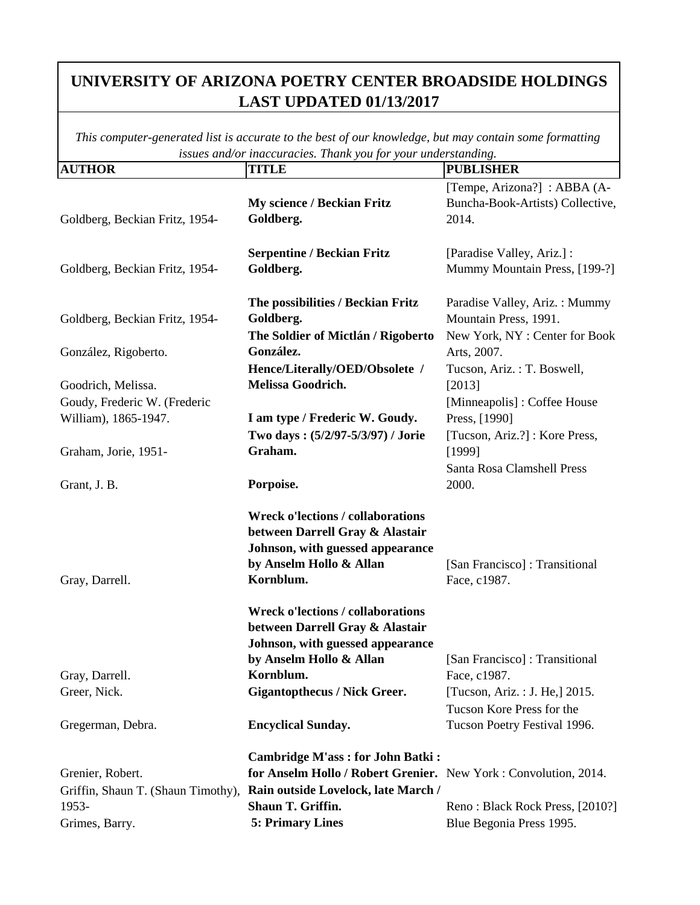| <b>AUTHOR</b>                                        | <b>TITLE</b>                                                                                                                                            | <b>PUBLISHER</b>                                                                        |
|------------------------------------------------------|---------------------------------------------------------------------------------------------------------------------------------------------------------|-----------------------------------------------------------------------------------------|
| Goldberg, Beckian Fritz, 1954-                       | <b>My science / Beckian Fritz</b><br>Goldberg.                                                                                                          | [Tempe, Arizona?] : ABBA (A-<br>Buncha-Book-Artists) Collective,<br>2014.               |
| Goldberg, Beckian Fritz, 1954-                       | <b>Serpentine / Beckian Fritz</b><br>Goldberg.                                                                                                          | [Paradise Valley, Ariz.] :<br>Mummy Mountain Press, [199-?]                             |
| Goldberg, Beckian Fritz, 1954-                       | The possibilities / Beckian Fritz<br>Goldberg.<br>The Soldier of Mictlán / Rigoberto                                                                    | Paradise Valley, Ariz.: Mummy<br>Mountain Press, 1991.<br>New York, NY: Center for Book |
| González, Rigoberto.                                 | González.<br>Hence/Literally/OED/Obsolete /                                                                                                             | Arts, 2007.<br>Tucson, Ariz.: T. Boswell,                                               |
| Goodrich, Melissa.                                   | Melissa Goodrich.                                                                                                                                       | [2013]                                                                                  |
| Goudy, Frederic W. (Frederic<br>William), 1865-1947. | I am type / Frederic W. Goudy.                                                                                                                          | [Minneapolis]: Coffee House<br>Press, [1990]                                            |
| Graham, Jorie, 1951-                                 | Two days: (5/2/97-5/3/97) / Jorie<br>Graham.                                                                                                            | [Tucson, Ariz.?]: Kore Press,<br>[1999]                                                 |
| Grant, J. B.                                         | Porpoise.                                                                                                                                               | Santa Rosa Clamshell Press<br>2000.                                                     |
| Gray, Darrell.                                       | <b>Wreck o'lections / collaborations</b><br>between Darrell Gray & Alastair<br>Johnson, with guessed appearance<br>by Anselm Hollo & Allan<br>Kornblum. | [San Francisco]: Transitional<br>Face, c1987.                                           |
|                                                      | <b>Wreck o'lections / collaborations</b><br>between Darrell Gray & Alastair<br>Johnson, with guessed appearance<br>by Anselm Hollo & Allan              | [San Francisco]: Transitional                                                           |
| Gray, Darrell.                                       | Kornblum.                                                                                                                                               | Face, c1987.                                                                            |
| Greer, Nick.                                         | <b>Gigantopthecus / Nick Greer.</b>                                                                                                                     | [Tucson, Ariz. : J. He,] 2015.                                                          |
| Gregerman, Debra.                                    | <b>Encyclical Sunday.</b>                                                                                                                               | Tucson Kore Press for the<br>Tucson Poetry Festival 1996.                               |
| Grenier, Robert.                                     | <b>Cambridge M'ass: for John Batki:</b><br>for Anselm Hollo / Robert Grenier. New York: Convolution, 2014.                                              |                                                                                         |
| Griffin, Shaun T. (Shaun Timothy),                   | Rain outside Lovelock, late March /                                                                                                                     |                                                                                         |
| 1953-                                                | Shaun T. Griffin.                                                                                                                                       | Reno: Black Rock Press, [2010?]                                                         |
| Grimes, Barry.                                       | 5: Primary Lines                                                                                                                                        | Blue Begonia Press 1995.                                                                |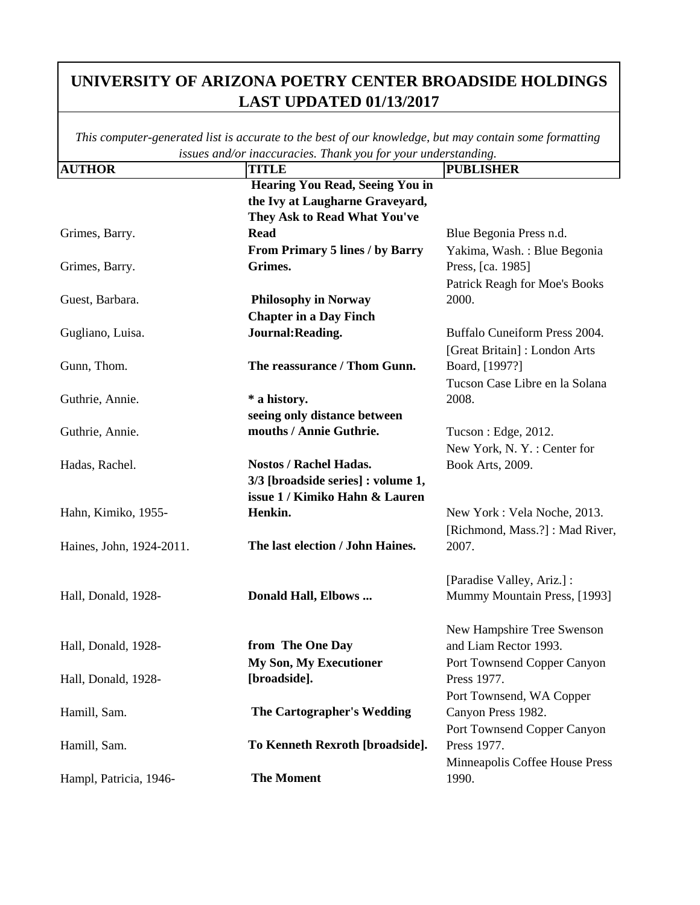| <b>AUTHOR</b>            | <b>TITLE</b>                           | $\cdots$ $\circ$<br><b>PUBLISHER</b> |
|--------------------------|----------------------------------------|--------------------------------------|
|                          | Hearing You Read, Seeing You in        |                                      |
|                          | the Ivy at Laugharne Graveyard,        |                                      |
|                          | They Ask to Read What You've           |                                      |
| Grimes, Barry.           | <b>Read</b>                            | Blue Begonia Press n.d.              |
|                          | <b>From Primary 5 lines / by Barry</b> | Yakima, Wash.: Blue Begonia          |
| Grimes, Barry.           | Grimes.                                | Press, [ca. 1985]                    |
|                          |                                        | Patrick Reagh for Moe's Books        |
| Guest, Barbara.          | <b>Philosophy in Norway</b>            | 2000.                                |
|                          | <b>Chapter in a Day Finch</b>          |                                      |
| Gugliano, Luisa.         | Journal: Reading.                      | Buffalo Cuneiform Press 2004.        |
|                          |                                        | [Great Britain]: London Arts         |
| Gunn, Thom.              | The reassurance / Thom Gunn.           | Board, [1997?]                       |
|                          |                                        | Tucson Case Libre en la Solana       |
| Guthrie, Annie.          | * a history.                           | 2008.                                |
|                          | seeing only distance between           |                                      |
| Guthrie, Annie.          | mouths / Annie Guthrie.                | Tucson : Edge, 2012.                 |
|                          |                                        | New York, N.Y.: Center for           |
| Hadas, Rachel.           | <b>Nostos / Rachel Hadas.</b>          | Book Arts, 2009.                     |
|                          | 3/3 [broadside series] : volume 1,     |                                      |
|                          | issue 1 / Kimiko Hahn & Lauren         |                                      |
| Hahn, Kimiko, 1955-      | Henkin.                                | New York: Vela Noche, 2013.          |
|                          |                                        | [Richmond, Mass.?]: Mad River,       |
| Haines, John, 1924-2011. | The last election / John Haines.       | 2007.                                |
|                          |                                        |                                      |
|                          |                                        | [Paradise Valley, Ariz.] :           |
| Hall, Donald, 1928-      | Donald Hall, Elbows                    | Mummy Mountain Press, [1993]         |
|                          |                                        |                                      |
|                          |                                        | New Hampshire Tree Swenson           |
| Hall, Donald, 1928-      | from The One Day                       | and Liam Rector 1993.                |
|                          | <b>My Son, My Executioner</b>          | Port Townsend Copper Canyon          |
| Hall, Donald, 1928-      | [broadside].                           | Press 1977.                          |
|                          |                                        | Port Townsend, WA Copper             |
| Hamill, Sam.             | <b>The Cartographer's Wedding</b>      | Canyon Press 1982.                   |
|                          |                                        | Port Townsend Copper Canyon          |
| Hamill, Sam.             | To Kenneth Rexroth [broadside].        | Press 1977.                          |
|                          |                                        | Minneapolis Coffee House Press       |
| Hampl, Patricia, 1946-   | <b>The Moment</b>                      | 1990.                                |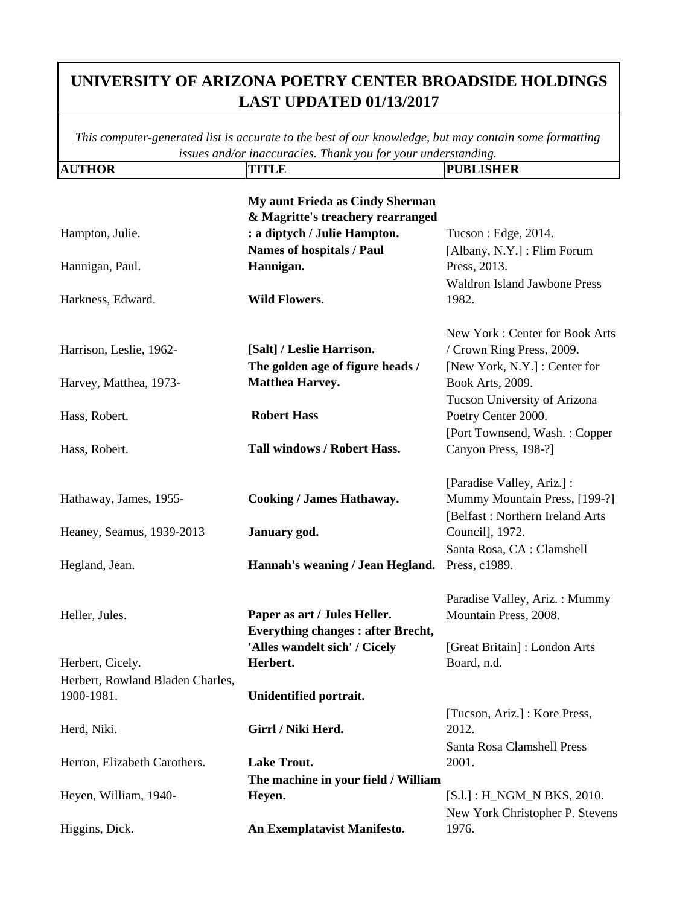| <b>AUTHOR</b>                                  | <b>TITLE</b>                                                             | <b>PUBLISHER</b>                                                                               |
|------------------------------------------------|--------------------------------------------------------------------------|------------------------------------------------------------------------------------------------|
|                                                | My aunt Frieda as Cindy Sherman<br>& Magritte's treachery rearranged     |                                                                                                |
| Hampton, Julie.                                | : a diptych / Julie Hampton.                                             | Tucson : Edge, 2014.                                                                           |
|                                                | <b>Names of hospitals / Paul</b>                                         | [Albany, N.Y.] : Flim Forum                                                                    |
| Hannigan, Paul.                                | Hannigan.                                                                | Press, 2013.                                                                                   |
| Harkness, Edward.                              | <b>Wild Flowers.</b>                                                     | <b>Waldron Island Jawbone Press</b><br>1982.                                                   |
| Harrison, Leslie, 1962-                        | [Salt] / Leslie Harrison.                                                | New York: Center for Book Arts<br>/ Crown Ring Press, 2009.                                    |
|                                                | The golden age of figure heads /                                         | [New York, N.Y.] : Center for                                                                  |
| Harvey, Matthea, 1973-                         | <b>Matthea Harvey.</b>                                                   | Book Arts, 2009.                                                                               |
| Hass, Robert.                                  | <b>Robert Hass</b>                                                       | Tucson University of Arizona<br>Poetry Center 2000.                                            |
| Hass, Robert.                                  | <b>Tall windows / Robert Hass.</b>                                       | [Port Townsend, Wash.: Copper<br>Canyon Press, 198-?]                                          |
| Hathaway, James, 1955-                         | <b>Cooking / James Hathaway.</b>                                         | [Paradise Valley, Ariz.] :<br>Mummy Mountain Press, [199-?]<br>[Belfast: Northern Ireland Arts |
| Heaney, Seamus, 1939-2013                      | January god.                                                             | Council], 1972.                                                                                |
| Hegland, Jean.                                 | Hannah's weaning / Jean Hegland.                                         | Santa Rosa, CA : Clamshell<br>Press, c1989.                                                    |
| Heller, Jules.                                 | Paper as art / Jules Heller.<br><b>Everything changes: after Brecht,</b> | Paradise Valley, Ariz.: Mummy<br>Mountain Press, 2008.                                         |
| Herbert, Cicely.                               | 'Alles wandelt sich' / Cicely<br>Herbert.                                | [Great Britain]: London Arts<br>Board, n.d.                                                    |
| Herbert, Rowland Bladen Charles,<br>1900-1981. | Unidentified portrait.                                                   |                                                                                                |
| Herd, Niki.                                    | Girrl / Niki Herd.                                                       | [Tucson, Ariz.] : Kore Press,<br>2012.                                                         |
| Herron, Elizabeth Carothers.                   | <b>Lake Trout.</b>                                                       | Santa Rosa Clamshell Press<br>2001.                                                            |
| Heyen, William, 1940-                          | The machine in your field / William<br>Heyen.                            | $[S.1.] : H_NGM_N BKS, 2010.$                                                                  |
| Higgins, Dick.                                 | An Exemplatavist Manifesto.                                              | New York Christopher P. Stevens<br>1976.                                                       |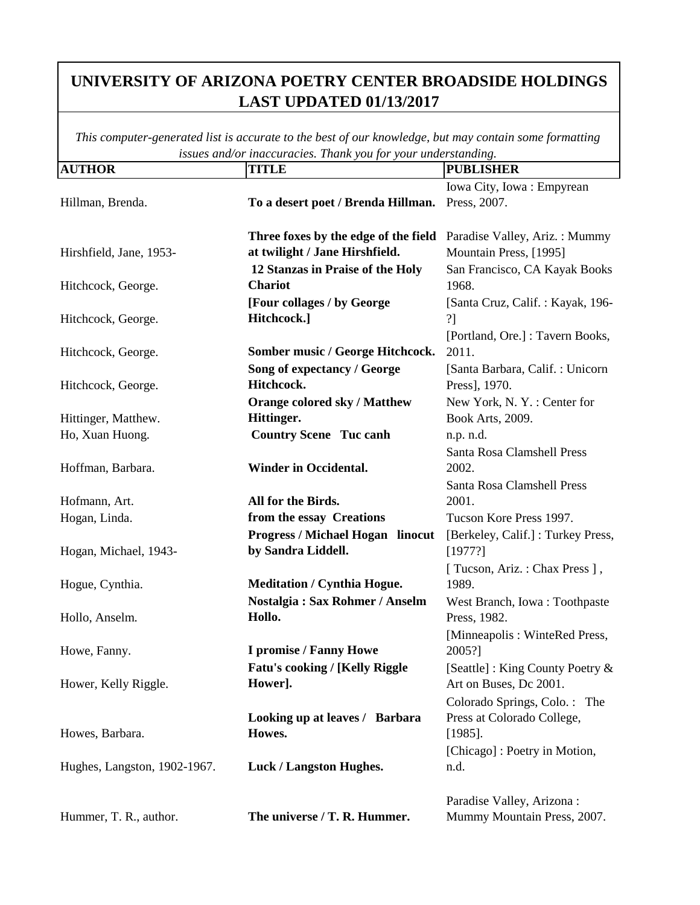| Iowa City, Iowa: Empyrean<br>To a desert poet / Brenda Hillman.<br>Press, 2007.<br>Hillman, Brenda.<br>Three foxes by the edge of the field<br>Paradise Valley, Ariz.: Mummy<br>at twilight / Jane Hirshfield.<br>Mountain Press, [1995]<br>Hirshfield, Jane, 1953-<br>12 Stanzas in Praise of the Holy<br>San Francisco, CA Kayak Books<br><b>Chariot</b><br>1968.<br>Hitchcock, George.<br>[Four collages / by George<br>[Santa Cruz, Calif.: Kayak, 196-<br>Hitchcock.]<br>?]<br>Hitchcock, George.<br>[Portland, Ore.] : Tavern Books,<br>Somber music / George Hitchcock.<br>2011.<br>Hitchcock, George.<br>Song of expectancy / George<br>[Santa Barbara, Calif.: Unicorn<br>Hitchcock.<br>Press], 1970.<br>Hitchcock, George.<br><b>Orange colored sky / Matthew</b><br>New York, N.Y.: Center for<br>Hittinger.<br>Hittinger, Matthew.<br>Book Arts, 2009.<br><b>Country Scene Tuc canh</b><br>Ho, Xuan Huong.<br>n.p. n.d.<br>Santa Rosa Clamshell Press<br>Hoffman, Barbara.<br><b>Winder in Occidental.</b><br>2002.<br>Santa Rosa Clamshell Press<br>All for the Birds.<br>2001.<br>Hofmann, Art.<br>Tucson Kore Press 1997.<br>Hogan, Linda.<br>from the essay Creations<br><b>Progress / Michael Hogan linocut</b><br>[Berkeley, Calif.]: Turkey Press,<br>by Sandra Liddell.<br>Hogan, Michael, 1943-<br>[1977?]<br>[ Tucson, Ariz.: Chax Press ],<br><b>Meditation / Cynthia Hogue.</b><br>1989.<br>Hogue, Cynthia.<br>Nostalgia: Sax Rohmer / Anselm<br>West Branch, Iowa: Toothpaste<br>Hollo.<br>Hollo, Anselm.<br>Press, 1982.<br>[Minneapolis: WinteRed Press,<br>I promise / Fanny Howe<br>2005?]<br>Howe, Fanny.<br><b>Fatu's cooking / [Kelly Riggle</b><br>[Seattle]: King County Poetry &<br>Hower].<br>Hower, Kelly Riggle.<br>Art on Buses, Dc 2001.<br>Colorado Springs, Colo.: The<br>Looking up at leaves / Barbara<br>Press at Colorado College,<br>Howes.<br>Howes, Barbara.<br>$[1985]$ .<br>[Chicago] : Poetry in Motion,<br>Hughes, Langston, 1902-1967.<br><b>Luck / Langston Hughes.</b><br>n.d.<br>Paradise Valley, Arizona:<br>The universe / T. R. Hummer.<br>Mummy Mountain Press, 2007.<br>Hummer, T. R., author. | <b>AUTHOR</b> | TITLE | <b>PUBLISHER</b> |
|--------------------------------------------------------------------------------------------------------------------------------------------------------------------------------------------------------------------------------------------------------------------------------------------------------------------------------------------------------------------------------------------------------------------------------------------------------------------------------------------------------------------------------------------------------------------------------------------------------------------------------------------------------------------------------------------------------------------------------------------------------------------------------------------------------------------------------------------------------------------------------------------------------------------------------------------------------------------------------------------------------------------------------------------------------------------------------------------------------------------------------------------------------------------------------------------------------------------------------------------------------------------------------------------------------------------------------------------------------------------------------------------------------------------------------------------------------------------------------------------------------------------------------------------------------------------------------------------------------------------------------------------------------------------------------------------------------------------------------------------------------------------------------------------------------------------------------------------------------------------------------------------------------------------------------------------------------------------------------------------------------------------------------------------------------------------------------------------------------------------------------------------------------------|---------------|-------|------------------|
|                                                                                                                                                                                                                                                                                                                                                                                                                                                                                                                                                                                                                                                                                                                                                                                                                                                                                                                                                                                                                                                                                                                                                                                                                                                                                                                                                                                                                                                                                                                                                                                                                                                                                                                                                                                                                                                                                                                                                                                                                                                                                                                                                              |               |       |                  |
|                                                                                                                                                                                                                                                                                                                                                                                                                                                                                                                                                                                                                                                                                                                                                                                                                                                                                                                                                                                                                                                                                                                                                                                                                                                                                                                                                                                                                                                                                                                                                                                                                                                                                                                                                                                                                                                                                                                                                                                                                                                                                                                                                              |               |       |                  |
|                                                                                                                                                                                                                                                                                                                                                                                                                                                                                                                                                                                                                                                                                                                                                                                                                                                                                                                                                                                                                                                                                                                                                                                                                                                                                                                                                                                                                                                                                                                                                                                                                                                                                                                                                                                                                                                                                                                                                                                                                                                                                                                                                              |               |       |                  |
|                                                                                                                                                                                                                                                                                                                                                                                                                                                                                                                                                                                                                                                                                                                                                                                                                                                                                                                                                                                                                                                                                                                                                                                                                                                                                                                                                                                                                                                                                                                                                                                                                                                                                                                                                                                                                                                                                                                                                                                                                                                                                                                                                              |               |       |                  |
|                                                                                                                                                                                                                                                                                                                                                                                                                                                                                                                                                                                                                                                                                                                                                                                                                                                                                                                                                                                                                                                                                                                                                                                                                                                                                                                                                                                                                                                                                                                                                                                                                                                                                                                                                                                                                                                                                                                                                                                                                                                                                                                                                              |               |       |                  |
|                                                                                                                                                                                                                                                                                                                                                                                                                                                                                                                                                                                                                                                                                                                                                                                                                                                                                                                                                                                                                                                                                                                                                                                                                                                                                                                                                                                                                                                                                                                                                                                                                                                                                                                                                                                                                                                                                                                                                                                                                                                                                                                                                              |               |       |                  |
|                                                                                                                                                                                                                                                                                                                                                                                                                                                                                                                                                                                                                                                                                                                                                                                                                                                                                                                                                                                                                                                                                                                                                                                                                                                                                                                                                                                                                                                                                                                                                                                                                                                                                                                                                                                                                                                                                                                                                                                                                                                                                                                                                              |               |       |                  |
|                                                                                                                                                                                                                                                                                                                                                                                                                                                                                                                                                                                                                                                                                                                                                                                                                                                                                                                                                                                                                                                                                                                                                                                                                                                                                                                                                                                                                                                                                                                                                                                                                                                                                                                                                                                                                                                                                                                                                                                                                                                                                                                                                              |               |       |                  |
|                                                                                                                                                                                                                                                                                                                                                                                                                                                                                                                                                                                                                                                                                                                                                                                                                                                                                                                                                                                                                                                                                                                                                                                                                                                                                                                                                                                                                                                                                                                                                                                                                                                                                                                                                                                                                                                                                                                                                                                                                                                                                                                                                              |               |       |                  |
|                                                                                                                                                                                                                                                                                                                                                                                                                                                                                                                                                                                                                                                                                                                                                                                                                                                                                                                                                                                                                                                                                                                                                                                                                                                                                                                                                                                                                                                                                                                                                                                                                                                                                                                                                                                                                                                                                                                                                                                                                                                                                                                                                              |               |       |                  |
|                                                                                                                                                                                                                                                                                                                                                                                                                                                                                                                                                                                                                                                                                                                                                                                                                                                                                                                                                                                                                                                                                                                                                                                                                                                                                                                                                                                                                                                                                                                                                                                                                                                                                                                                                                                                                                                                                                                                                                                                                                                                                                                                                              |               |       |                  |
|                                                                                                                                                                                                                                                                                                                                                                                                                                                                                                                                                                                                                                                                                                                                                                                                                                                                                                                                                                                                                                                                                                                                                                                                                                                                                                                                                                                                                                                                                                                                                                                                                                                                                                                                                                                                                                                                                                                                                                                                                                                                                                                                                              |               |       |                  |
|                                                                                                                                                                                                                                                                                                                                                                                                                                                                                                                                                                                                                                                                                                                                                                                                                                                                                                                                                                                                                                                                                                                                                                                                                                                                                                                                                                                                                                                                                                                                                                                                                                                                                                                                                                                                                                                                                                                                                                                                                                                                                                                                                              |               |       |                  |
|                                                                                                                                                                                                                                                                                                                                                                                                                                                                                                                                                                                                                                                                                                                                                                                                                                                                                                                                                                                                                                                                                                                                                                                                                                                                                                                                                                                                                                                                                                                                                                                                                                                                                                                                                                                                                                                                                                                                                                                                                                                                                                                                                              |               |       |                  |
|                                                                                                                                                                                                                                                                                                                                                                                                                                                                                                                                                                                                                                                                                                                                                                                                                                                                                                                                                                                                                                                                                                                                                                                                                                                                                                                                                                                                                                                                                                                                                                                                                                                                                                                                                                                                                                                                                                                                                                                                                                                                                                                                                              |               |       |                  |
|                                                                                                                                                                                                                                                                                                                                                                                                                                                                                                                                                                                                                                                                                                                                                                                                                                                                                                                                                                                                                                                                                                                                                                                                                                                                                                                                                                                                                                                                                                                                                                                                                                                                                                                                                                                                                                                                                                                                                                                                                                                                                                                                                              |               |       |                  |
|                                                                                                                                                                                                                                                                                                                                                                                                                                                                                                                                                                                                                                                                                                                                                                                                                                                                                                                                                                                                                                                                                                                                                                                                                                                                                                                                                                                                                                                                                                                                                                                                                                                                                                                                                                                                                                                                                                                                                                                                                                                                                                                                                              |               |       |                  |
|                                                                                                                                                                                                                                                                                                                                                                                                                                                                                                                                                                                                                                                                                                                                                                                                                                                                                                                                                                                                                                                                                                                                                                                                                                                                                                                                                                                                                                                                                                                                                                                                                                                                                                                                                                                                                                                                                                                                                                                                                                                                                                                                                              |               |       |                  |
|                                                                                                                                                                                                                                                                                                                                                                                                                                                                                                                                                                                                                                                                                                                                                                                                                                                                                                                                                                                                                                                                                                                                                                                                                                                                                                                                                                                                                                                                                                                                                                                                                                                                                                                                                                                                                                                                                                                                                                                                                                                                                                                                                              |               |       |                  |
|                                                                                                                                                                                                                                                                                                                                                                                                                                                                                                                                                                                                                                                                                                                                                                                                                                                                                                                                                                                                                                                                                                                                                                                                                                                                                                                                                                                                                                                                                                                                                                                                                                                                                                                                                                                                                                                                                                                                                                                                                                                                                                                                                              |               |       |                  |
|                                                                                                                                                                                                                                                                                                                                                                                                                                                                                                                                                                                                                                                                                                                                                                                                                                                                                                                                                                                                                                                                                                                                                                                                                                                                                                                                                                                                                                                                                                                                                                                                                                                                                                                                                                                                                                                                                                                                                                                                                                                                                                                                                              |               |       |                  |
|                                                                                                                                                                                                                                                                                                                                                                                                                                                                                                                                                                                                                                                                                                                                                                                                                                                                                                                                                                                                                                                                                                                                                                                                                                                                                                                                                                                                                                                                                                                                                                                                                                                                                                                                                                                                                                                                                                                                                                                                                                                                                                                                                              |               |       |                  |
|                                                                                                                                                                                                                                                                                                                                                                                                                                                                                                                                                                                                                                                                                                                                                                                                                                                                                                                                                                                                                                                                                                                                                                                                                                                                                                                                                                                                                                                                                                                                                                                                                                                                                                                                                                                                                                                                                                                                                                                                                                                                                                                                                              |               |       |                  |
|                                                                                                                                                                                                                                                                                                                                                                                                                                                                                                                                                                                                                                                                                                                                                                                                                                                                                                                                                                                                                                                                                                                                                                                                                                                                                                                                                                                                                                                                                                                                                                                                                                                                                                                                                                                                                                                                                                                                                                                                                                                                                                                                                              |               |       |                  |
|                                                                                                                                                                                                                                                                                                                                                                                                                                                                                                                                                                                                                                                                                                                                                                                                                                                                                                                                                                                                                                                                                                                                                                                                                                                                                                                                                                                                                                                                                                                                                                                                                                                                                                                                                                                                                                                                                                                                                                                                                                                                                                                                                              |               |       |                  |
|                                                                                                                                                                                                                                                                                                                                                                                                                                                                                                                                                                                                                                                                                                                                                                                                                                                                                                                                                                                                                                                                                                                                                                                                                                                                                                                                                                                                                                                                                                                                                                                                                                                                                                                                                                                                                                                                                                                                                                                                                                                                                                                                                              |               |       |                  |
|                                                                                                                                                                                                                                                                                                                                                                                                                                                                                                                                                                                                                                                                                                                                                                                                                                                                                                                                                                                                                                                                                                                                                                                                                                                                                                                                                                                                                                                                                                                                                                                                                                                                                                                                                                                                                                                                                                                                                                                                                                                                                                                                                              |               |       |                  |
|                                                                                                                                                                                                                                                                                                                                                                                                                                                                                                                                                                                                                                                                                                                                                                                                                                                                                                                                                                                                                                                                                                                                                                                                                                                                                                                                                                                                                                                                                                                                                                                                                                                                                                                                                                                                                                                                                                                                                                                                                                                                                                                                                              |               |       |                  |
|                                                                                                                                                                                                                                                                                                                                                                                                                                                                                                                                                                                                                                                                                                                                                                                                                                                                                                                                                                                                                                                                                                                                                                                                                                                                                                                                                                                                                                                                                                                                                                                                                                                                                                                                                                                                                                                                                                                                                                                                                                                                                                                                                              |               |       |                  |
|                                                                                                                                                                                                                                                                                                                                                                                                                                                                                                                                                                                                                                                                                                                                                                                                                                                                                                                                                                                                                                                                                                                                                                                                                                                                                                                                                                                                                                                                                                                                                                                                                                                                                                                                                                                                                                                                                                                                                                                                                                                                                                                                                              |               |       |                  |
|                                                                                                                                                                                                                                                                                                                                                                                                                                                                                                                                                                                                                                                                                                                                                                                                                                                                                                                                                                                                                                                                                                                                                                                                                                                                                                                                                                                                                                                                                                                                                                                                                                                                                                                                                                                                                                                                                                                                                                                                                                                                                                                                                              |               |       |                  |
|                                                                                                                                                                                                                                                                                                                                                                                                                                                                                                                                                                                                                                                                                                                                                                                                                                                                                                                                                                                                                                                                                                                                                                                                                                                                                                                                                                                                                                                                                                                                                                                                                                                                                                                                                                                                                                                                                                                                                                                                                                                                                                                                                              |               |       |                  |
|                                                                                                                                                                                                                                                                                                                                                                                                                                                                                                                                                                                                                                                                                                                                                                                                                                                                                                                                                                                                                                                                                                                                                                                                                                                                                                                                                                                                                                                                                                                                                                                                                                                                                                                                                                                                                                                                                                                                                                                                                                                                                                                                                              |               |       |                  |
|                                                                                                                                                                                                                                                                                                                                                                                                                                                                                                                                                                                                                                                                                                                                                                                                                                                                                                                                                                                                                                                                                                                                                                                                                                                                                                                                                                                                                                                                                                                                                                                                                                                                                                                                                                                                                                                                                                                                                                                                                                                                                                                                                              |               |       |                  |
|                                                                                                                                                                                                                                                                                                                                                                                                                                                                                                                                                                                                                                                                                                                                                                                                                                                                                                                                                                                                                                                                                                                                                                                                                                                                                                                                                                                                                                                                                                                                                                                                                                                                                                                                                                                                                                                                                                                                                                                                                                                                                                                                                              |               |       |                  |
|                                                                                                                                                                                                                                                                                                                                                                                                                                                                                                                                                                                                                                                                                                                                                                                                                                                                                                                                                                                                                                                                                                                                                                                                                                                                                                                                                                                                                                                                                                                                                                                                                                                                                                                                                                                                                                                                                                                                                                                                                                                                                                                                                              |               |       |                  |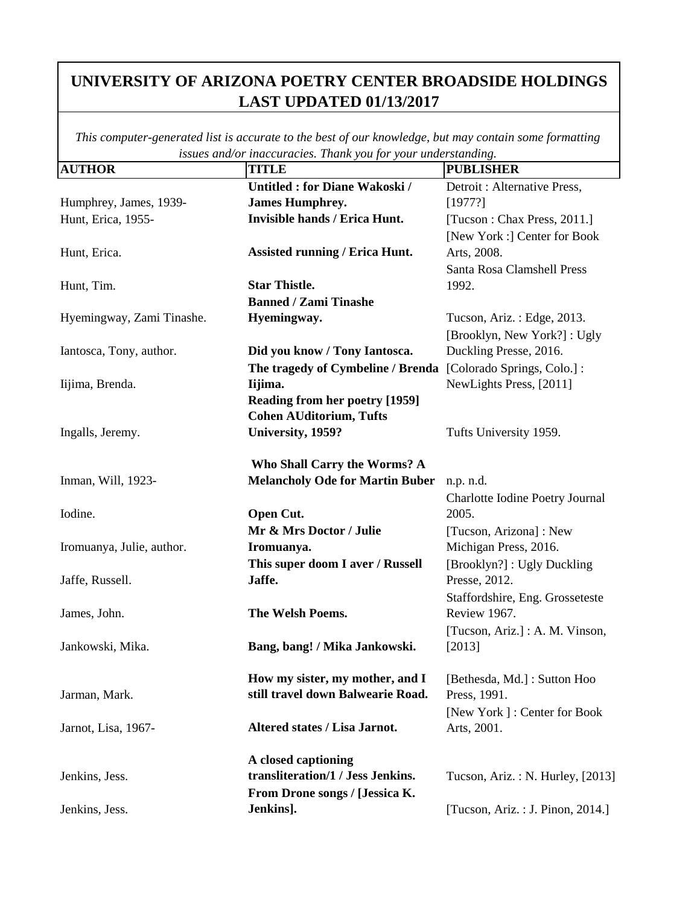|                           | issues ana/or maccuracies. Thank you for your undersidiating. |                                   |
|---------------------------|---------------------------------------------------------------|-----------------------------------|
| <b>AUTHOR</b>             | <b>TITLE</b>                                                  | <b>PUBLISHER</b>                  |
|                           | <b>Untitled: for Diane Wakoski /</b>                          | Detroit : Alternative Press,      |
| Humphrey, James, 1939-    | <b>James Humphrey.</b>                                        | [1977?]                           |
| Hunt, Erica, 1955-        | <b>Invisible hands / Erica Hunt.</b>                          | [Tucson : Chax Press, 2011.]      |
|                           |                                                               | [New York :] Center for Book      |
| Hunt, Erica.              | <b>Assisted running / Erica Hunt.</b>                         | Arts, 2008.                       |
|                           |                                                               | Santa Rosa Clamshell Press        |
| Hunt, Tim.                | <b>Star Thistle.</b>                                          | 1992.                             |
|                           | <b>Banned / Zami Tinashe</b>                                  |                                   |
| Hyemingway, Zami Tinashe. | Hyemingway.                                                   | Tucson, Ariz.: Edge, 2013.        |
|                           |                                                               | [Brooklyn, New York?]: Ugly       |
| Iantosca, Tony, author.   | Did you know / Tony Iantosca.                                 | Duckling Presse, 2016.            |
|                           | The tragedy of Cymbeline / Brenda                             | [Colorado Springs, Colo.] :       |
| Iijima, Brenda.           | Iijima.                                                       | NewLights Press, [2011]           |
|                           | <b>Reading from her poetry [1959]</b>                         |                                   |
|                           | <b>Cohen AUditorium, Tufts</b>                                |                                   |
| Ingalls, Jeremy.          | University, 1959?                                             | Tufts University 1959.            |
|                           |                                                               |                                   |
|                           | Who Shall Carry the Worms? A                                  |                                   |
| Inman, Will, 1923-        | <b>Melancholy Ode for Martin Buber</b>                        | n.p. n.d.                         |
|                           |                                                               | Charlotte Iodine Poetry Journal   |
| Iodine.                   | Open Cut.                                                     | 2005.                             |
|                           | Mr & Mrs Doctor / Julie                                       | [Tucson, Arizona] : New           |
| Iromuanya, Julie, author. | Iromuanya.                                                    | Michigan Press, 2016.             |
|                           | This super doom I aver / Russell                              | [Brooklyn?] : Ugly Duckling       |
| Jaffe, Russell.           | Jaffe.                                                        | Presse, 2012.                     |
|                           |                                                               | Staffordshire, Eng. Grosseteste   |
| James, John.              | The Welsh Poems.                                              | Review 1967.                      |
|                           |                                                               | [Tucson, Ariz.] : A. M. Vinson,   |
| Jankowski, Mika.          | Bang, bang! / Mika Jankowski.                                 | [2013]                            |
|                           |                                                               |                                   |
|                           | How my sister, my mother, and I                               | [Bethesda, Md.]: Sutton Hoo       |
| Jarman, Mark.             | still travel down Balwearie Road.                             | Press, 1991.                      |
|                           |                                                               | [New York]: Center for Book       |
| Jarnot, Lisa, 1967-       | Altered states / Lisa Jarnot.                                 | Arts, 2001.                       |
|                           |                                                               |                                   |
|                           | A closed captioning                                           |                                   |
| Jenkins, Jess.            | transliteration/1 / Jess Jenkins.                             | Tucson, Ariz.: N. Hurley, [2013]  |
|                           | From Drone songs / [Jessica K.                                |                                   |
| Jenkins, Jess.            | Jenkins].                                                     | [Tucson, Ariz. : J. Pinon, 2014.] |
|                           |                                                               |                                   |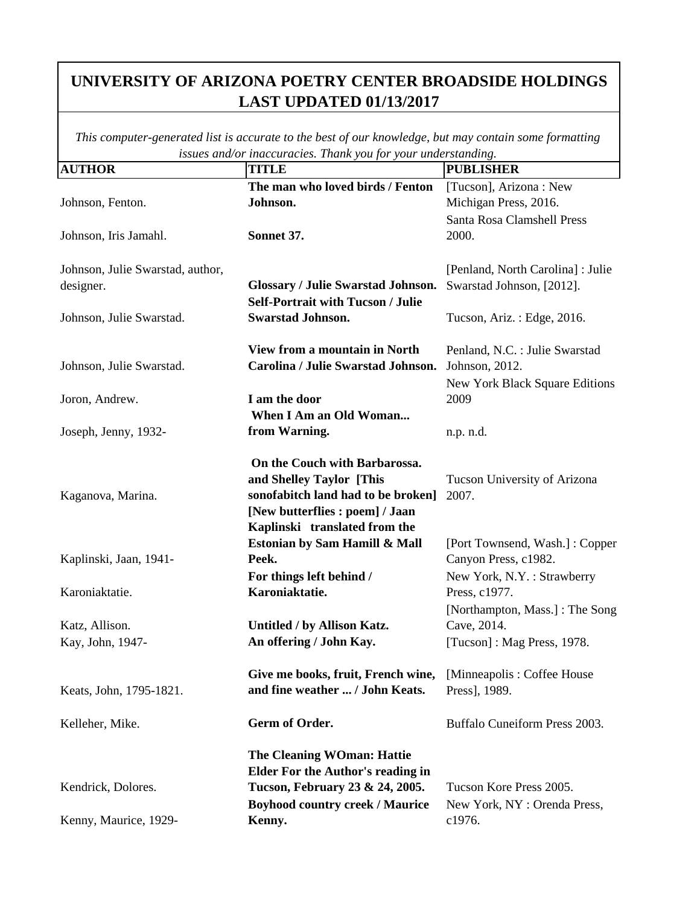|                                  | issues ana/or maccuracies. Thank you for your understanding. |                                   |
|----------------------------------|--------------------------------------------------------------|-----------------------------------|
| <b>AUTHOR</b>                    | <b>TITLE</b>                                                 | <b>PUBLISHER</b>                  |
|                                  | The man who loved birds / Fenton                             | [Tucson], Arizona: New            |
| Johnson, Fenton.                 | Johnson.                                                     | Michigan Press, 2016.             |
|                                  |                                                              | Santa Rosa Clamshell Press        |
| Johnson, Iris Jamahl.            | Sonnet 37.                                                   | 2000.                             |
|                                  |                                                              |                                   |
| Johnson, Julie Swarstad, author, |                                                              | [Penland, North Carolina] : Julie |
| designer.                        | <b>Glossary / Julie Swarstad Johnson.</b>                    | Swarstad Johnson, [2012].         |
|                                  |                                                              |                                   |
|                                  | <b>Self-Portrait with Tucson / Julie</b>                     |                                   |
| Johnson, Julie Swarstad.         | <b>Swarstad Johnson.</b>                                     | Tucson, Ariz.: Edge, 2016.        |
|                                  | View from a mountain in North                                | Penland, N.C. : Julie Swarstad    |
| Johnson, Julie Swarstad.         | Carolina / Julie Swarstad Johnson.                           | Johnson, 2012.                    |
|                                  |                                                              | New York Black Square Editions    |
| Joron, Andrew.                   | I am the door                                                | 2009                              |
|                                  | When I Am an Old Woman                                       |                                   |
| Joseph, Jenny, 1932-             | from Warning.                                                | n.p. n.d.                         |
|                                  |                                                              |                                   |
|                                  | On the Couch with Barbarossa.                                |                                   |
|                                  | and Shelley Taylor [This                                     | Tucson University of Arizona      |
| Kaganova, Marina.                | sonofabitch land had to be broken]                           | 2007.                             |
|                                  | [New butterflies : poem] / Jaan                              |                                   |
|                                  | Kaplinski translated from the                                |                                   |
|                                  | Estonian by Sam Hamill & Mall                                | [Port Townsend, Wash.]: Copper    |
| Kaplinski, Jaan, 1941-           | Peek.                                                        | Canyon Press, c1982.              |
|                                  | For things left behind /                                     | New York, N.Y.: Strawberry        |
| Karoniaktatie.                   | Karoniaktatie.                                               | Press, c1977.                     |
|                                  |                                                              |                                   |
|                                  |                                                              | [Northampton, Mass.] : The Song   |
| Katz, Allison.                   | Untitled / by Allison Katz.                                  | Cave, 2014.                       |
| Kay, John, 1947-                 | An offering / John Kay.                                      | [Tucson]: Mag Press, 1978.        |
|                                  | Give me books, fruit, French wine,                           | [Minneapolis: Coffee House        |
| Keats, John, 1795-1821.          | and fine weather  / John Keats.                              | Press], 1989.                     |
|                                  |                                                              |                                   |
| Kelleher, Mike.                  | Germ of Order.                                               | Buffalo Cuneiform Press 2003.     |
|                                  | <b>The Cleaning WOman: Hattie</b>                            |                                   |
|                                  | <b>Elder For the Author's reading in</b>                     |                                   |
| Kendrick, Dolores.               | Tucson, February 23 & 24, 2005.                              | Tucson Kore Press 2005.           |
|                                  | <b>Boyhood country creek / Maurice</b>                       | New York, NY : Orenda Press,      |
| Kenny, Maurice, 1929-            | Kenny.                                                       | c1976.                            |
|                                  |                                                              |                                   |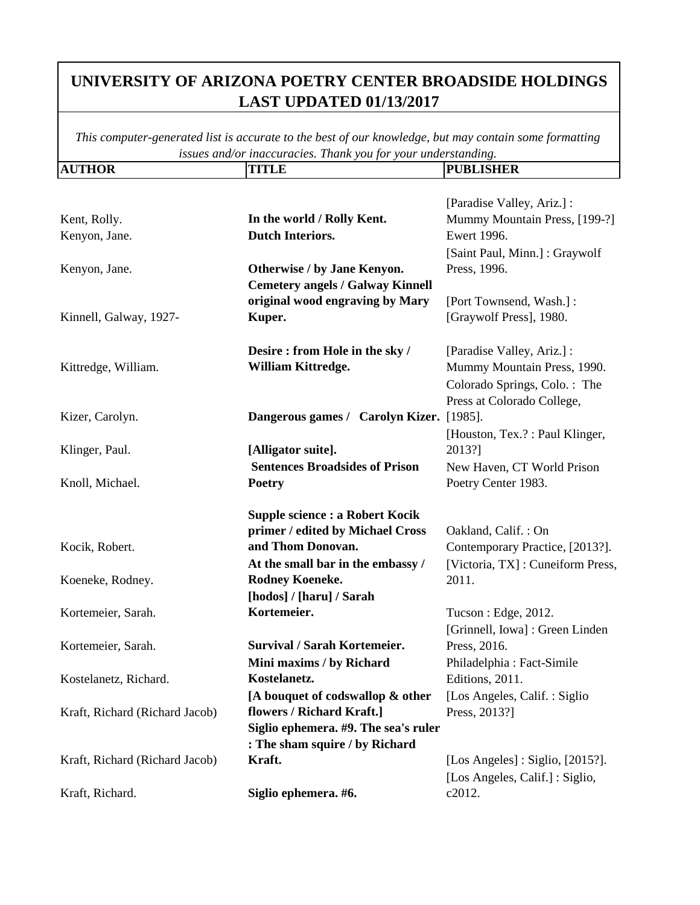| <b>AUTHOR</b>                  | <b>TITLE</b>                             | <b>PUBLISHER</b>                                |
|--------------------------------|------------------------------------------|-------------------------------------------------|
|                                |                                          |                                                 |
|                                |                                          | [Paradise Valley, Ariz.] :                      |
| Kent, Rolly.                   | In the world / Rolly Kent.               | Mummy Mountain Press, [199-?]                   |
| Kenyon, Jane.                  | <b>Dutch Interiors.</b>                  | Ewert 1996.                                     |
|                                |                                          | [Saint Paul, Minn.]: Graywolf                   |
| Kenyon, Jane.                  | Otherwise / by Jane Kenyon.              | Press, 1996.                                    |
|                                | <b>Cemetery angels / Galway Kinnell</b>  |                                                 |
|                                | original wood engraving by Mary          | [Port Townsend, Wash.] :                        |
| Kinnell, Galway, 1927-         | Kuper.                                   | [Graywolf Press], 1980.                         |
|                                | Desire: from Hole in the sky /           | [Paradise Valley, Ariz.] :                      |
| Kittredge, William.            | William Kittredge.                       | Mummy Mountain Press, 1990.                     |
|                                |                                          | Colorado Springs, Colo.: The                    |
|                                |                                          | Press at Colorado College,                      |
| Kizer, Carolyn.                | Dangerous games / Carolyn Kizer. [1985]. |                                                 |
|                                |                                          | [Houston, Tex.?: Paul Klinger,                  |
| Klinger, Paul.                 | [Alligator suite].                       | 2013?]                                          |
|                                | <b>Sentences Broadsides of Prison</b>    | New Haven, CT World Prison                      |
| Knoll, Michael.                | <b>Poetry</b>                            | Poetry Center 1983.                             |
|                                | <b>Supple science : a Robert Kocik</b>   |                                                 |
|                                | primer / edited by Michael Cross         | Oakland, Calif.: On                             |
| Kocik, Robert.                 | and Thom Donovan.                        | Contemporary Practice, [2013?].                 |
|                                | At the small bar in the embassy /        | [Victoria, TX]: Cuneiform Press,                |
| Koeneke, Rodney.               | Rodney Koeneke.                          | 2011.                                           |
|                                | [hodos] / [haru] / Sarah                 |                                                 |
| Kortemeier, Sarah.             | Kortemeier.                              | Tucson : Edge, 2012.                            |
|                                |                                          | [Grinnell, Iowa] : Green Linden                 |
| Kortemeier, Sarah.             | <b>Survival / Sarah Kortemeier.</b>      | Press, 2016.                                    |
|                                | Mini maxims / by Richard                 | Philadelphia: Fact-Simile                       |
| Kostelanetz, Richard.          | Kostelanetz.                             | Editions, 2011.                                 |
|                                | [A bouquet of codswallop & other         | [Los Angeles, Calif.: Siglio]                   |
| Kraft, Richard (Richard Jacob) | flowers / Richard Kraft.]                | Press, 2013?]                                   |
|                                | Siglio ephemera. #9. The sea's ruler     |                                                 |
|                                | : The sham squire / by Richard           |                                                 |
| Kraft, Richard (Richard Jacob) | Kraft.                                   | [Los Angeles] : Siglio, $[2015$ <sup>2</sup> ]. |
|                                |                                          | [Los Angeles, Calif.]: Siglio,                  |
| Kraft, Richard.                | Siglio ephemera. #6.                     | c2012.                                          |
|                                |                                          |                                                 |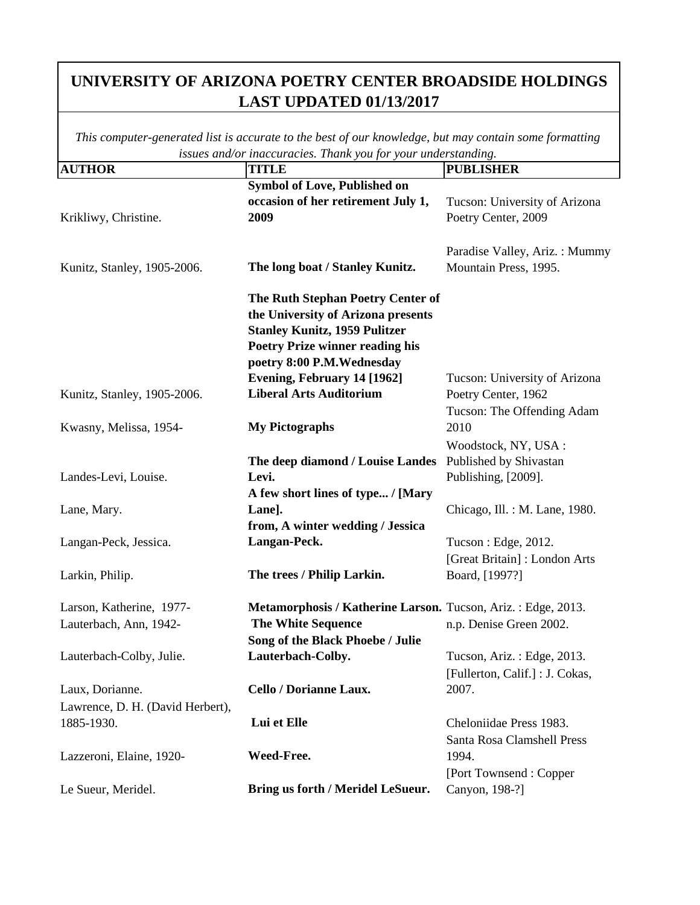| <b>AUTHOR</b>                    | issues ana/or inaccuracies. I nank you jor your unaersianaing.<br><b>TITLE</b> | <b>PUBLISHER</b>                |
|----------------------------------|--------------------------------------------------------------------------------|---------------------------------|
|                                  | Symbol of Love, Published on                                                   |                                 |
|                                  | occasion of her retirement July 1,                                             | Tucson: University of Arizona   |
| Krikliwy, Christine.             | 2009                                                                           | Poetry Center, 2009             |
|                                  |                                                                                |                                 |
|                                  |                                                                                | Paradise Valley, Ariz.: Mummy   |
| Kunitz, Stanley, 1905-2006.      | The long boat / Stanley Kunitz.                                                | Mountain Press, 1995.           |
|                                  | The Ruth Stephan Poetry Center of                                              |                                 |
|                                  | the University of Arizona presents                                             |                                 |
|                                  | <b>Stanley Kunitz, 1959 Pulitzer</b>                                           |                                 |
|                                  | <b>Poetry Prize winner reading his</b>                                         |                                 |
|                                  | poetry 8:00 P.M.Wednesday                                                      |                                 |
|                                  | Evening, February 14 [1962]                                                    | Tucson: University of Arizona   |
| Kunitz, Stanley, 1905-2006.      | <b>Liberal Arts Auditorium</b>                                                 | Poetry Center, 1962             |
|                                  |                                                                                | Tucson: The Offending Adam      |
| Kwasny, Melissa, 1954-           | <b>My Pictographs</b>                                                          | 2010                            |
|                                  |                                                                                | Woodstock, NY, USA:             |
|                                  | The deep diamond / Louise Landes                                               | Published by Shivastan          |
| Landes-Levi, Louise.             | Levi.                                                                          | Publishing, [2009].             |
|                                  | A few short lines of type / [Mary                                              |                                 |
| Lane, Mary.                      | Lane].                                                                         | Chicago, Ill. : M. Lane, 1980.  |
|                                  | from, A winter wedding / Jessica                                               |                                 |
| Langan-Peck, Jessica.            | Langan-Peck.                                                                   | Tucson : Edge, 2012.            |
|                                  |                                                                                | [Great Britain]: London Arts    |
| Larkin, Philip.                  | The trees / Philip Larkin.                                                     | Board, [1997?]                  |
| Larson, Katherine, 1977-         | Metamorphosis / Katherine Larson. Tucson, Ariz.: Edge, 2013.                   |                                 |
| Lauterbach, Ann, 1942-           | <b>The White Sequence</b>                                                      | n.p. Denise Green 2002.         |
|                                  | Song of the Black Phoebe / Julie                                               |                                 |
| Lauterbach-Colby, Julie.         | Lauterbach-Colby.                                                              | Tucson, Ariz.: Edge, 2013.      |
|                                  |                                                                                | [Fullerton, Calif.] : J. Cokas, |
| Laux, Dorianne.                  | Cello / Dorianne Laux.                                                         | 2007.                           |
| Lawrence, D. H. (David Herbert), |                                                                                |                                 |
| 1885-1930.                       | Lui et Elle                                                                    | Cheloniidae Press 1983.         |
|                                  |                                                                                | Santa Rosa Clamshell Press      |
| Lazzeroni, Elaine, 1920-         | Weed-Free.                                                                     | 1994.                           |
|                                  |                                                                                | [Port Townsend: Copper          |
| Le Sueur, Meridel.               | Bring us forth / Meridel LeSueur.                                              | Canyon, 198-?]                  |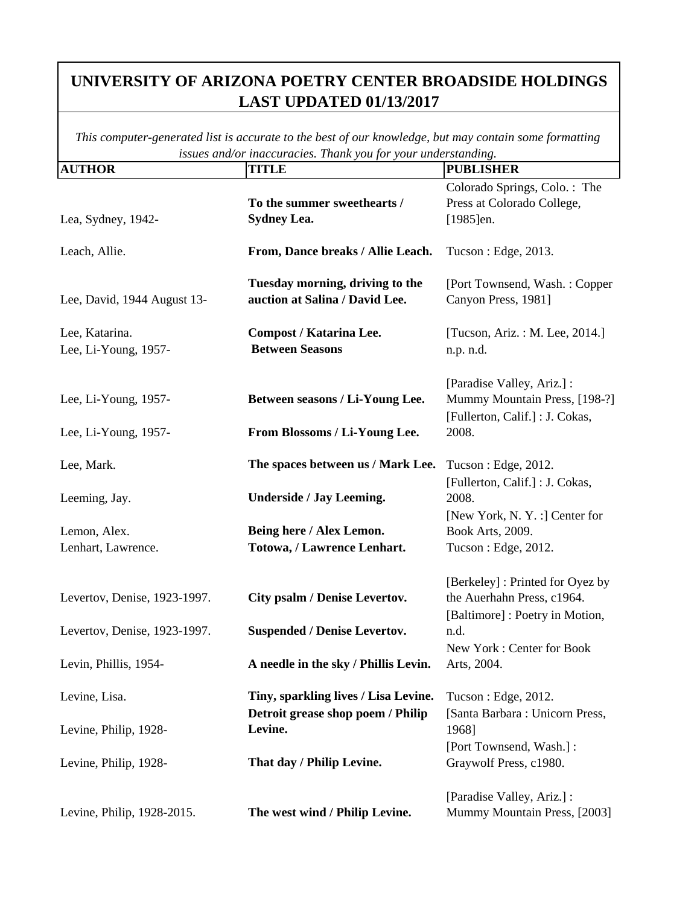| <b>AUTHOR</b>                                         | <b>TITLE</b>                                                              | <b>PUBLISHER</b>                                                                                          |
|-------------------------------------------------------|---------------------------------------------------------------------------|-----------------------------------------------------------------------------------------------------------|
| Lea, Sydney, 1942-                                    | To the summer sweethearts /<br><b>Sydney Lea.</b>                         | Colorado Springs, Colo.: The<br>Press at Colorado College,<br>$[1985]$ en.                                |
| Leach, Allie.                                         | From, Dance breaks / Allie Leach.                                         | Tucson : Edge, 2013.                                                                                      |
| Lee, David, 1944 August 13-                           | Tuesday morning, driving to the<br>auction at Salina / David Lee.         | [Port Townsend, Wash.: Copper<br>Canyon Press, 1981]                                                      |
| Lee, Katarina.<br>Lee, Li-Young, 1957-                | <b>Compost / Katarina Lee.</b><br><b>Between Seasons</b>                  | [Tucson, Ariz.: M. Lee, 2014.]<br>n.p. n.d.                                                               |
| Lee, Li-Young, 1957-<br>Lee, Li-Young, 1957-          | Between seasons / Li-Young Lee.<br>From Blossoms / Li-Young Lee.          | [Paradise Valley, Ariz.] :<br>Mummy Mountain Press, [198-?]<br>[Fullerton, Calif.] : J. Cokas,<br>2008.   |
| Lee, Mark.                                            | The spaces between us / Mark Lee.                                         | Tucson : Edge, 2012.                                                                                      |
| Leeming, Jay.                                         | <b>Underside / Jay Leeming.</b>                                           | [Fullerton, Calif.] : J. Cokas,<br>2008.<br>[New York, N.Y. :] Center for                                 |
| Lemon, Alex.<br>Lenhart, Lawrence.                    | Being here / Alex Lemon.<br>Totowa, / Lawrence Lenhart.                   | Book Arts, 2009.<br>Tucson : Edge, 2012.                                                                  |
| Levertov, Denise, 1923-1997.                          | City psalm / Denise Levertov.<br><b>Suspended / Denise Levertov.</b>      | [Berkeley] : Printed for Oyez by<br>the Auerhahn Press, c1964.<br>[Baltimore] : Poetry in Motion,<br>n.d. |
| Levertov, Denise, 1923-1997.<br>Levin, Phillis, 1954- | A needle in the sky / Phillis Levin.                                      | New York: Center for Book<br>Arts, 2004.                                                                  |
| Levine, Lisa.                                         | Tiny, sparkling lives / Lisa Levine.<br>Detroit grease shop poem / Philip | Tucson : Edge, 2012.<br>[Santa Barbara : Unicorn Press,                                                   |
| Levine, Philip, 1928-                                 | Levine.                                                                   | 1968]<br>[Port Townsend, Wash.] :                                                                         |
| Levine, Philip, 1928-                                 | That day / Philip Levine.                                                 | Graywolf Press, c1980.                                                                                    |
| Levine, Philip, 1928-2015.                            | The west wind / Philip Levine.                                            | [Paradise Valley, Ariz.] :<br>Mummy Mountain Press, [2003]                                                |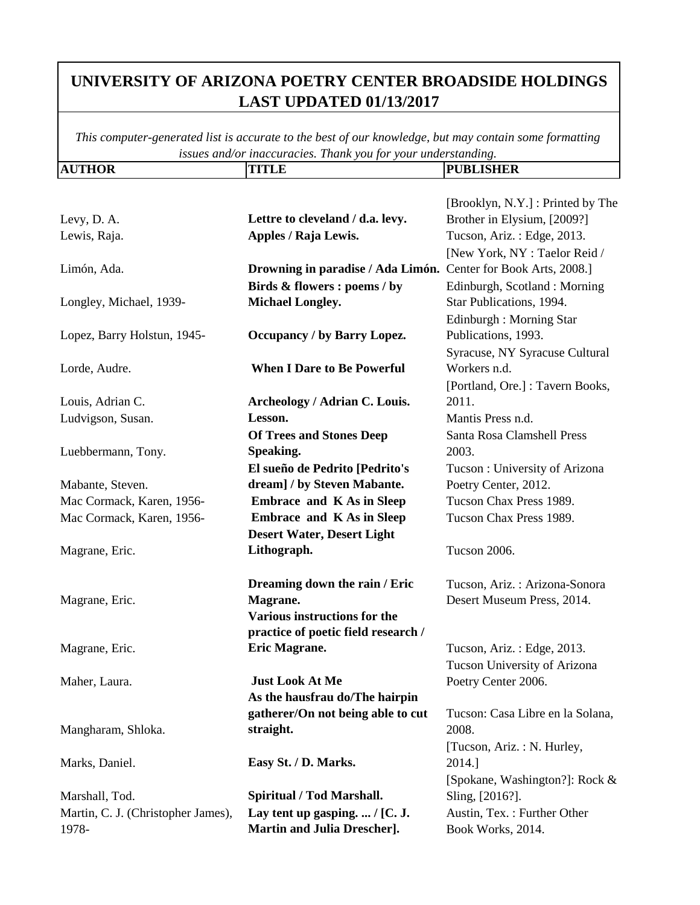| <b>AUTHOR</b>                                 | <b>TITLE</b>                                                   | <b>PUBLISHER</b>                                |
|-----------------------------------------------|----------------------------------------------------------------|-------------------------------------------------|
|                                               |                                                                |                                                 |
|                                               |                                                                | [Brooklyn, N.Y.] : Printed by The               |
| Levy, D. A.                                   | Lettre to cleveland / d.a. levy.                               | Brother in Elysium, [2009?]                     |
| Lewis, Raja.                                  | Apples / Raja Lewis.                                           | Tucson, Ariz.: Edge, 2013.                      |
|                                               |                                                                | [New York, NY : Taelor Reid /                   |
| Limón, Ada.                                   | Drowning in paradise / Ada Limón. Center for Book Arts, 2008.] |                                                 |
|                                               | Birds & flowers : poems / by                                   | Edinburgh, Scotland: Morning                    |
| Longley, Michael, 1939-                       | <b>Michael Longley.</b>                                        | Star Publications, 1994.                        |
|                                               |                                                                | Edinburgh : Morning Star                        |
| Lopez, Barry Holstun, 1945-                   | <b>Occupancy / by Barry Lopez.</b>                             | Publications, 1993.                             |
|                                               |                                                                | Syracuse, NY Syracuse Cultural                  |
| Lorde, Audre.                                 | <b>When I Dare to Be Powerful</b>                              | Workers n.d.                                    |
|                                               |                                                                | [Portland, Ore.] : Tavern Books,                |
| Louis, Adrian C.                              | Archeology / Adrian C. Louis.                                  | 2011.                                           |
| Ludvigson, Susan.                             | Lesson.                                                        | Mantis Press n.d.                               |
|                                               | <b>Of Trees and Stones Deep</b>                                | Santa Rosa Clamshell Press                      |
| Luebbermann, Tony.                            | Speaking.                                                      | 2003.                                           |
|                                               | El sueño de Pedrito [Pedrito's<br>dream] / by Steven Mabante.  | Tucson: University of Arizona                   |
| Mabante, Steven.<br>Mac Cormack, Karen, 1956- | <b>Embrace and K As in Sleep</b>                               | Poetry Center, 2012.<br>Tucson Chax Press 1989. |
| Mac Cormack, Karen, 1956-                     | <b>Embrace and K As in Sleep</b>                               | Tucson Chax Press 1989.                         |
|                                               | <b>Desert Water, Desert Light</b>                              |                                                 |
| Magrane, Eric.                                | Lithograph.                                                    | Tucson 2006.                                    |
|                                               |                                                                |                                                 |
|                                               | Dreaming down the rain / Eric                                  | Tucson, Ariz.: Arizona-Sonora                   |
| Magrane, Eric.                                | Magrane.                                                       | Desert Museum Press, 2014.                      |
|                                               | <b>Various instructions for the</b>                            |                                                 |
|                                               | practice of poetic field research /                            |                                                 |
| Magrane, Eric.                                | Eric Magrane.                                                  | Tucson, Ariz.: Edge, 2013.                      |
|                                               |                                                                | Tucson University of Arizona                    |
| Maher, Laura.                                 | <b>Just Look At Me</b>                                         | Poetry Center 2006.                             |
|                                               | As the hausfrau do/The hairpin                                 |                                                 |
|                                               | gatherer/On not being able to cut                              | Tucson: Casa Libre en la Solana,                |
| Mangharam, Shloka.                            | straight.                                                      | 2008.                                           |
|                                               |                                                                | [Tucson, Ariz.: N. Hurley,                      |
| Marks, Daniel.                                | Easy St. / D. Marks.                                           | 2014.]                                          |
|                                               |                                                                | [Spokane, Washington?]: Rock &                  |
| Marshall, Tod.                                | Spiritual / Tod Marshall.                                      | Sling, [2016?].                                 |
| Martin, C. J. (Christopher James),            | Lay tent up gasping. $/$ [C. J.                                | Austin, Tex. : Further Other                    |
| 1978-                                         | <b>Martin and Julia Drescher].</b>                             | Book Works, 2014.                               |
|                                               |                                                                |                                                 |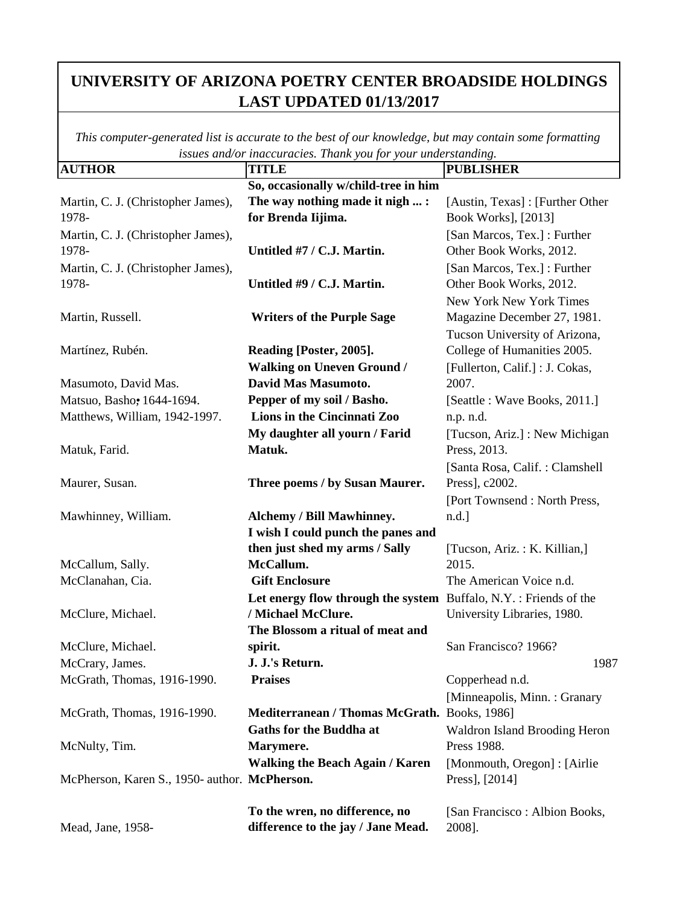| <b>AUTHOR</b>                                 | <i>maccuracies</i> . <i>Frame you your unacroamains</i> .<br><b>TITLE</b> | <b>PUBLISHER</b>                     |
|-----------------------------------------------|---------------------------------------------------------------------------|--------------------------------------|
|                                               | So, occasionally w/child-tree in him                                      |                                      |
| Martin, C. J. (Christopher James),            | The way nothing made it nigh  :                                           | [Austin, Texas]: [Further Other      |
| 1978-                                         | for Brenda Iijima.                                                        | Book Works], [2013]                  |
| Martin, C. J. (Christopher James),            |                                                                           | [San Marcos, Tex.] : Further         |
| 1978-                                         | Untitled #7 / C.J. Martin.                                                | Other Book Works, 2012.              |
| Martin, C. J. (Christopher James),            |                                                                           | [San Marcos, Tex.] : Further         |
| 1978-                                         | Untitled #9 / C.J. Martin.                                                | Other Book Works, 2012.              |
|                                               |                                                                           | New York New York Times              |
| Martin, Russell.                              | <b>Writers of the Purple Sage</b>                                         | Magazine December 27, 1981.          |
|                                               |                                                                           | Tucson University of Arizona,        |
| Martínez, Rubén.                              | Reading [Poster, 2005].                                                   | College of Humanities 2005.          |
|                                               | <b>Walking on Uneven Ground /</b>                                         | [Fullerton, Calif.] : J. Cokas,      |
| Masumoto, David Mas.                          | David Mas Masumoto.                                                       | 2007.                                |
| Matsuo, Basho, 1644-1694.                     | Pepper of my soil / Basho.                                                | [Seattle : Wave Books, 2011.]        |
| Matthews, William, 1942-1997.                 | Lions in the Cincinnati Zoo                                               | n.p. n.d.                            |
|                                               | My daughter all yourn / Farid                                             | [Tucson, Ariz.] : New Michigan       |
| Matuk, Farid.                                 | Matuk.                                                                    | Press, 2013.                         |
|                                               |                                                                           | [Santa Rosa, Calif.: Clamshell       |
| Maurer, Susan.                                | Three poems / by Susan Maurer.                                            | Press], c2002.                       |
|                                               |                                                                           | [Port Townsend: North Press,         |
| Mawhinney, William.                           | Alchemy / Bill Mawhinney.                                                 | $n.d.$ ]                             |
|                                               | I wish I could punch the panes and                                        |                                      |
|                                               | then just shed my arms / Sally                                            | [Tucson, Ariz.: K. Killian,]         |
| McCallum, Sally.                              | McCallum.                                                                 | 2015.                                |
| McClanahan, Cia.                              | <b>Gift Enclosure</b>                                                     | The American Voice n.d.              |
|                                               | Let energy flow through the system Buffalo, N.Y. : Friends of the         |                                      |
| McClure, Michael.                             | / Michael McClure.                                                        | University Libraries, 1980.          |
|                                               | The Blossom a ritual of meat and                                          |                                      |
| McClure, Michael.                             | spirit.                                                                   | San Francisco? 1966?                 |
| McCrary, James.                               | J. J.'s Return.                                                           | 1987                                 |
| McGrath, Thomas, 1916-1990.                   | <b>Praises</b>                                                            | Copperhead n.d.                      |
|                                               |                                                                           | [Minneapolis, Minn.: Granary         |
| McGrath, Thomas, 1916-1990.                   | Mediterranean / Thomas McGrath. Books, 1986]                              |                                      |
|                                               | <b>Gaths for the Buddha at</b>                                            | <b>Waldron Island Brooding Heron</b> |
| McNulty, Tim.                                 | Marymere.                                                                 | Press 1988.                          |
|                                               | <b>Walking the Beach Again / Karen</b>                                    | [Monmouth, Oregon] : [Airlie         |
| McPherson, Karen S., 1950- author. McPherson. |                                                                           | Press], [2014]                       |
|                                               | To the wren, no difference, no                                            | [San Francisco : Albion Books,       |
| Mead, Jane, 1958-                             | difference to the jay / Jane Mead.                                        | 2008].                               |
|                                               |                                                                           |                                      |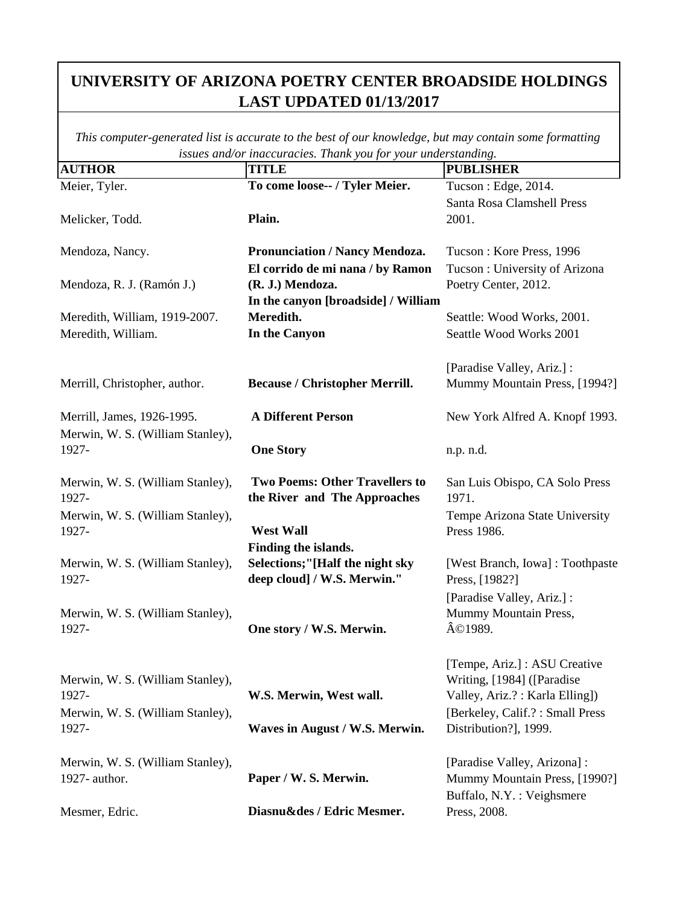| <b>AUTHOR</b>                    | maccuractes. Thank you for your unaerstanding.<br><b>TITLE</b> | <b>PUBLISHER</b>                                             |
|----------------------------------|----------------------------------------------------------------|--------------------------------------------------------------|
| Meier, Tyler.                    | To come loose-- / Tyler Meier.                                 | Tucson: Edge, 2014.                                          |
|                                  |                                                                | Santa Rosa Clamshell Press                                   |
| Melicker, Todd.                  | Plain.                                                         | 2001.                                                        |
|                                  |                                                                |                                                              |
| Mendoza, Nancy.                  | <b>Pronunciation / Nancy Mendoza.</b>                          | Tucson: Kore Press, 1996                                     |
|                                  | El corrido de mi nana / by Ramon                               | Tucson: University of Arizona                                |
| Mendoza, R. J. (Ramón J.)        | (R. J.) Mendoza.                                               | Poetry Center, 2012.                                         |
|                                  | In the canyon [broadside] / William                            |                                                              |
| Meredith, William, 1919-2007.    | Meredith.                                                      | Seattle: Wood Works, 2001.                                   |
| Meredith, William.               | In the Canyon                                                  | Seattle Wood Works 2001                                      |
|                                  |                                                                |                                                              |
|                                  |                                                                | [Paradise Valley, Ariz.]:                                    |
| Merrill, Christopher, author.    | <b>Because / Christopher Merrill.</b>                          | Mummy Mountain Press, [1994?]                                |
|                                  |                                                                |                                                              |
| Merrill, James, 1926-1995.       | <b>A Different Person</b>                                      | New York Alfred A. Knopf 1993.                               |
| Merwin, W. S. (William Stanley), |                                                                |                                                              |
| 1927-                            | <b>One Story</b>                                               | n.p. n.d.                                                    |
|                                  |                                                                |                                                              |
| Merwin, W. S. (William Stanley), | <b>Two Poems: Other Travellers to</b>                          | San Luis Obispo, CA Solo Press                               |
| 1927-                            | the River and The Approaches                                   | 1971.                                                        |
| Merwin, W. S. (William Stanley), |                                                                | Tempe Arizona State University                               |
| 1927-                            | <b>West Wall</b>                                               | Press 1986.                                                  |
|                                  | Finding the islands.                                           |                                                              |
| Merwin, W. S. (William Stanley), | Selections;"[Half the night sky                                | [West Branch, Iowa]: Toothpaste                              |
| 1927-                            | deep cloud] / W.S. Merwin."                                    | Press, [1982?]                                               |
|                                  |                                                                | [Paradise Valley, Ariz.] :                                   |
| Merwin, W. S. (William Stanley), | One story / W.S. Merwin.                                       | Mummy Mountain Press,<br>©1989.                              |
| 1927-                            |                                                                |                                                              |
|                                  |                                                                |                                                              |
| Merwin, W. S. (William Stanley), |                                                                | [Tempe, Ariz.] : ASU Creative<br>Writing, [1984] ([Paradise] |
| 1927-                            | W.S. Merwin, West wall.                                        | Valley, Ariz.?: Karla Elling])                               |
| Merwin, W. S. (William Stanley), |                                                                | [Berkeley, Calif.?: Small Press                              |
| 1927-                            | Waves in August / W.S. Merwin.                                 | Distribution?], 1999.                                        |
|                                  |                                                                |                                                              |
| Merwin, W. S. (William Stanley), |                                                                | [Paradise Valley, Arizona] :                                 |
| 1927- author.                    | Paper / W. S. Merwin.                                          | Mummy Mountain Press, [1990?]                                |
|                                  |                                                                | Buffalo, N.Y. : Veighsmere                                   |
| Mesmer, Edric.                   | Diasnu&des / Edric Mesmer.                                     | Press, 2008.                                                 |
|                                  |                                                                |                                                              |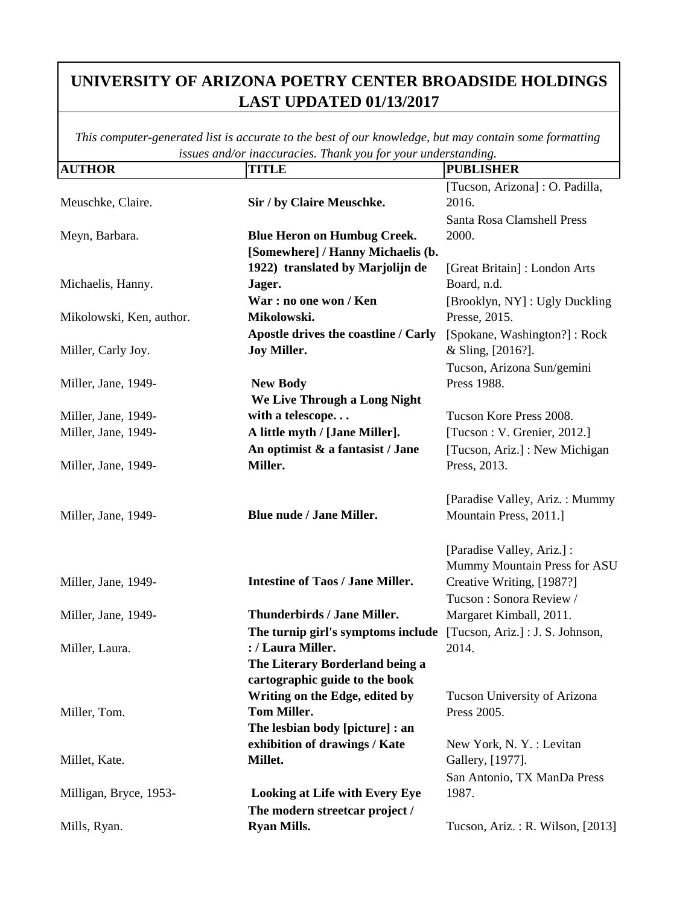| <b>AUTHOR</b>            | <b>TITLE</b>                            | <b>PUBLISHER</b>                 |
|--------------------------|-----------------------------------------|----------------------------------|
|                          |                                         | [Tucson, Arizona] : O. Padilla,  |
| Meuschke, Claire.        | Sir / by Claire Meuschke.               | 2016.                            |
|                          |                                         | Santa Rosa Clamshell Press       |
| Meyn, Barbara.           | <b>Blue Heron on Humbug Creek.</b>      | 2000.                            |
|                          | [Somewhere] / Hanny Michaelis (b.       |                                  |
|                          | 1922) translated by Marjolijn de        | [Great Britain]: London Arts     |
| Michaelis, Hanny.        | Jager.                                  | Board, n.d.                      |
|                          | War : no one won / Ken                  | [Brooklyn, NY] : Ugly Duckling   |
| Mikolowski, Ken, author. | Mikolowski.                             | Presse, 2015.                    |
|                          | Apostle drives the coastline / Carly    | [Spokane, Washington?]: Rock     |
| Miller, Carly Joy.       | <b>Joy Miller.</b>                      | & Sling, [2016?].                |
|                          |                                         | Tucson, Arizona Sun/gemini       |
| Miller, Jane, 1949-      | <b>New Body</b>                         | Press 1988.                      |
|                          | We Live Through a Long Night            |                                  |
| Miller, Jane, 1949-      | with a telescope                        | Tucson Kore Press 2008.          |
| Miller, Jane, 1949-      | A little myth / [Jane Miller].          | [Tucson : V. Grenier, 2012.]     |
|                          | An optimist & a fantasist / Jane        | [Tucson, Ariz.] : New Michigan   |
| Miller, Jane, 1949-      | Miller.                                 | Press, 2013.                     |
|                          |                                         |                                  |
|                          |                                         | [Paradise Valley, Ariz.: Mummy]  |
| Miller, Jane, 1949-      | <b>Blue nude / Jane Miller.</b>         | Mountain Press, 2011.]           |
|                          |                                         |                                  |
|                          |                                         | [Paradise Valley, Ariz.] :       |
|                          |                                         | Mummy Mountain Press for ASU     |
| Miller, Jane, 1949-      | <b>Intestine of Taos / Jane Miller.</b> | Creative Writing, [1987?]        |
|                          |                                         | Tucson: Sonora Review /          |
| Miller, Jane, 1949-      | Thunderbirds / Jane Miller.             | Margaret Kimball, 2011.          |
|                          | The turnip girl's symptoms include      | [Tucson, Ariz.] : J. S. Johnson, |
| Miller, Laura.           | : / Laura Miller.                       | 2014.                            |
|                          | The Literary Borderland being a         |                                  |
|                          | cartographic guide to the book          |                                  |
|                          | Writing on the Edge, edited by          | Tucson University of Arizona     |
| Miller, Tom.             | <b>Tom Miller.</b>                      | Press 2005.                      |
|                          | The lesbian body [picture] : an         |                                  |
|                          | exhibition of drawings / Kate           | New York, N.Y.: Levitan          |
| Millet, Kate.            | Millet.                                 | Gallery, [1977].                 |
|                          |                                         | San Antonio, TX ManDa Press      |
| Milligan, Bryce, 1953-   | <b>Looking at Life with Every Eye</b>   | 1987.                            |
|                          | The modern streetcar project /          |                                  |
| Mills, Ryan.             | <b>Ryan Mills.</b>                      | Tucson, Ariz.: R. Wilson, [2013] |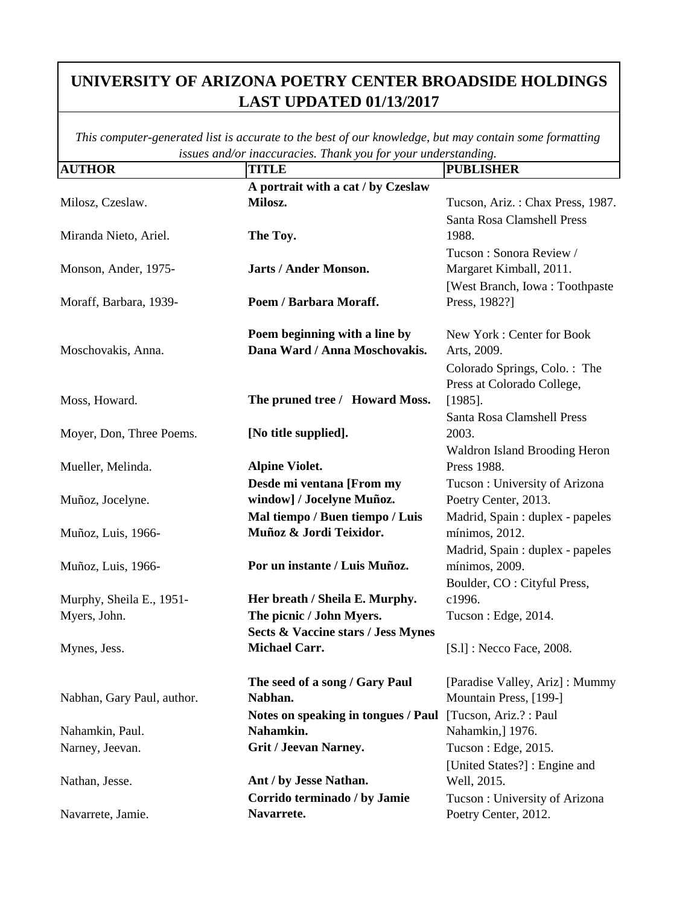| <b>AUTHOR</b>              | <b>TITLE</b>                              | <b>PUBLISHER</b>                                           |
|----------------------------|-------------------------------------------|------------------------------------------------------------|
|                            | A portrait with a cat / by Czeslaw        |                                                            |
| Milosz, Czeslaw.           | Milosz.                                   | Tucson, Ariz.: Chax Press, 1987.                           |
|                            |                                           | Santa Rosa Clamshell Press                                 |
| Miranda Nieto, Ariel.      | The Toy.                                  | 1988.                                                      |
|                            |                                           | Tucson: Sonora Review /                                    |
| Monson, Ander, 1975-       | Jarts / Ander Monson.                     | Margaret Kimball, 2011.                                    |
|                            |                                           | [West Branch, Iowa: Toothpaste]                            |
| Moraff, Barbara, 1939-     | Poem / Barbara Moraff.                    | Press, 1982?]                                              |
|                            | Poem beginning with a line by             | New York: Center for Book                                  |
| Moschovakis, Anna.         | Dana Ward / Anna Moschovakis.             | Arts, 2009.                                                |
|                            |                                           |                                                            |
|                            |                                           | Colorado Springs, Colo.: The<br>Press at Colorado College, |
| Moss, Howard.              | The pruned tree / Howard Moss.            | $[1985]$ .                                                 |
|                            |                                           | Santa Rosa Clamshell Press                                 |
| Moyer, Don, Three Poems.   | [No title supplied].                      | 2003.                                                      |
|                            |                                           | <b>Waldron Island Brooding Heron</b>                       |
| Mueller, Melinda.          | <b>Alpine Violet.</b>                     | Press 1988.                                                |
|                            | Desde mi ventana [From my                 | Tucson: University of Arizona                              |
| Muñoz, Jocelyne.           | window] / Jocelyne Muñoz.                 | Poetry Center, 2013.                                       |
|                            | Mal tiempo / Buen tiempo / Luis           | Madrid, Spain : duplex - papeles                           |
| Muñoz, Luis, 1966-         | Muñoz & Jordi Teixidor.                   | mínimos, 2012.                                             |
|                            |                                           | Madrid, Spain : duplex - papeles                           |
| Muñoz, Luis, 1966-         | Por un instante / Luis Muñoz.             | mínimos, 2009.                                             |
|                            |                                           | Boulder, CO : Cityful Press,                               |
| Murphy, Sheila E., 1951-   | Her breath / Sheila E. Murphy.            | c1996.                                                     |
| Myers, John.               | The picnic / John Myers.                  | Tucson: Edge, 2014.                                        |
|                            | Sects & Vaccine stars / Jess Mynes        |                                                            |
| Mynes, Jess.               | <b>Michael Carr.</b>                      | [S.1] : Necco Face, 2008.                                  |
|                            |                                           |                                                            |
|                            | The seed of a song / Gary Paul<br>Nabhan. | [Paradise Valley, Ariz]: Mummy<br>Mountain Press, [199-]   |
| Nabhan, Gary Paul, author. | Notes on speaking in tongues / Paul       | [Tucson, Ariz.?: Paul                                      |
| Nahamkin, Paul.            | Nahamkin.                                 | Nahamkin,] 1976.                                           |
| Narney, Jeevan.            | <b>Grit / Jeevan Narney.</b>              | Tucson: Edge, 2015.                                        |
|                            |                                           | [United States?]: Engine and                               |
| Nathan, Jesse.             | Ant / by Jesse Nathan.                    | Well, 2015.                                                |
|                            | Corrido terminado / by Jamie              | Tucson: University of Arizona                              |
| Navarrete, Jamie.          | Navarrete.                                | Poetry Center, 2012.                                       |
|                            |                                           |                                                            |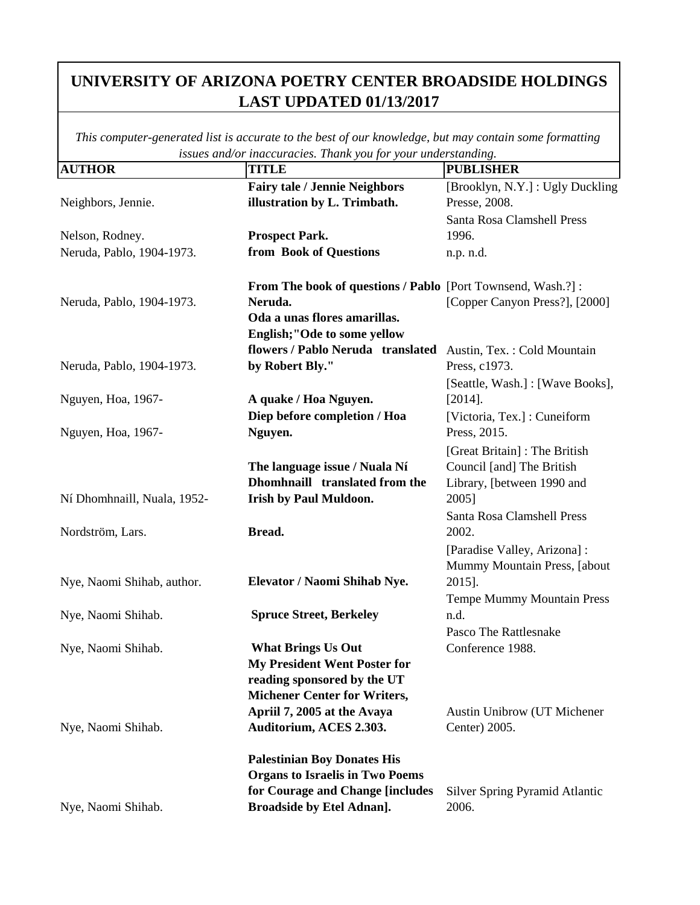| <b>AUTHOR</b>               | <b>TITLE</b>                                                  | <b>PUBLISHER</b>                    |
|-----------------------------|---------------------------------------------------------------|-------------------------------------|
|                             | Fairy tale / Jennie Neighbors                                 | [Brooklyn, N.Y.] : Ugly Duckling    |
| Neighbors, Jennie.          | illustration by L. Trimbath.                                  | Presse, 2008.                       |
|                             |                                                               | Santa Rosa Clamshell Press          |
| Nelson, Rodney.             | <b>Prospect Park.</b>                                         | 1996.                               |
| Neruda, Pablo, 1904-1973.   | from Book of Questions                                        | n.p. n.d.                           |
|                             | From The book of questions / Pablo [Port Townsend, Wash.?]:   |                                     |
| Neruda, Pablo, 1904-1973.   | Neruda.                                                       | [Copper Canyon Press?], [2000]      |
|                             | Oda a unas flores amarillas.                                  |                                     |
|                             | English;"Ode to some yellow                                   |                                     |
|                             | flowers / Pablo Neruda translated Austin, Tex.: Cold Mountain |                                     |
| Neruda, Pablo, 1904-1973.   | by Robert Bly."                                               | Press, c1973.                       |
|                             |                                                               | [Seattle, Wash.] : [Wave Books],    |
| Nguyen, Hoa, 1967-          | A quake / Hoa Nguyen.                                         | $[2014]$ .                          |
|                             | Diep before completion / Hoa                                  | [Victoria, Tex.]: Cuneiform         |
| Nguyen, Hoa, 1967-          | Nguyen.                                                       | Press, 2015.                        |
|                             |                                                               | [Great Britain]: The British        |
|                             | The language issue / Nuala Ní                                 | Council [and] The British           |
|                             | Dhomhnaill translated from the                                | Library, [between 1990 and          |
| Ní Dhomhnaill, Nuala, 1952- | <b>Irish by Paul Muldoon.</b>                                 | 2005]                               |
|                             |                                                               | Santa Rosa Clamshell Press          |
| Nordström, Lars.            | Bread.                                                        | 2002.                               |
|                             |                                                               | [Paradise Valley, Arizona] :        |
|                             |                                                               | Mummy Mountain Press, [about        |
| Nye, Naomi Shihab, author.  | Elevator / Naomi Shihab Nye.                                  | 2015].                              |
|                             |                                                               | <b>Tempe Mummy Mountain Press</b>   |
| Nye, Naomi Shihab.          | <b>Spruce Street, Berkeley</b>                                | n.d.                                |
|                             |                                                               | Pasco The Rattlesnake               |
| Nye, Naomi Shihab.          | <b>What Brings Us Out</b>                                     | Conference 1988.                    |
|                             | <b>My President Went Poster for</b>                           |                                     |
|                             | reading sponsored by the UT                                   |                                     |
|                             | <b>Michener Center for Writers,</b>                           |                                     |
|                             | April 7, 2005 at the Avaya                                    | <b>Austin Unibrow (UT Michener)</b> |
| Nye, Naomi Shihab.          | Auditorium, ACES 2.303.                                       | Center) 2005.                       |
|                             | <b>Palestinian Boy Donates His</b>                            |                                     |
|                             | <b>Organs to Israelis in Two Poems</b>                        |                                     |
|                             | for Courage and Change [includes                              | Silver Spring Pyramid Atlantic      |
| Nye, Naomi Shihab.          | <b>Broadside by Etel Adnan].</b>                              | 2006.                               |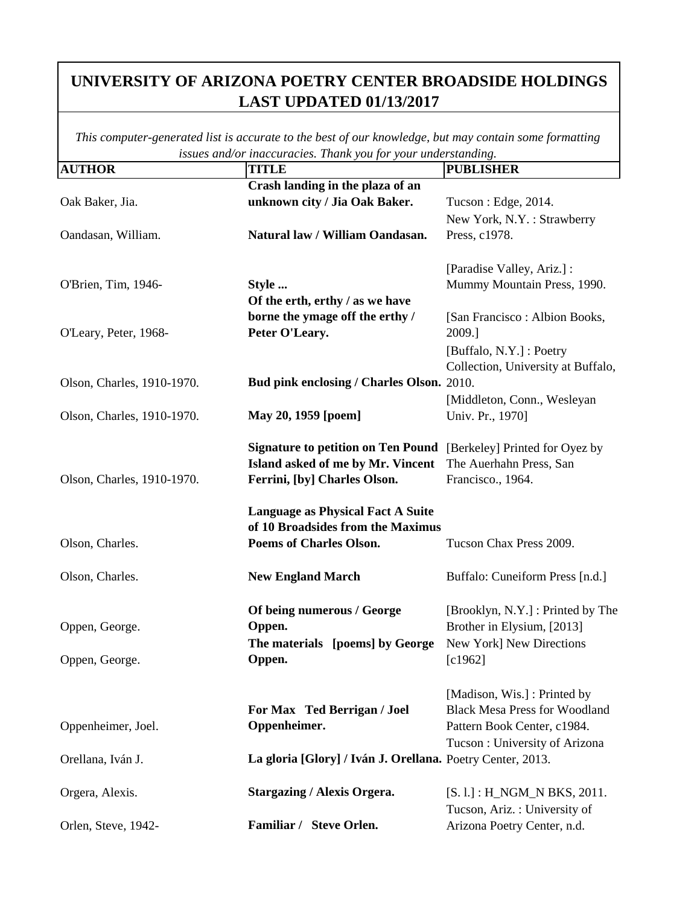| <b>AUTHOR</b>              | issues ana/or maccuracies. Thank you for your undersidiating.<br><b>TITLE</b> | <b>PUBLISHER</b>                     |
|----------------------------|-------------------------------------------------------------------------------|--------------------------------------|
|                            | Crash landing in the plaza of an                                              |                                      |
| Oak Baker, Jia.            | unknown city / Jia Oak Baker.                                                 | Tucson : Edge, 2014.                 |
|                            |                                                                               | New York, N.Y.: Strawberry           |
| Oandasan, William.         | Natural law / William Oandasan.                                               | Press, c1978.                        |
|                            |                                                                               |                                      |
|                            |                                                                               | [Paradise Valley, Ariz.] :           |
| O'Brien, Tim, 1946-        | Style                                                                         | Mummy Mountain Press, 1990.          |
|                            | Of the erth, erthy / as we have                                               |                                      |
|                            | borne the ymage off the erthy /                                               | [San Francisco : Albion Books,       |
| O'Leary, Peter, 1968-      | Peter O'Leary.                                                                | 2009.]                               |
|                            |                                                                               | [Buffalo, N.Y.] : Poetry             |
|                            |                                                                               | Collection, University at Buffalo,   |
| Olson, Charles, 1910-1970. | Bud pink enclosing / Charles Olson. 2010.                                     |                                      |
|                            |                                                                               | [Middleton, Conn., Wesleyan]         |
| Olson, Charles, 1910-1970. | May 20, 1959 [poem]                                                           | Univ. Pr., 1970]                     |
|                            |                                                                               |                                      |
|                            | <b>Signature to petition on Ten Pound</b> [Berkeley] Printed for Oyez by      |                                      |
|                            | Island asked of me by Mr. Vincent                                             | The Auerhahn Press, San              |
| Olson, Charles, 1910-1970. | Ferrini, [by] Charles Olson.                                                  | Francisco., 1964.                    |
|                            |                                                                               |                                      |
|                            | <b>Language as Physical Fact A Suite</b>                                      |                                      |
|                            | of 10 Broadsides from the Maximus                                             |                                      |
| Olson, Charles.            | <b>Poems of Charles Olson.</b>                                                | Tucson Chax Press 2009.              |
|                            |                                                                               |                                      |
| Olson, Charles.            | <b>New England March</b>                                                      | Buffalo: Cuneiform Press [n.d.]      |
|                            |                                                                               |                                      |
|                            | Of being numerous / George                                                    | [Brooklyn, N.Y.] : Printed by The    |
| Oppen, George.             | Oppen.                                                                        | Brother in Elysium, [2013]           |
|                            | The materials [poems] by George                                               | New York] New Directions             |
| Oppen, George.             | Oppen.                                                                        | [c1962]                              |
|                            |                                                                               |                                      |
|                            |                                                                               | [Madison, Wis.] : Printed by         |
|                            | For Max Ted Berrigan / Joel                                                   | <b>Black Mesa Press for Woodland</b> |
| Oppenheimer, Joel.         | Oppenheimer.                                                                  | Pattern Book Center, c1984.          |
|                            |                                                                               | Tucson: University of Arizona        |
| Orellana, Iván J.          | La gloria [Glory] / Iván J. Orellana. Poetry Center, 2013.                    |                                      |
|                            |                                                                               |                                      |
| Orgera, Alexis.            | <b>Stargazing / Alexis Orgera.</b>                                            | $[S. 1.] : H_NGM_N BKS, 2011.$       |
|                            |                                                                               | Tucson, Ariz.: University of         |
| Orlen, Steve, 1942-        | Familiar / Steve Orlen.                                                       | Arizona Poetry Center, n.d.          |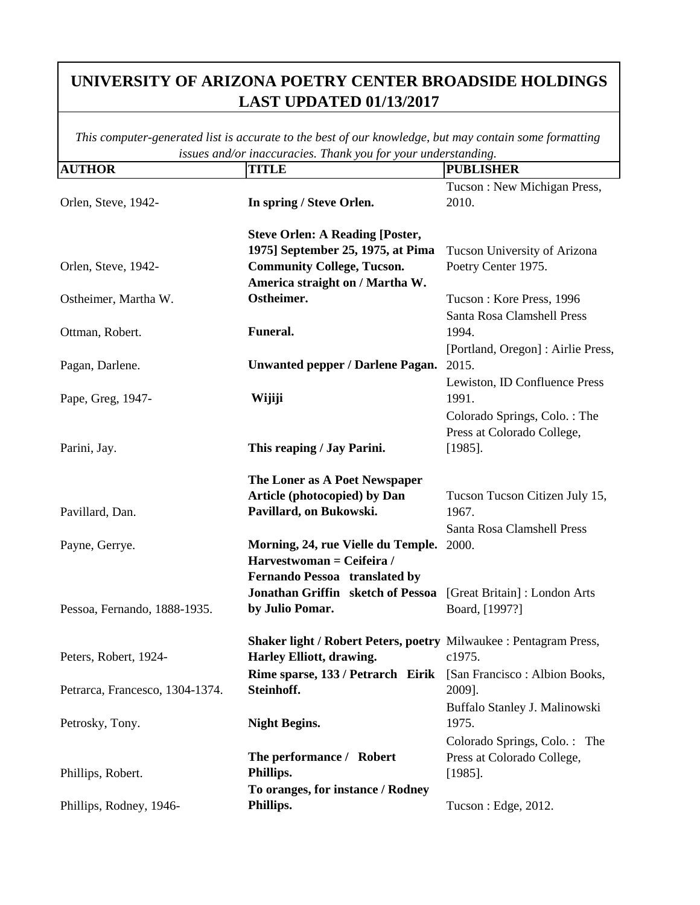| <b>AUTHOR</b>                   | <b>TITLE</b>                                                                                           | <b>PUBLISHER</b>                                                         |
|---------------------------------|--------------------------------------------------------------------------------------------------------|--------------------------------------------------------------------------|
| Orlen, Steve, 1942-             | In spring / Steve Orlen.                                                                               | Tucson: New Michigan Press,<br>2010.                                     |
|                                 | <b>Steve Orlen: A Reading [Poster,</b><br>1975] September 25, 1975, at Pima                            | Tucson University of Arizona                                             |
| Orlen, Steve, 1942-             | <b>Community College, Tucson.</b><br>America straight on / Martha W.                                   | Poetry Center 1975.                                                      |
| Ostheimer, Martha W.            | Ostheimer.                                                                                             | Tucson: Kore Press, 1996<br>Santa Rosa Clamshell Press                   |
| Ottman, Robert.                 | Funeral.                                                                                               | 1994.<br>[Portland, Oregon] : Airlie Press,                              |
| Pagan, Darlene.                 | <b>Unwanted pepper / Darlene Pagan.</b>                                                                | 2015.<br>Lewiston, ID Confluence Press                                   |
| Pape, Greg, 1947-               | Wijiji                                                                                                 | 1991.<br>Colorado Springs, Colo.: The                                    |
| Parini, Jay.                    | This reaping / Jay Parini.                                                                             | Press at Colorado College,<br>$[1985]$ .                                 |
|                                 | The Loner as A Poet Newspaper<br><b>Article (photocopied) by Dan</b>                                   | Tucson Tucson Citizen July 15,                                           |
| Pavillard, Dan.                 | Pavillard, on Bukowski.                                                                                | 1967.<br>Santa Rosa Clamshell Press                                      |
| Payne, Gerrye.                  | Morning, 24, rue Vielle du Temple. 2000.<br>Harvestwoman = Ceifeira /<br>Fernando Pessoa translated by |                                                                          |
| Pessoa, Fernando, 1888-1935.    | Jonathan Griffin sketch of Pessoa<br>by Julio Pomar.                                                   | [Great Britain]: London Arts<br>Board, [1997?]                           |
| Peters, Robert, 1924-           | Shaker light / Robert Peters, poetry Milwaukee : Pentagram Press,<br>Harley Elliott, drawing.          | c1975.                                                                   |
| Petrarca, Francesco, 1304-1374. | Rime sparse, 133 / Petrarch Eirik [San Francisco : Albion Books,<br>Steinhoff.                         | 2009].                                                                   |
| Petrosky, Tony.                 | <b>Night Begins.</b>                                                                                   | Buffalo Stanley J. Malinowski<br>1975.                                   |
| Phillips, Robert.               | The performance / Robert<br>Phillips.                                                                  | Colorado Springs, Colo.: The<br>Press at Colorado College,<br>$[1985]$ . |
| Phillips, Rodney, 1946-         | To oranges, for instance / Rodney<br>Phillips.                                                         | Tucson : Edge, 2012.                                                     |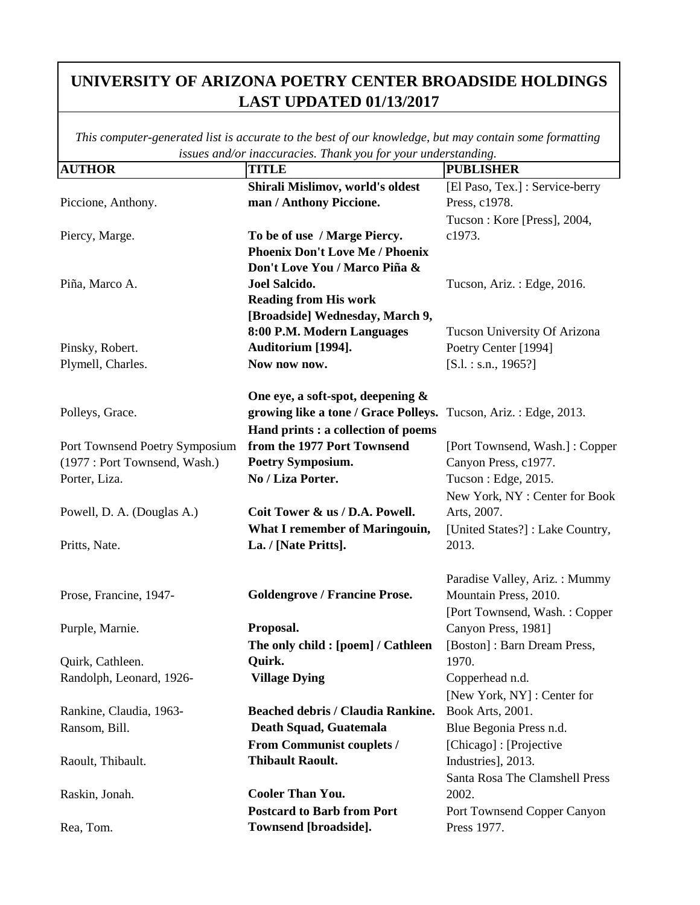| <b>AUTHOR</b>                  | nacean acros. Inanno fon for<br><b>TITLE</b>                    | <b>PUBLISHER</b>                |
|--------------------------------|-----------------------------------------------------------------|---------------------------------|
|                                | Shirali Mislimov, world's oldest                                | [El Paso, Tex.] : Service-berry |
| Piccione, Anthony.             | man / Anthony Piccione.                                         | Press, c1978.                   |
|                                |                                                                 | Tucson: Kore [Press], 2004,     |
| Piercy, Marge.                 | To be of use / Marge Piercy.                                    | c1973.                          |
|                                | <b>Phoenix Don't Love Me / Phoenix</b>                          |                                 |
|                                | Don't Love You / Marco Piña &                                   |                                 |
| Piña, Marco A.                 | Joel Salcido.                                                   | Tucson, Ariz.: Edge, 2016.      |
|                                | <b>Reading from His work</b>                                    |                                 |
|                                | [Broadside] Wednesday, March 9,                                 |                                 |
|                                | 8:00 P.M. Modern Languages                                      | Tucson University Of Arizona    |
| Pinsky, Robert.                | Auditorium [1994].                                              | Poetry Center [1994]            |
| Plymell, Charles.              | Now now now.                                                    | $[S.1.:$ s.n., 1965?]           |
|                                | One eye, a soft-spot, deepening &                               |                                 |
| Polleys, Grace.                | growing like a tone / Grace Polleys. Tucson, Ariz.: Edge, 2013. |                                 |
|                                | Hand prints : a collection of poems                             |                                 |
| Port Townsend Poetry Symposium | from the 1977 Port Townsend                                     | [Port Townsend, Wash.]: Copper  |
| (1977: Port Townsend, Wash.)   | <b>Poetry Symposium.</b>                                        | Canyon Press, c1977.            |
| Porter, Liza.                  | No / Liza Porter.                                               | Tucson: Edge, 2015.             |
|                                |                                                                 | New York, NY: Center for Book   |
| Powell, D. A. (Douglas A.)     | Coit Tower & us / D.A. Powell.                                  | Arts, 2007.                     |
|                                | <b>What I remember of Maringouin,</b>                           | [United States?]: Lake Country, |
| Pritts, Nate.                  | La. / [Nate Pritts].                                            | 2013.                           |
|                                |                                                                 |                                 |
|                                |                                                                 | Paradise Valley, Ariz.: Mummy   |
| Prose, Francine, 1947-         | <b>Goldengrove / Francine Prose.</b>                            | Mountain Press, 2010.           |
|                                |                                                                 | [Port Townsend, Wash.: Copper   |
| Purple, Marnie.                | Proposal.                                                       | Canyon Press, 1981]             |
|                                | The only child : [poem] / Cathleen                              | [Boston]: Barn Dream Press,     |
| Quirk, Cathleen.               | Quirk.                                                          | 1970.                           |
| Randolph, Leonard, 1926-       | <b>Village Dying</b>                                            | Copperhead n.d.                 |
|                                |                                                                 | [New York, NY]: Center for      |
| Rankine, Claudia, 1963-        | <b>Beached debris / Claudia Rankine.</b>                        | Book Arts, 2001.                |
| Ransom, Bill.                  | Death Squad, Guatemala                                          | Blue Begonia Press n.d.         |
|                                | <b>From Communist couplets /</b>                                | [Chicago] : [Projective         |
| Raoult, Thibault.              | <b>Thibault Raoult.</b>                                         | Industries], 2013.              |
|                                |                                                                 | Santa Rosa The Clamshell Press  |
| Raskin, Jonah.                 | <b>Cooler Than You.</b>                                         | 2002.                           |
|                                | <b>Postcard to Barb from Port</b>                               | Port Townsend Copper Canyon     |
| Rea, Tom.                      | Townsend [broadside].                                           | Press 1977.                     |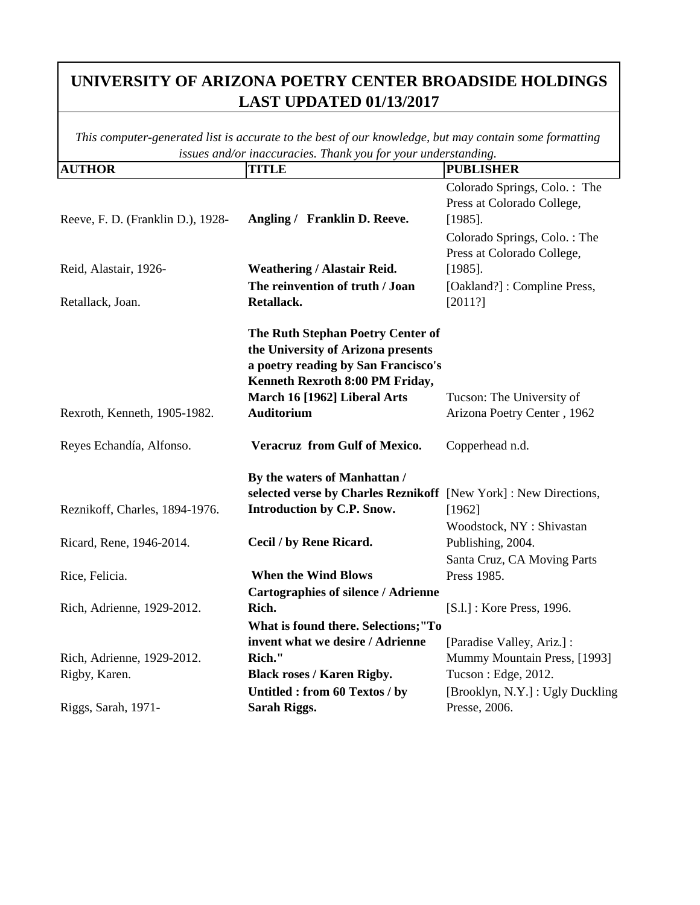| <b>AUTHOR</b>                     | <b>TITLE</b>                                                                                                                                                                      | <b>PUBLISHER</b>                                                                                                                       |
|-----------------------------------|-----------------------------------------------------------------------------------------------------------------------------------------------------------------------------------|----------------------------------------------------------------------------------------------------------------------------------------|
| Reeve, F. D. (Franklin D.), 1928- | Angling / Franklin D. Reeve.                                                                                                                                                      | Colorado Springs, Colo.: The<br>Press at Colorado College,<br>$[1985]$ .<br>Colorado Springs, Colo.: The<br>Press at Colorado College, |
| Reid, Alastair, 1926-             | <b>Weathering / Alastair Reid.</b>                                                                                                                                                | $[1985]$ .                                                                                                                             |
|                                   | The reinvention of truth / Joan                                                                                                                                                   | [Oakland?]: Compline Press,                                                                                                            |
| Retallack, Joan.                  | Retallack.                                                                                                                                                                        | [2011?]                                                                                                                                |
|                                   | The Ruth Stephan Poetry Center of<br>the University of Arizona presents<br>a poetry reading by San Francisco's<br>Kenneth Rexroth 8:00 PM Friday,<br>March 16 [1962] Liberal Arts | Tucson: The University of                                                                                                              |
| Rexroth, Kenneth, 1905-1982.      | <b>Auditorium</b>                                                                                                                                                                 | Arizona Poetry Center, 1962                                                                                                            |
| Reyes Echandía, Alfonso.          | Veracruz from Gulf of Mexico.                                                                                                                                                     | Copperhead n.d.                                                                                                                        |
| Reznikoff, Charles, 1894-1976.    | By the waters of Manhattan /<br>selected verse by Charles Reznikoff [New York]: New Directions,<br>Introduction by C.P. Snow.                                                     | [1962]<br>Woodstock, NY: Shivastan                                                                                                     |
| Ricard, Rene, 1946-2014.          | Cecil / by Rene Ricard.                                                                                                                                                           | Publishing, 2004.<br>Santa Cruz, CA Moving Parts                                                                                       |
| Rice, Felicia.                    | <b>When the Wind Blows</b>                                                                                                                                                        | Press 1985.                                                                                                                            |
|                                   | <b>Cartographies of silence / Adrienne</b>                                                                                                                                        |                                                                                                                                        |
| Rich, Adrienne, 1929-2012.        | Rich.                                                                                                                                                                             | [S.l.] : Kore Press, 1996.                                                                                                             |
|                                   | What is found there. Selections;"To                                                                                                                                               |                                                                                                                                        |
|                                   | invent what we desire / Adrienne                                                                                                                                                  | [Paradise Valley, Ariz.] :                                                                                                             |
| Rich, Adrienne, 1929-2012.        | Rich."                                                                                                                                                                            | Mummy Mountain Press, [1993]                                                                                                           |
| Rigby, Karen.                     | <b>Black roses / Karen Rigby.</b>                                                                                                                                                 | Tucson: Edge, 2012.                                                                                                                    |
| Riggs, Sarah, 1971-               | Untitled : from 60 Textos / by<br>Sarah Riggs.                                                                                                                                    | [Brooklyn, N.Y.] : Ugly Duckling<br>Presse, 2006.                                                                                      |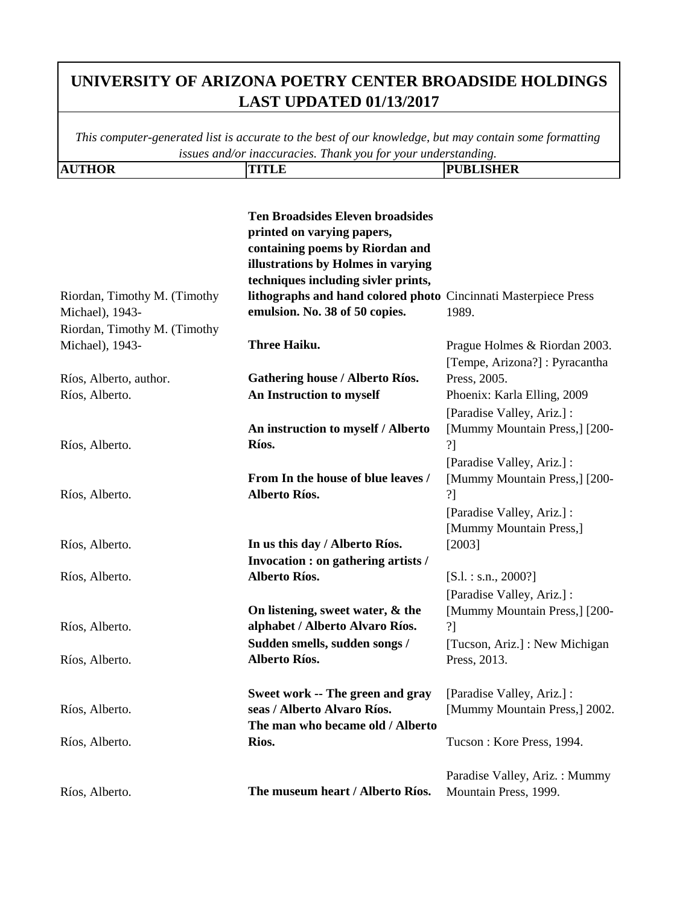| <b>AUTHOR</b> | ,,,,,,, | <b>PUBLISHER</b> |
|---------------|---------|------------------|
|               |         |                  |

|                                                 | <b>Ten Broadsides Eleven broadsides</b><br>printed on varying papers,<br>containing poems by Riordan and<br>illustrations by Holmes in varying<br>techniques including sivler prints, |                                                       |
|-------------------------------------------------|---------------------------------------------------------------------------------------------------------------------------------------------------------------------------------------|-------------------------------------------------------|
| Riordan, Timothy M. (Timothy<br>Michael), 1943- | lithographs and hand colored photo Cincinnati Masterpiece Press<br>emulsion. No. 38 of 50 copies.                                                                                     | 1989.                                                 |
| Riordan, Timothy M. (Timothy                    |                                                                                                                                                                                       |                                                       |
| Michael), 1943-                                 | Three Haiku.                                                                                                                                                                          | Prague Holmes & Riordan 2003.                         |
|                                                 |                                                                                                                                                                                       | [Tempe, Arizona?] : Pyracantha                        |
| Ríos, Alberto, author.                          | <b>Gathering house / Alberto Ríos.</b>                                                                                                                                                | Press, 2005.                                          |
| Ríos, Alberto.                                  | An Instruction to myself                                                                                                                                                              | Phoenix: Karla Elling, 2009                           |
|                                                 |                                                                                                                                                                                       | [Paradise Valley, Ariz.] :                            |
| Ríos, Alberto.                                  | An instruction to myself / Alberto<br>Ríos.                                                                                                                                           | [Mummy Mountain Press,] [200-<br>?1                   |
|                                                 |                                                                                                                                                                                       | [Paradise Valley, Ariz.] :                            |
| Ríos, Alberto.                                  | From In the house of blue leaves /<br>Alberto Ríos.                                                                                                                                   | [Mummy Mountain Press,] [200-<br>?]                   |
|                                                 |                                                                                                                                                                                       | [Paradise Valley, Ariz.] :<br>[Mummy Mountain Press,] |
| Ríos, Alberto.                                  | In us this day / Alberto Ríos.                                                                                                                                                        | $[2003]$                                              |
|                                                 | Invocation : on gathering artists /                                                                                                                                                   |                                                       |
| Ríos, Alberto.                                  | Alberto Ríos.                                                                                                                                                                         | $[S.1.:$ s.n., 2000?]                                 |
|                                                 |                                                                                                                                                                                       | [Paradise Valley, Ariz.] :                            |
| Ríos, Alberto.                                  | On listening, sweet water, & the<br>alphabet / Alberto Alvaro Ríos.                                                                                                                   | [Mummy Mountain Press,] [200-<br>?]                   |
|                                                 | Sudden smells, sudden songs /                                                                                                                                                         | [Tucson, Ariz.] : New Michigan                        |
| Ríos, Alberto.                                  | Alberto Ríos.                                                                                                                                                                         | Press, 2013.                                          |
|                                                 | Sweet work -- The green and gray                                                                                                                                                      | [Paradise Valley, Ariz.] :                            |
| Ríos, Alberto.                                  | seas / Alberto Alvaro Ríos.<br>The man who became old / Alberto                                                                                                                       | [Mummy Mountain Press,] 2002.                         |
| Ríos, Alberto.                                  | Rios.                                                                                                                                                                                 | Tucson: Kore Press, 1994.                             |
|                                                 |                                                                                                                                                                                       | Paradise Valley, Ariz.: Mummy                         |
| Ríos, Alberto.                                  | The museum heart / Alberto Ríos.                                                                                                                                                      | Mountain Press, 1999.                                 |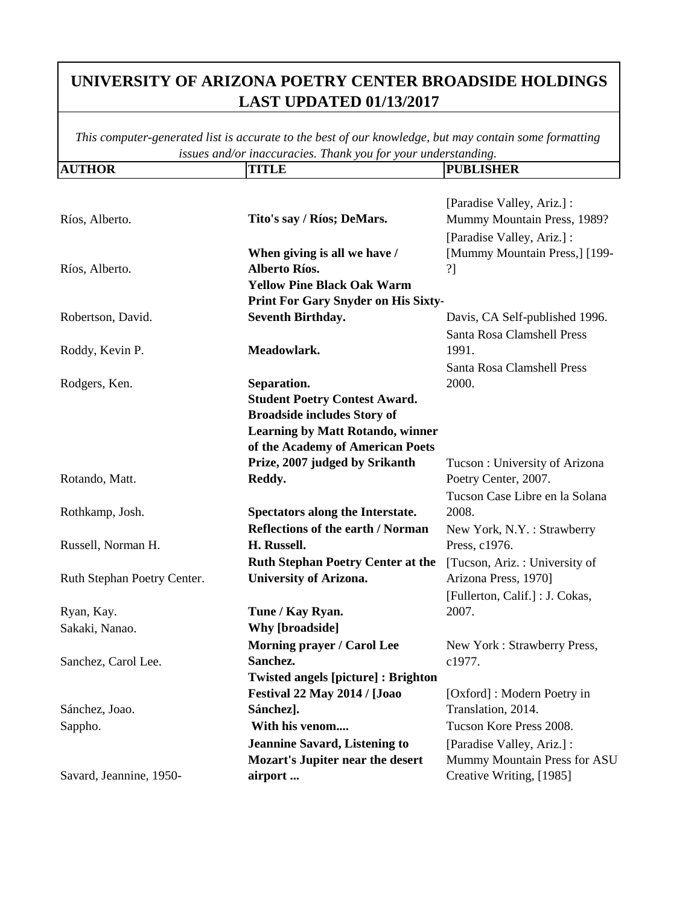| <b>AUTHOR</b>               | <b>TITLE</b>                              | <b>PUBLISHER</b>                |
|-----------------------------|-------------------------------------------|---------------------------------|
|                             |                                           |                                 |
|                             |                                           | [Paradise Valley, Ariz.] :      |
| Ríos, Alberto.              | Tito's say / Ríos; DeMars.                | Mummy Mountain Press, 1989?     |
|                             |                                           | [Paradise Valley, Ariz.] :      |
|                             | When giving is all we have /              | [Mummy Mountain Press,] [199-   |
| Ríos, Alberto.              | <b>Alberto Ríos.</b>                      | ?]                              |
|                             | <b>Yellow Pine Black Oak Warm</b>         |                                 |
|                             | Print For Gary Snyder on His Sixty-       |                                 |
| Robertson, David.           | <b>Seventh Birthday.</b>                  | Davis, CA Self-published 1996.  |
|                             |                                           | Santa Rosa Clamshell Press      |
| Roddy, Kevin P.             | Meadowlark.                               | 1991.                           |
|                             |                                           | Santa Rosa Clamshell Press      |
| Rodgers, Ken.               | Separation.                               | 2000.                           |
|                             | <b>Student Poetry Contest Award.</b>      |                                 |
|                             | <b>Broadside includes Story of</b>        |                                 |
|                             | <b>Learning by Matt Rotando, winner</b>   |                                 |
|                             | of the Academy of American Poets          |                                 |
|                             | Prize, 2007 judged by Srikanth            | Tucson: University of Arizona   |
| Rotando, Matt.              | Reddy.                                    | Poetry Center, 2007.            |
|                             |                                           | Tucson Case Libre en la Solana  |
| Rothkamp, Josh.             | Spectators along the Interstate.          | 2008.                           |
|                             | <b>Reflections of the earth / Norman</b>  | New York, N.Y.: Strawberry      |
| Russell, Norman H.          | H. Russell.                               | Press, c1976.                   |
|                             | <b>Ruth Stephan Poetry Center at the</b>  | [Tucson, Ariz.: University of   |
| Ruth Stephan Poetry Center. | <b>University of Arizona.</b>             | Arizona Press, 1970]            |
|                             |                                           | [Fullerton, Calif.] : J. Cokas, |
| Ryan, Kay.                  | Tune / Kay Ryan.                          | 2007.                           |
| Sakaki, Nanao.              | <b>Why [broadside]</b>                    |                                 |
|                             | Morning prayer / Carol Lee                | New York: Strawberry Press,     |
| Sanchez, Carol Lee.         | Sanchez.                                  | c1977.                          |
|                             | <b>Twisted angels [picture]: Brighton</b> |                                 |
|                             | Festival 22 May 2014 / [Joao              | [Oxford]: Modern Poetry in      |
| Sánchez, Joao.              | Sánchez].                                 | Translation, 2014.              |
| Sappho.                     | With his venom                            | Tucson Kore Press 2008.         |
|                             | <b>Jeannine Savard, Listening to</b>      | [Paradise Valley, Ariz.] :      |
|                             | <b>Mozart's Jupiter near the desert</b>   | Mummy Mountain Press for ASU    |
| Savard, Jeannine, 1950-     | airport                                   | Creative Writing, [1985]        |
|                             |                                           |                                 |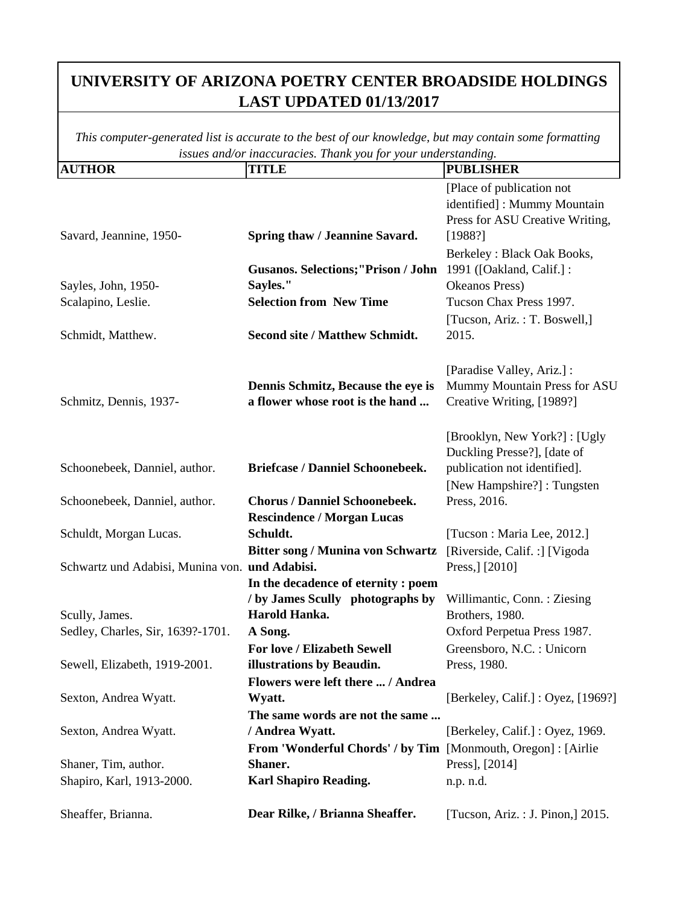| <b>AUTHOR</b>                                  | <i>little three test</i> . Then you for<br><b>TITLE</b>        | your understanding.<br><b>PUBLISHER</b>          |
|------------------------------------------------|----------------------------------------------------------------|--------------------------------------------------|
|                                                |                                                                | [Place of publication not                        |
|                                                |                                                                | identified]: Mummy Mountain                      |
|                                                |                                                                | Press for ASU Creative Writing,                  |
| Savard, Jeannine, 1950-                        | Spring thaw / Jeannine Savard.                                 | [1988?]                                          |
|                                                |                                                                | Berkeley: Black Oak Books,                       |
|                                                | <b>Gusanos. Selections; "Prison / John</b>                     | 1991 ([Oakland, Calif.] :                        |
| Sayles, John, 1950-                            | Sayles."                                                       | Okeanos Press)                                   |
| Scalapino, Leslie.                             | <b>Selection from New Time</b>                                 | Tucson Chax Press 1997.                          |
|                                                |                                                                | [Tucson, Ariz.: T. Boswell,]                     |
| Schmidt, Matthew.                              | <b>Second site / Matthew Schmidt.</b>                          | 2015.                                            |
|                                                |                                                                |                                                  |
|                                                |                                                                | [Paradise Valley, Ariz.] :                       |
|                                                | Dennis Schmitz, Because the eye is                             | Mummy Mountain Press for ASU                     |
| Schmitz, Dennis, 1937-                         | a flower whose root is the hand                                | Creative Writing, [1989?]                        |
|                                                |                                                                |                                                  |
|                                                |                                                                | [Brooklyn, New York?]: [Ugly]                    |
|                                                |                                                                | Duckling Presse?], [date of                      |
| Schoonebeek, Danniel, author.                  | <b>Briefcase / Danniel Schoonebeek.</b>                        | publication not identified].                     |
|                                                | <b>Chorus / Danniel Schoonebeek.</b>                           | [New Hampshire?]: Tungsten                       |
| Schoonebeek, Danniel, author.                  | <b>Rescindence / Morgan Lucas</b>                              | Press, 2016.                                     |
| Schuldt, Morgan Lucas.                         | Schuldt.                                                       | [Tucson : Maria Lee, 2012.]                      |
|                                                | <b>Bitter song / Munina von Schwartz</b>                       |                                                  |
| Schwartz und Adabisi, Munina von. und Adabisi. |                                                                | [Riverside, Calif. :] [Vigoda]<br>Press,] [2010] |
|                                                | In the decadence of eternity : poem                            |                                                  |
|                                                | / by James Scully photographs by                               | Willimantic, Conn.: Ziesing                      |
| Scully, James.                                 | Harold Hanka.                                                  | Brothers, 1980.                                  |
| Sedley, Charles, Sir, 1639?-1701.              | A Song.                                                        | Oxford Perpetua Press 1987.                      |
|                                                | For love / Elizabeth Sewell                                    | Greensboro, N.C. : Unicorn                       |
| Sewell, Elizabeth, 1919-2001.                  | illustrations by Beaudin.                                      | Press, 1980.                                     |
|                                                | Flowers were left there  / Andrea                              |                                                  |
| Sexton, Andrea Wyatt.                          | Wyatt.                                                         | [Berkeley, Calif.] : Oyez, [1969?]               |
|                                                | The same words are not the same                                |                                                  |
| Sexton, Andrea Wyatt.                          | / Andrea Wyatt.                                                | [Berkeley, Calif.] : Oyez, 1969.                 |
|                                                | From 'Wonderful Chords' / by Tim [Monmouth, Oregon] : [Airlie] |                                                  |
| Shaner, Tim, author.                           | Shaner.                                                        | Press], [2014]                                   |
| Shapiro, Karl, 1913-2000.                      | <b>Karl Shapiro Reading.</b>                                   | n.p. n.d.                                        |
|                                                |                                                                |                                                  |
| Sheaffer, Brianna.                             | Dear Rilke, / Brianna Sheaffer.                                | [Tucson, Ariz. : J. Pinon,] 2015.                |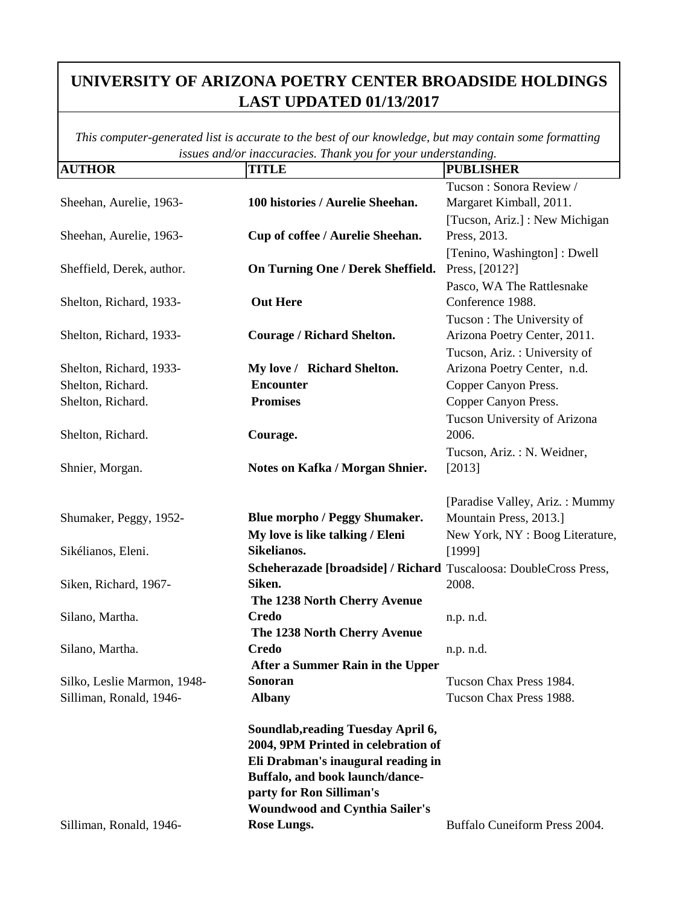| <b>AUTHOR</b>               | <b>TITLE</b>                                                      | <b>PUBLISHER</b>                |
|-----------------------------|-------------------------------------------------------------------|---------------------------------|
|                             |                                                                   | Tucson: Sonora Review /         |
| Sheehan, Aurelie, 1963-     | 100 histories / Aurelie Sheehan.                                  | Margaret Kimball, 2011.         |
|                             |                                                                   | [Tucson, Ariz.] : New Michigan  |
| Sheehan, Aurelie, 1963-     | Cup of coffee / Aurelie Sheehan.                                  | Press, 2013.                    |
|                             |                                                                   | [Tenino, Washington]: Dwell     |
| Sheffield, Derek, author.   | On Turning One / Derek Sheffield.                                 | Press, [2012?]                  |
|                             |                                                                   | Pasco, WA The Rattlesnake       |
| Shelton, Richard, 1933-     | <b>Out Here</b>                                                   | Conference 1988.                |
|                             |                                                                   | Tucson: The University of       |
| Shelton, Richard, 1933-     | Courage / Richard Shelton.                                        | Arizona Poetry Center, 2011.    |
|                             |                                                                   | Tucson, Ariz.: University of    |
| Shelton, Richard, 1933-     | My love / Richard Shelton.                                        | Arizona Poetry Center, n.d.     |
| Shelton, Richard.           | <b>Encounter</b>                                                  | Copper Canyon Press.            |
| Shelton, Richard.           | <b>Promises</b>                                                   | Copper Canyon Press.            |
|                             |                                                                   | Tucson University of Arizona    |
| Shelton, Richard.           | Courage.                                                          | 2006.                           |
|                             |                                                                   | Tucson, Ariz.: N. Weidner,      |
| Shnier, Morgan.             | Notes on Kafka / Morgan Shnier.                                   | [2013]                          |
|                             |                                                                   |                                 |
|                             |                                                                   | [Paradise Valley, Ariz.: Mummy  |
| Shumaker, Peggy, 1952-      | <b>Blue morpho / Peggy Shumaker.</b>                              | Mountain Press, 2013.]          |
|                             | My love is like talking / Eleni<br>Sikelianos.                    | New York, NY : Boog Literature, |
| Sikélianos, Eleni.          |                                                                   | [1999]                          |
|                             | Scheherazade [broadside] / Richard Tuscaloosa: DoubleCross Press, |                                 |
| Siken, Richard, 1967-       | Siken.                                                            | 2008.                           |
| Silano, Martha.             | The 1238 North Cherry Avenue<br><b>Credo</b>                      |                                 |
|                             | The 1238 North Cherry Avenue                                      | n.p. n.d.                       |
| Silano, Martha.             | Credo                                                             | n.p. n.d.                       |
|                             | After a Summer Rain in the Upper                                  |                                 |
| Silko, Leslie Marmon, 1948- | Sonoran                                                           | Tucson Chax Press 1984.         |
| Silliman, Ronald, 1946-     | <b>Albany</b>                                                     | Tucson Chax Press 1988.         |
|                             |                                                                   |                                 |
|                             | Soundlab, reading Tuesday April 6,                                |                                 |
|                             | 2004, 9PM Printed in celebration of                               |                                 |
|                             | Eli Drabman's inaugural reading in                                |                                 |
|                             | Buffalo, and book launch/dance-                                   |                                 |
|                             | party for Ron Silliman's                                          |                                 |
|                             | <b>Woundwood and Cynthia Sailer's</b>                             |                                 |
| Silliman, Ronald, 1946-     | Rose Lungs.                                                       | Buffalo Cuneiform Press 2004.   |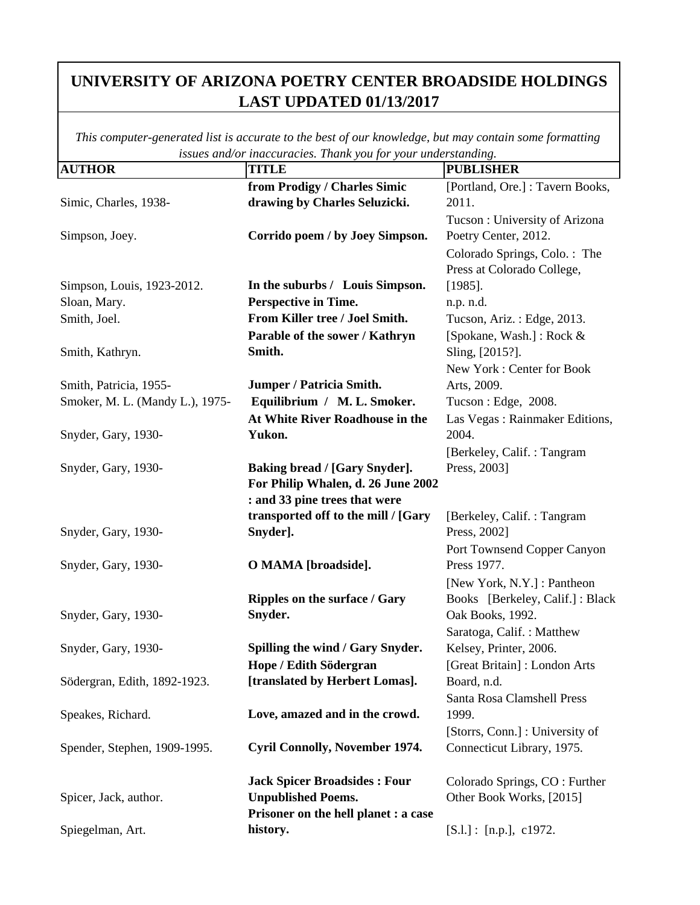| <b>AUTHOR</b>                   | ana or maccuracies. Tham you jor your unacremants.<br><b>TITLE</b> | <b>PUBLISHER</b>                 |
|---------------------------------|--------------------------------------------------------------------|----------------------------------|
|                                 | from Prodigy / Charles Simic                                       | [Portland, Ore.] : Tavern Books, |
| Simic, Charles, 1938-           | drawing by Charles Seluzicki.                                      | 2011.                            |
|                                 |                                                                    | Tucson: University of Arizona    |
| Simpson, Joey.                  | Corrido poem / by Joey Simpson.                                    | Poetry Center, 2012.             |
|                                 |                                                                    | Colorado Springs, Colo.: The     |
|                                 |                                                                    | Press at Colorado College,       |
| Simpson, Louis, 1923-2012.      | In the suburbs / Louis Simpson.                                    | $[1985]$ .                       |
| Sloan, Mary.                    | Perspective in Time.                                               | n.p. n.d.                        |
| Smith, Joel.                    | From Killer tree / Joel Smith.                                     | Tucson, Ariz.: Edge, 2013.       |
|                                 | Parable of the sower / Kathryn                                     | [Spokane, Wash.] : Rock &        |
| Smith, Kathryn.                 | Smith.                                                             | Sling, [2015?].                  |
|                                 |                                                                    | New York: Center for Book        |
| Smith, Patricia, 1955-          | Jumper / Patricia Smith.                                           | Arts, 2009.                      |
| Smoker, M. L. (Mandy L.), 1975- | Equilibrium / M. L. Smoker.                                        | Tucson: Edge, 2008.              |
|                                 | At White River Roadhouse in the                                    | Las Vegas : Rainmaker Editions,  |
| Snyder, Gary, 1930-             | Yukon.                                                             | 2004.                            |
|                                 |                                                                    | [Berkeley, Calif.: Tangram       |
| Snyder, Gary, 1930-             | Baking bread / [Gary Snyder].                                      | Press, 2003]                     |
|                                 | For Philip Whalen, d. 26 June 2002                                 |                                  |
|                                 | : and 33 pine trees that were                                      |                                  |
|                                 | transported off to the mill / [Gary                                | [Berkeley, Calif.: Tangram]      |
| Snyder, Gary, 1930-             | Snyder].                                                           | Press, 2002]                     |
|                                 |                                                                    | Port Townsend Copper Canyon      |
| Snyder, Gary, 1930-             | O MAMA [broadside].                                                | Press 1977.                      |
|                                 |                                                                    | [New York, N.Y.] : Pantheon      |
|                                 | Ripples on the surface / Gary                                      | Books [Berkeley, Calif.] : Black |
| Snyder, Gary, 1930-             | Snyder.                                                            | Oak Books, 1992.                 |
|                                 |                                                                    | Saratoga, Calif.: Matthew        |
| Snyder, Gary, 1930-             | Spilling the wind / Gary Snyder.                                   | Kelsey, Printer, 2006.           |
|                                 | Hope / Edith Södergran                                             | [Great Britain]: London Arts     |
| Södergran, Edith, 1892-1923.    | [translated by Herbert Lomas].                                     | Board, n.d.                      |
|                                 |                                                                    | Santa Rosa Clamshell Press       |
| Speakes, Richard.               | Love, amazed and in the crowd.                                     | 1999.                            |
|                                 |                                                                    | [Storrs, Conn.] : University of  |
| Spender, Stephen, 1909-1995.    | <b>Cyril Connolly, November 1974.</b>                              | Connecticut Library, 1975.       |
|                                 |                                                                    |                                  |
|                                 | <b>Jack Spicer Broadsides: Four</b>                                | Colorado Springs, CO : Further   |
| Spicer, Jack, author.           | <b>Unpublished Poems.</b>                                          | Other Book Works, [2015]         |
|                                 | Prisoner on the hell planet : a case                               |                                  |
| Spiegelman, Art.                | history.                                                           | [S.l.] : [n.p.], c1972.          |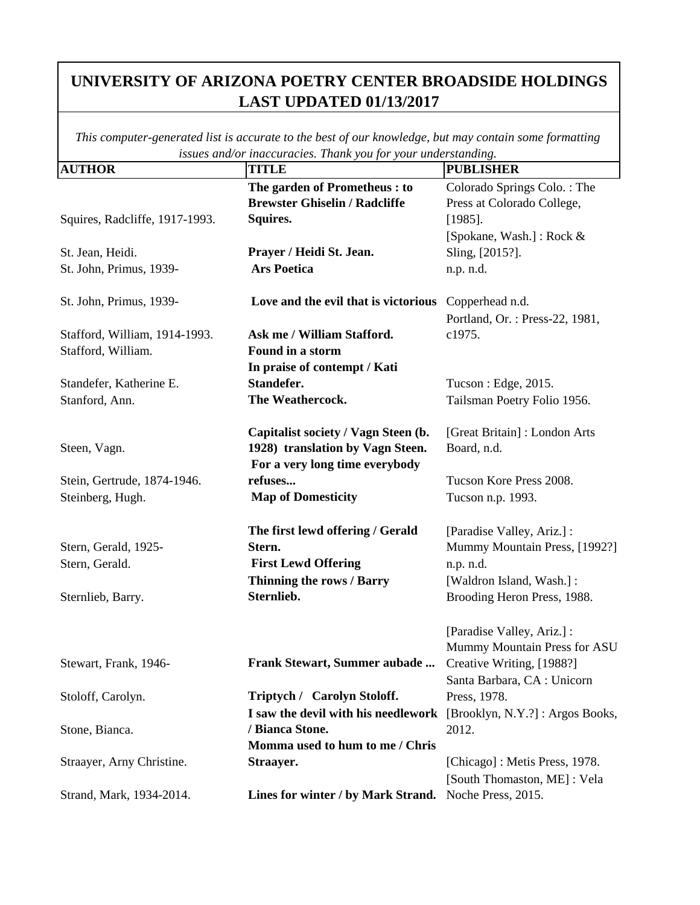| <b>AUTHOR</b>                  | - <b>.</b> <i>. .</i><br><b>TITLE</b>                               | <sub>0</sub> .<br><b>PUBLISHER</b> |
|--------------------------------|---------------------------------------------------------------------|------------------------------------|
|                                | The garden of Prometheus: to                                        | Colorado Springs Colo.: The        |
|                                | <b>Brewster Ghiselin / Radcliffe</b>                                | Press at Colorado College,         |
| Squires, Radcliffe, 1917-1993. | Squires.                                                            | $[1985]$ .                         |
|                                |                                                                     | [Spokane, Wash.]: Rock &           |
| St. Jean, Heidi.               | Prayer / Heidi St. Jean.                                            | Sling, [2015?].                    |
| St. John, Primus, 1939-        | <b>Ars Poetica</b>                                                  | n.p. n.d.                          |
| St. John, Primus, 1939-        | Love and the evil that is victorious                                | Copperhead n.d.                    |
|                                |                                                                     | Portland, Or.: Press-22, 1981,     |
| Stafford, William, 1914-1993.  | Ask me / William Stafford.                                          | c1975.                             |
| Stafford, William.             | Found in a storm                                                    |                                    |
|                                | In praise of contempt / Kati                                        |                                    |
| Standefer, Katherine E.        | Standefer.                                                          | Tucson : Edge, 2015.               |
| Stanford, Ann.                 | The Weathercock.                                                    | Tailsman Poetry Folio 1956.        |
|                                | Capitalist society / Vagn Steen (b.                                 | [Great Britain]: London Arts       |
| Steen, Vagn.                   | 1928) translation by Vagn Steen.                                    | Board, n.d.                        |
|                                | For a very long time everybody                                      |                                    |
| Stein, Gertrude, 1874-1946.    | refuses                                                             | Tucson Kore Press 2008.            |
| Steinberg, Hugh.               | <b>Map of Domesticity</b>                                           | Tucson n.p. 1993.                  |
|                                |                                                                     |                                    |
|                                | The first lewd offering / Gerald                                    | [Paradise Valley, Ariz.] :         |
| Stern, Gerald, 1925-           | Stern.                                                              | Mummy Mountain Press, [1992?]      |
| Stern, Gerald.                 | <b>First Lewd Offering</b>                                          | n.p. n.d.                          |
|                                | Thinning the rows / Barry                                           | [Waldron Island, Wash.]:           |
| Sternlieb, Barry.              | Sternlieb.                                                          | Brooding Heron Press, 1988.        |
|                                |                                                                     |                                    |
|                                |                                                                     | [Paradise Valley, Ariz.] :         |
|                                |                                                                     | Mummy Mountain Press for ASU       |
| Stewart, Frank, 1946-          | Frank Stewart, Summer aubade                                        | Creative Writing, [1988?]          |
|                                |                                                                     | Santa Barbara, CA : Unicorn        |
| Stoloff, Carolyn.              | Triptych / Carolyn Stoloff.                                         | Press, 1978.                       |
|                                | I saw the devil with his needlework [Brooklyn, N.Y.?]: Argos Books, |                                    |
| Stone, Bianca.                 | / Bianca Stone.                                                     | 2012.                              |
|                                | Momma used to hum to me / Chris                                     |                                    |
| Straayer, Arny Christine.      | Straayer.                                                           | [Chicago]: Metis Press, 1978.      |
|                                |                                                                     | [South Thomaston, ME]: Vela        |
| Strand, Mark, 1934-2014.       | Lines for winter / by Mark Strand. Noche Press, 2015.               |                                    |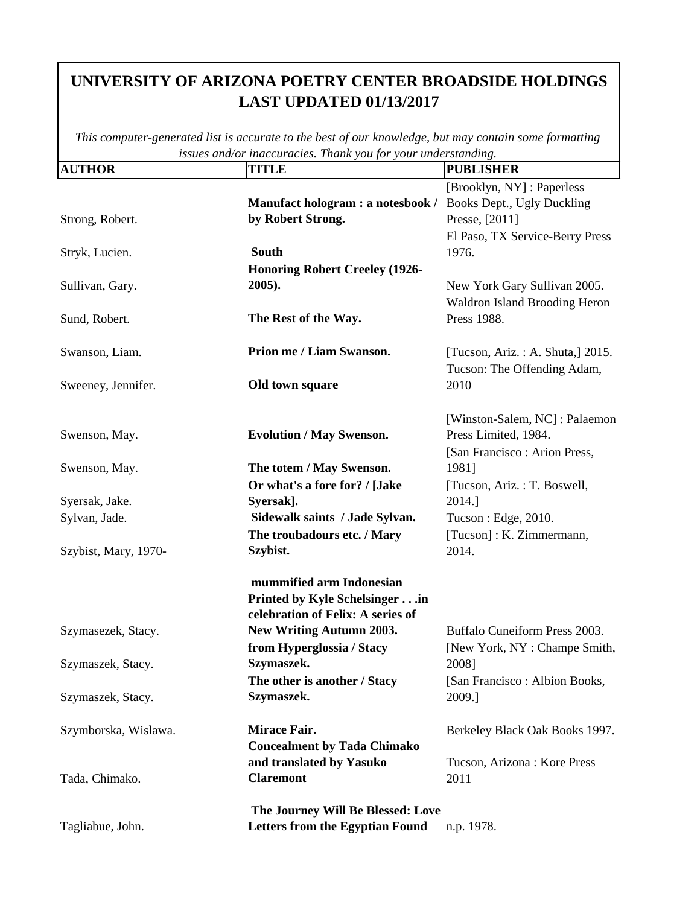| <b>AUTHOR</b>        | <b>TITLE</b>                           | <b>PUBLISHER</b>                     |
|----------------------|----------------------------------------|--------------------------------------|
|                      |                                        | [Brooklyn, NY] : Paperless           |
|                      | Manufact hologram : a notesbook /      | Books Dept., Ugly Duckling           |
| Strong, Robert.      | by Robert Strong.                      | Presse, [2011]                       |
|                      |                                        | El Paso, TX Service-Berry Press      |
| Stryk, Lucien.       | <b>South</b>                           | 1976.                                |
|                      | <b>Honoring Robert Creeley (1926-</b>  |                                      |
| Sullivan, Gary.      | $2005$ ).                              | New York Gary Sullivan 2005.         |
|                      |                                        | <b>Waldron Island Brooding Heron</b> |
| Sund, Robert.        | The Rest of the Way.                   | Press 1988.                          |
|                      |                                        |                                      |
| Swanson, Liam.       | Prion me / Liam Swanson.               | [Tucson, Ariz.: A. Shuta,] 2015.     |
|                      |                                        | Tucson: The Offending Adam,          |
| Sweeney, Jennifer.   | Old town square                        | 2010                                 |
|                      |                                        |                                      |
|                      |                                        | [Winston-Salem, NC]: Palaemon        |
| Swenson, May.        | <b>Evolution / May Swenson.</b>        | Press Limited, 1984.                 |
|                      |                                        | [San Francisco : Arion Press,        |
| Swenson, May.        | The totem / May Swenson.               | 1981]                                |
|                      | Or what's a fore for? / [Jake          | [Tucson, Ariz.: T. Boswell,          |
| Syersak, Jake.       | Syersak].                              | 2014.]                               |
| Sylvan, Jade.        | Sidewalk saints / Jade Sylvan.         | Tucson : Edge, 2010.                 |
|                      | The troubadours etc. / Mary            | [Tucson]: K. Zimmermann,             |
| Szybist, Mary, 1970- | Szybist.                               | 2014.                                |
|                      |                                        |                                      |
|                      | mummified arm Indonesian               |                                      |
|                      | Printed by Kyle Schelsinger in         |                                      |
|                      | celebration of Felix: A series of      |                                      |
| Szymasezek, Stacy.   | <b>New Writing Autumn 2003.</b>        | Buffalo Cuneiform Press 2003.        |
|                      | from Hyperglossia / Stacy              | [New York, NY : Champe Smith,        |
| Szymaszek, Stacy.    | Szymaszek.                             | 2008]                                |
|                      | The other is another / Stacy           | [San Francisco : Albion Books,       |
| Szymaszek, Stacy.    | Szymaszek.                             | 2009.]                               |
|                      |                                        |                                      |
| Szymborska, Wislawa. | <b>Mirace Fair.</b>                    | Berkeley Black Oak Books 1997.       |
|                      | <b>Concealment by Tada Chimako</b>     |                                      |
|                      | and translated by Yasuko               | Tucson, Arizona: Kore Press          |
| Tada, Chimako.       | <b>Claremont</b>                       | 2011                                 |
|                      | The Journey Will Be Blessed: Love      |                                      |
| Tagliabue, John.     | <b>Letters from the Egyptian Found</b> | n.p. 1978.                           |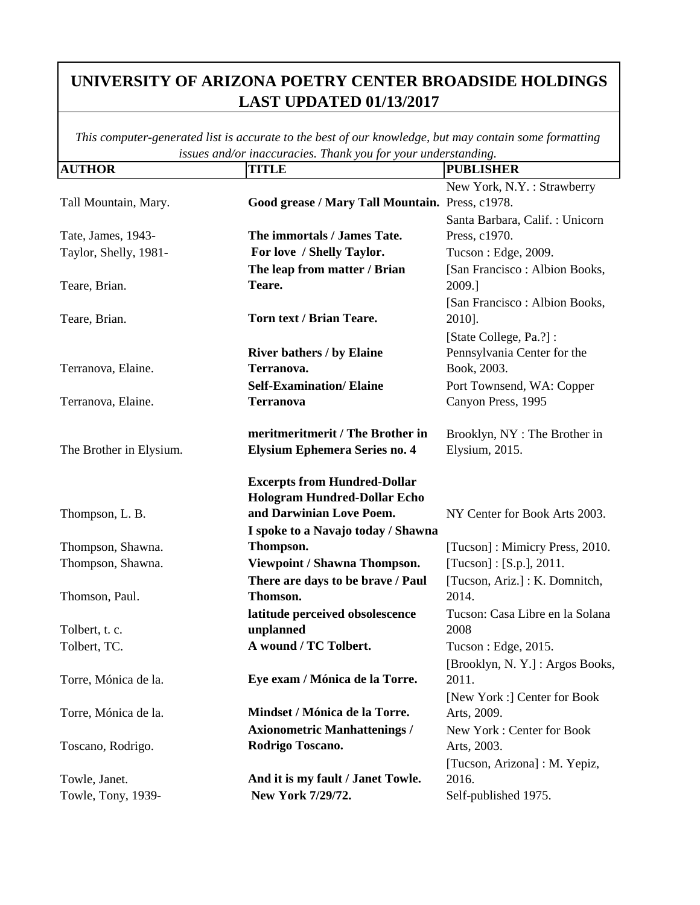| <b>AUTHOR</b>           | <b>TITLE</b>                                    | <b>PUBLISHER</b>                |
|-------------------------|-------------------------------------------------|---------------------------------|
|                         |                                                 | New York, N.Y.: Strawberry      |
| Tall Mountain, Mary.    | Good grease / Mary Tall Mountain. Press, c1978. |                                 |
|                         |                                                 | Santa Barbara, Calif.: Unicorn  |
| Tate, James, 1943-      | The immortals / James Tate.                     | Press, c1970.                   |
| Taylor, Shelly, 1981-   | For love / Shelly Taylor.                       | Tucson: Edge, 2009.             |
|                         | The leap from matter / Brian                    | [San Francisco : Albion Books,  |
| Teare, Brian.           | Teare.                                          | 2009.]                          |
|                         |                                                 | [San Francisco : Albion Books,  |
| Teare, Brian.           | Torn text / Brian Teare.                        | 2010].                          |
|                         |                                                 | [State College, Pa.?]:          |
|                         | <b>River bathers / by Elaine</b>                | Pennsylvania Center for the     |
| Terranova, Elaine.      | Terranova.                                      | Book, 2003.                     |
|                         | <b>Self-Examination/Elaine</b>                  | Port Townsend, WA: Copper       |
| Terranova, Elaine.      | <b>Terranova</b>                                | Canyon Press, 1995              |
|                         | meritmeritmerit / The Brother in                | Brooklyn, NY: The Brother in    |
| The Brother in Elysium. | <b>Elysium Ephemera Series no. 4</b>            | Elysium, 2015.                  |
|                         | <b>Excerpts from Hundred-Dollar</b>             |                                 |
|                         | <b>Hologram Hundred-Dollar Echo</b>             |                                 |
| Thompson, L. B.         | and Darwinian Love Poem.                        | NY Center for Book Arts 2003.   |
|                         | I spoke to a Navajo today / Shawna              |                                 |
| Thompson, Shawna.       | Thompson.                                       | [Tucson]: Mimicry Press, 2010.  |
| Thompson, Shawna.       | Viewpoint / Shawna Thompson.                    | [Tucson] : [S.p.], 2011.        |
|                         | There are days to be brave / Paul               | [Tucson, Ariz.]: K. Domnitch,   |
| Thomson, Paul.          | Thomson.                                        | 2014.                           |
|                         | latitude perceived obsolescence                 | Tucson: Casa Libre en la Solana |
| Tolbert, t. c.          | unplanned                                       | 2008                            |
| Tolbert, TC.            | A wound / TC Tolbert.                           | Tucson: Edge, 2015.             |
|                         |                                                 | [Brooklyn, N.Y.]: Argos Books,  |
| Torre, Mónica de la.    | Eye exam / Mónica de la Torre.                  | 2011.                           |
|                         |                                                 | [New York :] Center for Book    |
| Torre, Mónica de la.    | Mindset / Mónica de la Torre.                   | Arts, 2009.                     |
|                         | <b>Axionometric Manhattenings /</b>             | New York: Center for Book       |
| Toscano, Rodrigo.       | Rodrigo Toscano.                                | Arts, 2003.                     |
|                         |                                                 | [Tucson, Arizona] : M. Yepiz,   |
| Towle, Janet.           | And it is my fault / Janet Towle.               | 2016.                           |
| Towle, Tony, 1939-      | New York 7/29/72.                               | Self-published 1975.            |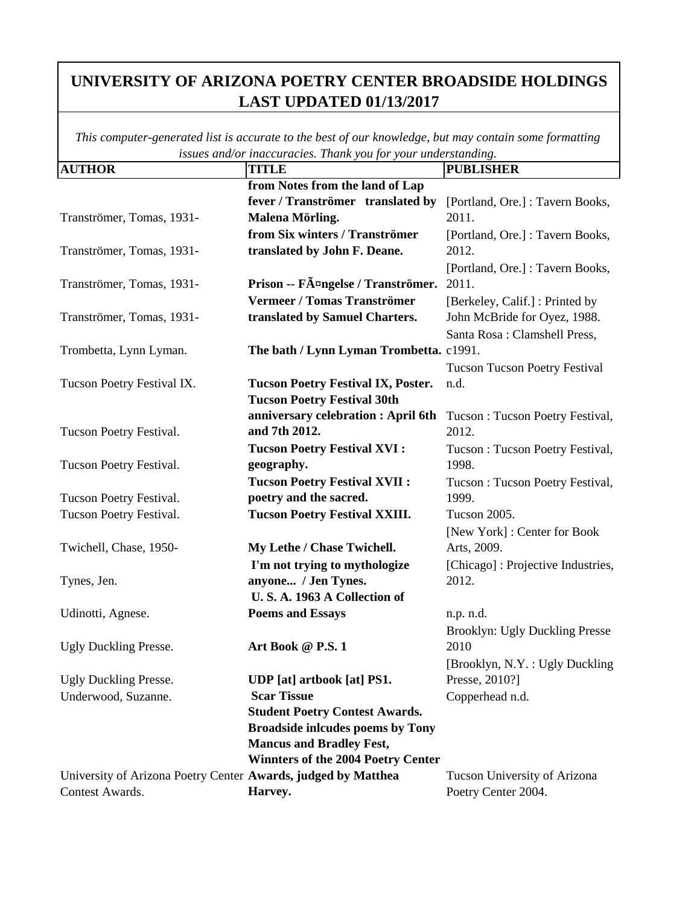| <b>AUTHOR</b>                                                 | <b>.</b> <i>j j j</i><br><b>TITLE</b>     | <b>PUBLISHER</b>                     |
|---------------------------------------------------------------|-------------------------------------------|--------------------------------------|
|                                                               | from Notes from the land of Lap           |                                      |
|                                                               | fever / Tranströmer translated by         | [Portland, Ore.] : Tavern Books,     |
| Tranströmer, Tomas, 1931-                                     | Malena Mörling.                           | 2011.                                |
|                                                               | from Six winters / Tranströmer            | [Portland, Ore.]: Tavern Books,      |
| Tranströmer, Tomas, 1931-                                     | translated by John F. Deane.              | 2012.                                |
|                                                               |                                           | [Portland, Ore.] : Tavern Books,     |
| Tranströmer, Tomas, 1931-                                     | Prison -- Fängelse / Tranströmer.         | 2011.                                |
|                                                               | Vermeer / Tomas Tranströmer               | [Berkeley, Calif.]: Printed by       |
| Tranströmer, Tomas, 1931-                                     | translated by Samuel Charters.            | John McBride for Oyez, 1988.         |
|                                                               |                                           | Santa Rosa: Clamshell Press,         |
| Trombetta, Lynn Lyman.                                        | The bath / Lynn Lyman Trombetta. c1991.   |                                      |
|                                                               |                                           | <b>Tucson Tucson Poetry Festival</b> |
| Tucson Poetry Festival IX.                                    | <b>Tucson Poetry Festival IX, Poster.</b> | n.d.                                 |
|                                                               | <b>Tucson Poetry Festival 30th</b>        |                                      |
|                                                               | anniversary celebration : April 6th       | Tucson: Tucson Poetry Festival,      |
| Tucson Poetry Festival.                                       | and 7th 2012.                             | 2012.                                |
|                                                               | <b>Tucson Poetry Festival XVI:</b>        | Tucson: Tucson Poetry Festival,      |
| Tucson Poetry Festival.                                       | geography.                                | 1998.                                |
|                                                               | <b>Tucson Poetry Festival XVII:</b>       | Tucson: Tucson Poetry Festival,      |
| Tucson Poetry Festival.                                       | poetry and the sacred.                    | 1999.                                |
| Tucson Poetry Festival.                                       | <b>Tucson Poetry Festival XXIII.</b>      | <b>Tucson 2005.</b>                  |
|                                                               |                                           | [New York] : Center for Book         |
| Twichell, Chase, 1950-                                        | My Lethe / Chase Twichell.                | Arts, 2009.                          |
|                                                               | I'm not trying to mythologize             | [Chicago]: Projective Industries,    |
| Tynes, Jen.                                                   | anyone / Jen Tynes.                       | 2012.                                |
|                                                               | U.S.A. 1963 A Collection of               |                                      |
| Udinotti, Agnese.                                             | <b>Poems and Essays</b>                   | n.p. n.d.                            |
|                                                               |                                           | Brooklyn: Ugly Duckling Presse       |
| <b>Ugly Duckling Presse.</b>                                  | Art Book @ P.S. 1                         | 2010                                 |
|                                                               |                                           | [Brooklyn, N.Y. : Ugly Duckling      |
| <b>Ugly Duckling Presse.</b>                                  | <b>UDP</b> [at] artbook [at] PS1.         | Presse, 2010?]                       |
| Underwood, Suzanne.                                           | <b>Scar Tissue</b>                        | Copperhead n.d.                      |
|                                                               | <b>Student Poetry Contest Awards.</b>     |                                      |
|                                                               | <b>Broadside inlcudes poems by Tony</b>   |                                      |
|                                                               | <b>Mancus and Bradley Fest,</b>           |                                      |
|                                                               | <b>Winnters of the 2004 Poetry Center</b> |                                      |
| University of Arizona Poetry Center Awards, judged by Matthea |                                           | Tucson University of Arizona         |
| Contest Awards.                                               | Harvey.                                   | Poetry Center 2004.                  |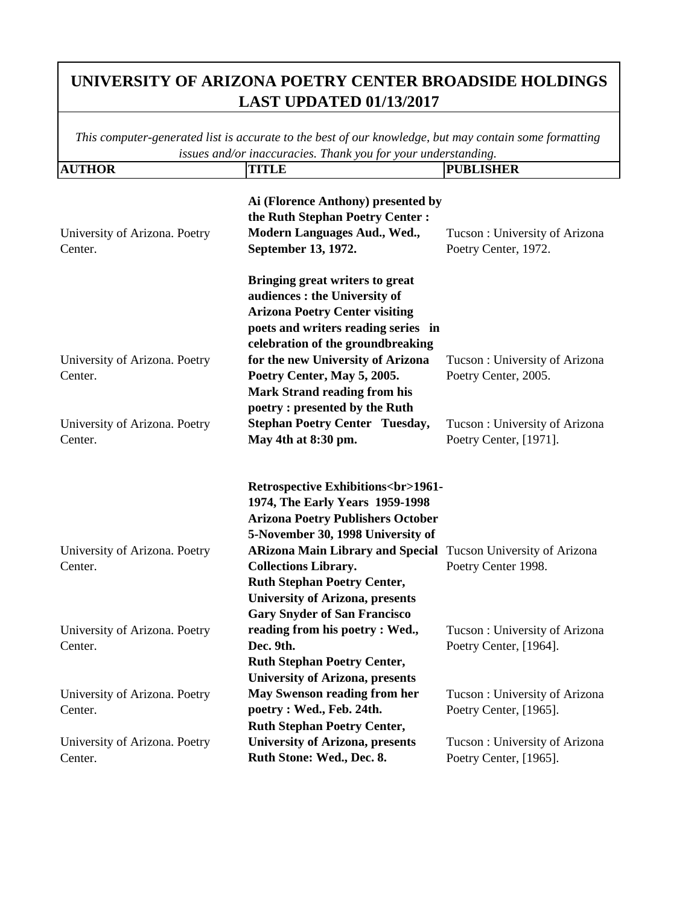| <b>AUTHOR</b>                            | <b>TITLE</b>                                                                                                                                                                                                        | <b>PUBLISHER</b>                                        |
|------------------------------------------|---------------------------------------------------------------------------------------------------------------------------------------------------------------------------------------------------------------------|---------------------------------------------------------|
| University of Arizona. Poetry<br>Center. | Ai (Florence Anthony) presented by<br>the Ruth Stephan Poetry Center:<br>Modern Languages Aud., Wed.,<br>September 13, 1972.                                                                                        | Tucson: University of Arizona<br>Poetry Center, 1972.   |
|                                          | Bringing great writers to great<br>audiences : the University of<br><b>Arizona Poetry Center visiting</b><br>poets and writers reading series in<br>celebration of the groundbreaking                               |                                                         |
| University of Arizona. Poetry<br>Center. | for the new University of Arizona<br>Poetry Center, May 5, 2005.<br><b>Mark Strand reading from his</b><br>poetry: presented by the Ruth                                                                            | Tucson: University of Arizona<br>Poetry Center, 2005.   |
| University of Arizona. Poetry<br>Center. | <b>Stephan Poetry Center Tuesday,</b><br>May 4th at 8:30 pm.                                                                                                                                                        | Tucson: University of Arizona<br>Poetry Center, [1971]. |
|                                          | <b>Retrospective Exhibitions<br/>shr&gt;1961-</b><br>1974, The Early Years 1959-1998<br><b>Arizona Poetry Publishers October</b><br>5-November 30, 1998 University of                                               |                                                         |
| University of Arizona. Poetry<br>Center. | ARizona Main Library and Special Tucson University of Arizona<br><b>Collections Library.</b><br><b>Ruth Stephan Poetry Center,</b><br><b>University of Arizona, presents</b><br><b>Gary Snyder of San Francisco</b> | Poetry Center 1998.                                     |
| University of Arizona. Poetry<br>Center. | reading from his poetry : Wed.,<br>Dec. 9th.<br><b>Ruth Stephan Poetry Center,</b><br><b>University of Arizona, presents</b>                                                                                        | Tucson: University of Arizona<br>Poetry Center, [1964]. |
| University of Arizona. Poetry<br>Center. | May Swenson reading from her<br>poetry : Wed., Feb. 24th.<br><b>Ruth Stephan Poetry Center,</b>                                                                                                                     | Tucson: University of Arizona<br>Poetry Center, [1965]. |
| University of Arizona. Poetry<br>Center. | <b>University of Arizona, presents</b><br>Ruth Stone: Wed., Dec. 8.                                                                                                                                                 | Tucson: University of Arizona<br>Poetry Center, [1965]. |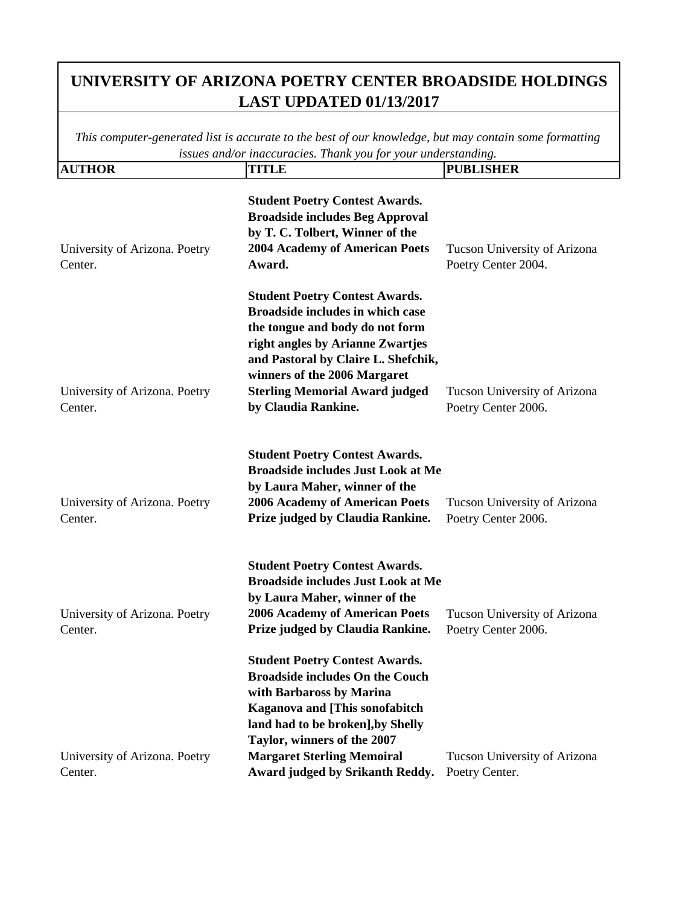| <b>AUTHOR</b>                            | <b>TITLE</b>                                                                                                                                                                                                                                                                                   | <b>PUBLISHER</b>                                    |
|------------------------------------------|------------------------------------------------------------------------------------------------------------------------------------------------------------------------------------------------------------------------------------------------------------------------------------------------|-----------------------------------------------------|
| University of Arizona. Poetry<br>Center. | <b>Student Poetry Contest Awards.</b><br><b>Broadside includes Beg Approval</b><br>by T. C. Tolbert, Winner of the<br><b>2004 Academy of American Poets</b><br>Award.                                                                                                                          | Tucson University of Arizona<br>Poetry Center 2004. |
| University of Arizona. Poetry<br>Center. | <b>Student Poetry Contest Awards.</b><br><b>Broadside includes in which case</b><br>the tongue and body do not form<br>right angles by Arianne Zwartjes<br>and Pastoral by Claire L. Shefchik,<br>winners of the 2006 Margaret<br><b>Sterling Memorial Award judged</b><br>by Claudia Rankine. | Tucson University of Arizona<br>Poetry Center 2006. |
| University of Arizona. Poetry<br>Center. | <b>Student Poetry Contest Awards.</b><br><b>Broadside includes Just Look at Me</b><br>by Laura Maher, winner of the<br><b>2006 Academy of American Poets</b><br>Prize judged by Claudia Rankine.                                                                                               | Tucson University of Arizona<br>Poetry Center 2006. |
| University of Arizona. Poetry<br>Center. | <b>Student Poetry Contest Awards.</b><br><b>Broadside includes Just Look at Me</b><br>by Laura Maher, winner of the<br><b>2006 Academy of American Poets</b><br>Prize judged by Claudia Rankine.                                                                                               | Tucson University of Arizona<br>Poetry Center 2006. |
|                                          | <b>Student Poetry Contest Awards.</b><br><b>Broadside includes On the Couch</b><br>with Barbaross by Marina<br><b>Kaganova and [This sonofabitch</b><br>land had to be broken], by Shelly<br>Taylor, winners of the 2007                                                                       |                                                     |
| University of Arizona. Poetry<br>Center. | <b>Margaret Sterling Memoiral</b><br>Award judged by Srikanth Reddy.                                                                                                                                                                                                                           | Tucson University of Arizona<br>Poetry Center.      |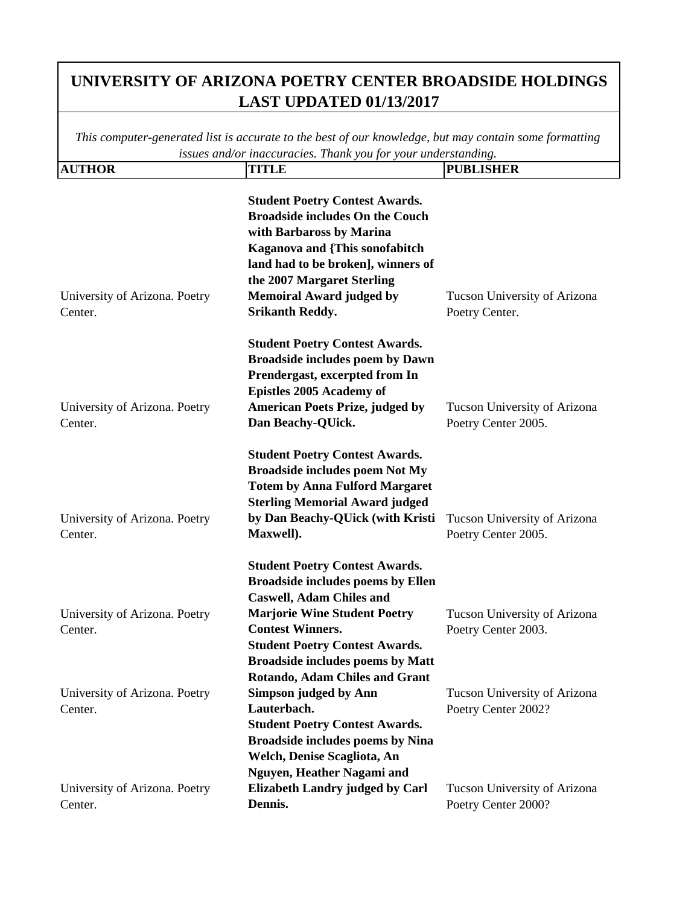| <b>AUTHOR</b>                            | <b>TITLE</b>                                                                                                                                                                                                                                                                                                        | <b>PUBLISHER</b>                                    |
|------------------------------------------|---------------------------------------------------------------------------------------------------------------------------------------------------------------------------------------------------------------------------------------------------------------------------------------------------------------------|-----------------------------------------------------|
| University of Arizona. Poetry<br>Center. | <b>Student Poetry Contest Awards.</b><br><b>Broadside includes On the Couch</b><br>with Barbaross by Marina<br><b>Kaganova and {This sonofabitch</b><br>land had to be broken], winners of<br>the 2007 Margaret Sterling<br><b>Memoiral Award judged by</b><br><b>Srikanth Reddy.</b>                               | Tucson University of Arizona<br>Poetry Center.      |
| University of Arizona. Poetry<br>Center. | <b>Student Poetry Contest Awards.</b><br><b>Broadside includes poem by Dawn</b><br>Prendergast, excerpted from In<br><b>Epistles 2005 Academy of</b><br><b>American Poets Prize, judged by</b><br>Dan Beachy-QUick.                                                                                                 | Tucson University of Arizona<br>Poetry Center 2005. |
| University of Arizona. Poetry<br>Center. | <b>Student Poetry Contest Awards.</b><br><b>Broadside includes poem Not My</b><br><b>Totem by Anna Fulford Margaret</b><br><b>Sterling Memorial Award judged</b><br>by Dan Beachy-QUick (with Kristi<br>Maxwell).                                                                                                   | Tucson University of Arizona<br>Poetry Center 2005. |
| University of Arizona. Poetry<br>Center. | <b>Student Poetry Contest Awards.</b><br><b>Broadside includes poems by Ellen</b><br><b>Caswell, Adam Chiles and</b><br><b>Marjorie Wine Student Poetry</b><br><b>Contest Winners.</b><br><b>Student Poetry Contest Awards.</b><br><b>Broadside includes poems by Matt</b><br><b>Rotando, Adam Chiles and Grant</b> | Tucson University of Arizona<br>Poetry Center 2003. |
| University of Arizona. Poetry<br>Center. | <b>Simpson judged by Ann</b><br>Lauterbach.<br><b>Student Poetry Contest Awards.</b><br><b>Broadside includes poems by Nina</b><br>Welch, Denise Scagliota, An<br>Nguyen, Heather Nagami and                                                                                                                        | Tucson University of Arizona<br>Poetry Center 2002? |
| University of Arizona. Poetry<br>Center. | <b>Elizabeth Landry judged by Carl</b><br>Dennis.                                                                                                                                                                                                                                                                   | Tucson University of Arizona<br>Poetry Center 2000? |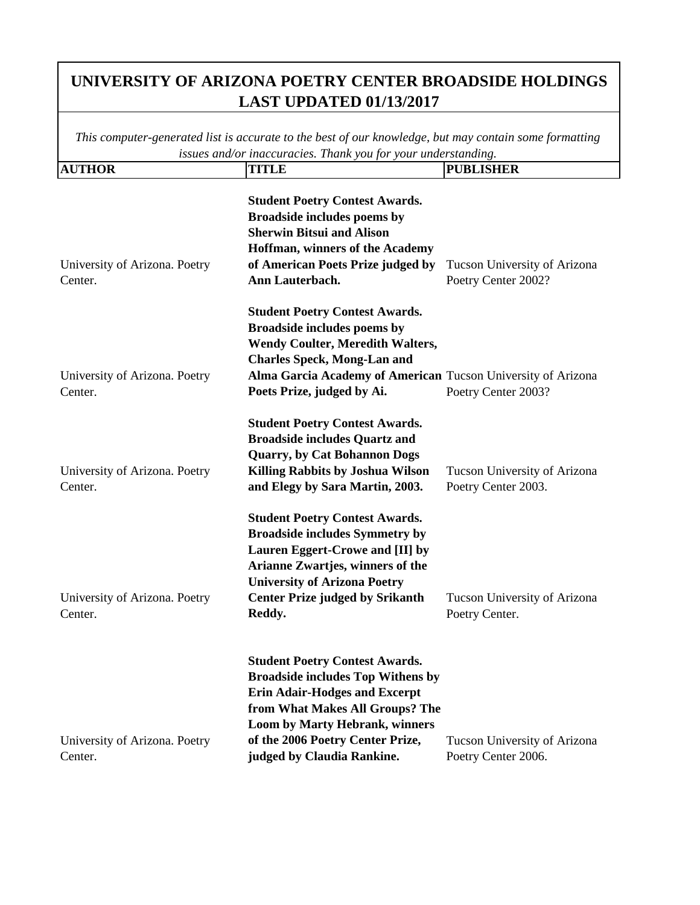| <b>AUTHOR</b>                            | <b>TITLE</b>                                                                                                                                                                                                                                                            | <b>PUBLISHER</b>                                    |
|------------------------------------------|-------------------------------------------------------------------------------------------------------------------------------------------------------------------------------------------------------------------------------------------------------------------------|-----------------------------------------------------|
| University of Arizona. Poetry<br>Center. | <b>Student Poetry Contest Awards.</b><br>Broadside includes poems by<br><b>Sherwin Bitsui and Alison</b><br>Hoffman, winners of the Academy<br>of American Poets Prize judged by<br>Ann Lauterbach.                                                                     | Tucson University of Arizona<br>Poetry Center 2002? |
| University of Arizona. Poetry<br>Center. | <b>Student Poetry Contest Awards.</b><br>Broadside includes poems by<br><b>Wendy Coulter, Meredith Walters,</b><br><b>Charles Speck, Mong-Lan and</b><br>Alma Garcia Academy of American Tucson University of Arizona<br>Poets Prize, judged by Ai.                     | Poetry Center 2003?                                 |
| University of Arizona. Poetry<br>Center. | <b>Student Poetry Contest Awards.</b><br><b>Broadside includes Quartz and</b><br><b>Quarry, by Cat Bohannon Dogs</b><br>Killing Rabbits by Joshua Wilson<br>and Elegy by Sara Martin, 2003.                                                                             | Tucson University of Arizona<br>Poetry Center 2003. |
| University of Arizona. Poetry<br>Center. | <b>Student Poetry Contest Awards.</b><br><b>Broadside includes Symmetry by</b><br>Lauren Eggert-Crowe and [II] by<br>Arianne Zwartjes, winners of the<br><b>University of Arizona Poetry</b><br><b>Center Prize judged by Srikanth</b><br>Reddy.                        | Tucson University of Arizona<br>Poetry Center.      |
| University of Arizona. Poetry<br>Center. | <b>Student Poetry Contest Awards.</b><br><b>Broadside includes Top Withens by</b><br><b>Erin Adair-Hodges and Excerpt</b><br>from What Makes All Groups? The<br><b>Loom by Marty Hebrank, winners</b><br>of the 2006 Poetry Center Prize,<br>judged by Claudia Rankine. | Tucson University of Arizona<br>Poetry Center 2006. |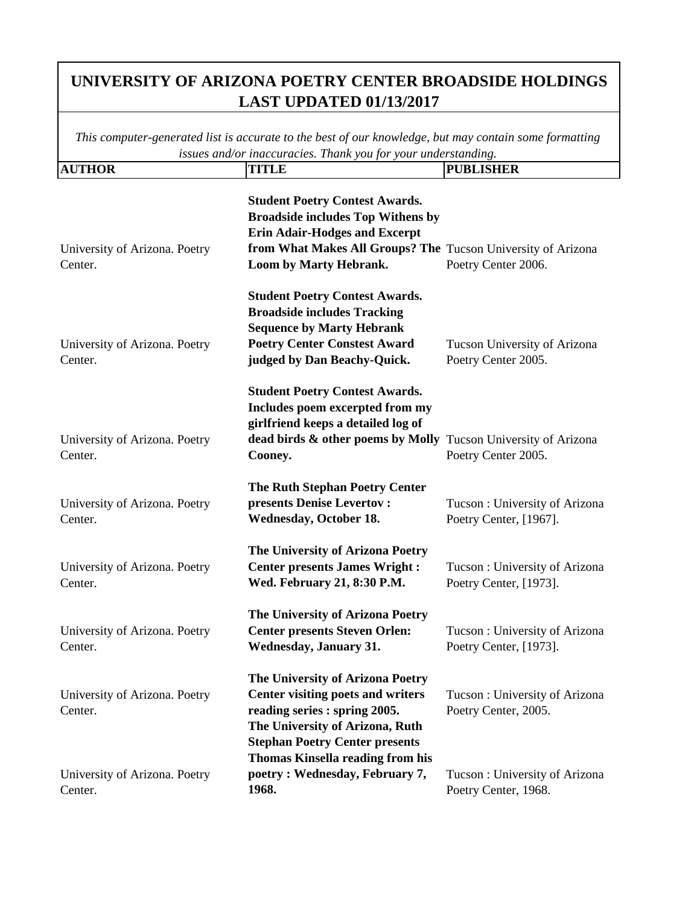| <b>AUTHOR</b>                            | <b>TITLE</b>                                                                                                                                                                                                        | <b>PUBLISHER</b>                                        |
|------------------------------------------|---------------------------------------------------------------------------------------------------------------------------------------------------------------------------------------------------------------------|---------------------------------------------------------|
| University of Arizona. Poetry<br>Center. | <b>Student Poetry Contest Awards.</b><br><b>Broadside includes Top Withens by</b><br><b>Erin Adair-Hodges and Excerpt</b><br>from What Makes All Groups? The Tucson University of Arizona<br>Loom by Marty Hebrank. | Poetry Center 2006.                                     |
| University of Arizona. Poetry<br>Center. | <b>Student Poetry Contest Awards.</b><br><b>Broadside includes Tracking</b><br><b>Sequence by Marty Hebrank</b><br><b>Poetry Center Constest Award</b><br>judged by Dan Beachy-Quick.                               | Tucson University of Arizona<br>Poetry Center 2005.     |
| University of Arizona. Poetry<br>Center. | <b>Student Poetry Contest Awards.</b><br>Includes poem excerpted from my<br>girlfriend keeps a detailed log of<br>dead birds & other poems by Molly Tucson University of Arizona<br>Cooney.                         | Poetry Center 2005.                                     |
| University of Arizona. Poetry<br>Center. | <b>The Ruth Stephan Poetry Center</b><br>presents Denise Levertov:<br><b>Wednesday, October 18.</b>                                                                                                                 | Tucson: University of Arizona<br>Poetry Center, [1967]. |
| University of Arizona. Poetry<br>Center. | The University of Arizona Poetry<br><b>Center presents James Wright:</b><br>Wed. February 21, 8:30 P.M.                                                                                                             | Tucson: University of Arizona<br>Poetry Center, [1973]. |
| University of Arizona. Poetry<br>Center. | The University of Arizona Poetry<br><b>Center presents Steven Orlen:</b><br><b>Wednesday, January 31.</b>                                                                                                           | Tucson: University of Arizona<br>Poetry Center, [1973]. |
| University of Arizona. Poetry<br>Center. | The University of Arizona Poetry<br>Center visiting poets and writers<br>reading series : spring 2005.<br>The University of Arizona, Ruth<br><b>Stephan Poetry Center presents</b>                                  | Tucson: University of Arizona<br>Poetry Center, 2005.   |
| University of Arizona. Poetry<br>Center. | <b>Thomas Kinsella reading from his</b><br>poetry: Wednesday, February 7,<br>1968.                                                                                                                                  | Tucson: University of Arizona<br>Poetry Center, 1968.   |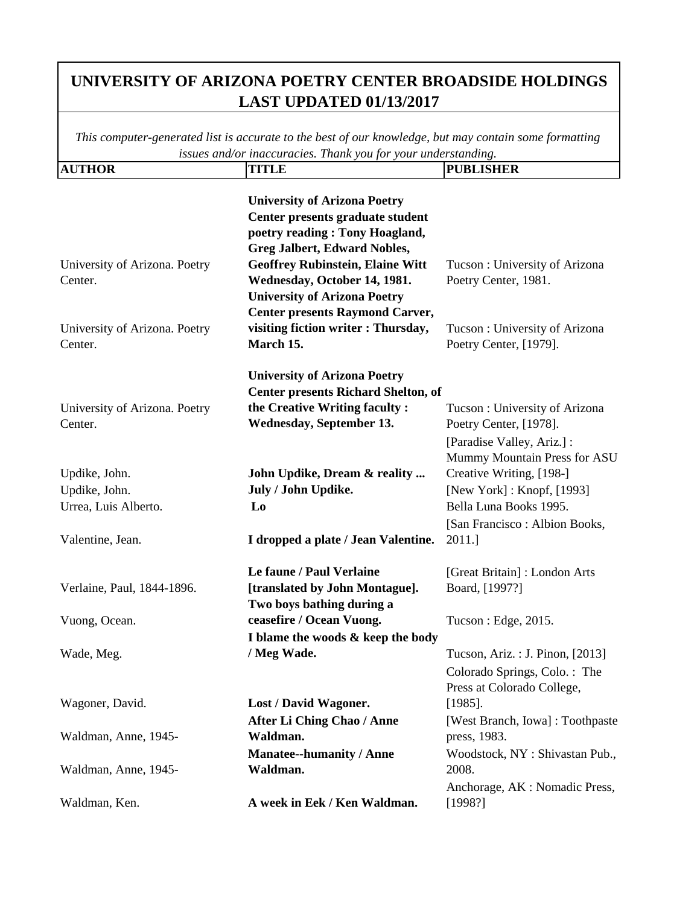| <b>AUTHOR</b>                 | <b>TITLE</b>                               | <b>PUBLISHER</b>                 |
|-------------------------------|--------------------------------------------|----------------------------------|
|                               |                                            |                                  |
|                               | <b>University of Arizona Poetry</b>        |                                  |
|                               | Center presents graduate student           |                                  |
|                               | poetry reading : Tony Hoagland,            |                                  |
|                               | <b>Greg Jalbert, Edward Nobles,</b>        |                                  |
| University of Arizona. Poetry | <b>Geoffrey Rubinstein, Elaine Witt</b>    | Tucson: University of Arizona    |
| Center.                       | Wednesday, October 14, 1981.               | Poetry Center, 1981.             |
|                               | <b>University of Arizona Poetry</b>        |                                  |
|                               | <b>Center presents Raymond Carver,</b>     |                                  |
| University of Arizona. Poetry | visiting fiction writer : Thursday,        | Tucson: University of Arizona    |
| Center.                       | March 15.                                  | Poetry Center, [1979].           |
|                               | <b>University of Arizona Poetry</b>        |                                  |
|                               | <b>Center presents Richard Shelton, of</b> |                                  |
| University of Arizona. Poetry | the Creative Writing faculty:              | Tucson: University of Arizona    |
| Center.                       | <b>Wednesday, September 13.</b>            | Poetry Center, [1978].           |
|                               |                                            | [Paradise Valley, Ariz.] :       |
|                               |                                            | Mummy Mountain Press for ASU     |
| Updike, John.                 | John Updike, Dream & reality               | Creative Writing, [198-]         |
| Updike, John.                 | July / John Updike.                        | [New York]: Knopf, [1993]        |
| Urrea, Luis Alberto.          | Lo                                         | Bella Luna Books 1995.           |
|                               |                                            | [San Francisco : Albion Books,   |
| Valentine, Jean.              | I dropped a plate / Jean Valentine.        | 2011.                            |
|                               |                                            |                                  |
|                               | Le faune / Paul Verlaine                   | [Great Britain]: London Arts     |
| Verlaine, Paul, 1844-1896.    | [translated by John Montague].             | Board, [1997?]                   |
|                               | Two boys bathing during a                  |                                  |
| Vuong, Ocean.                 | ceasefire / Ocean Vuong.                   | Tucson : Edge, 2015.             |
|                               | I blame the woods & keep the body          |                                  |
| Wade, Meg.                    | / Meg Wade.                                | Tucson, Ariz. : J. Pinon, [2013] |
|                               |                                            | Colorado Springs, Colo.: The     |
|                               |                                            | Press at Colorado College,       |
| Wagoner, David.               | Lost / David Wagoner.                      | $[1985]$ .                       |
|                               | <b>After Li Ching Chao / Anne</b>          | [West Branch, Iowa]: Toothpaste  |
| Waldman, Anne, 1945-          | Waldman.                                   | press, 1983.                     |
|                               | <b>Manatee--humanity / Anne</b>            | Woodstock, NY: Shivastan Pub.,   |
| Waldman, Anne, 1945-          | Waldman.                                   | 2008.                            |
|                               |                                            | Anchorage, AK : Nomadic Press,   |
| Waldman, Ken.                 | A week in Eek / Ken Waldman.               | [1998?]                          |
|                               |                                            |                                  |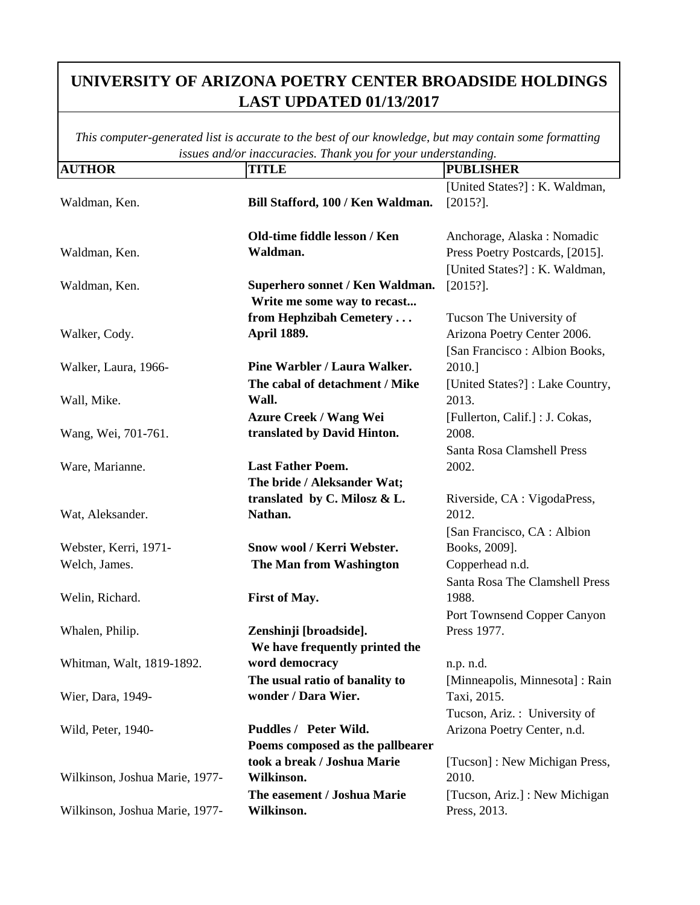| <b>AUTHOR</b>                  | <b>TITLE</b>                      | <br><b>PUBLISHER</b>            |
|--------------------------------|-----------------------------------|---------------------------------|
|                                |                                   | [United States?]: K. Waldman,   |
| Waldman, Ken.                  | Bill Stafford, 100 / Ken Waldman. | $[2015?]$ .                     |
|                                | Old-time fiddle lesson / Ken      | Anchorage, Alaska: Nomadic      |
| Waldman, Ken.                  | Waldman.                          | Press Poetry Postcards, [2015]. |
|                                |                                   | [United States?]: K. Waldman,   |
| Waldman, Ken.                  | Superhero sonnet / Ken Waldman.   | $[2015?]$ .                     |
|                                | Write me some way to recast       |                                 |
|                                | from Hephzibah Cemetery           | Tucson The University of        |
| Walker, Cody.                  | <b>April 1889.</b>                | Arizona Poetry Center 2006.     |
|                                |                                   | [San Francisco : Albion Books,  |
| Walker, Laura, 1966-           | Pine Warbler / Laura Walker.      | 2010.]                          |
|                                | The cabal of detachment / Mike    | [United States?]: Lake Country, |
| Wall, Mike.                    | Wall.                             | 2013.                           |
|                                | <b>Azure Creek / Wang Wei</b>     | [Fullerton, Calif.] : J. Cokas, |
| Wang, Wei, 701-761.            | translated by David Hinton.       | 2008.                           |
|                                |                                   | Santa Rosa Clamshell Press      |
| Ware, Marianne.                | <b>Last Father Poem.</b>          | 2002.                           |
|                                | The bride / Aleksander Wat;       |                                 |
|                                | translated by C. Milosz & L.      | Riverside, CA : VigodaPress,    |
| Wat, Aleksander.               | Nathan.                           | 2012.                           |
|                                |                                   | [San Francisco, CA : Albion]    |
| Webster, Kerri, 1971-          | Snow wool / Kerri Webster.        | Books, 2009].                   |
| Welch, James.                  | The Man from Washington           | Copperhead n.d.                 |
|                                |                                   | Santa Rosa The Clamshell Press  |
| Welin, Richard.                | <b>First of May.</b>              | 1988.                           |
|                                |                                   | Port Townsend Copper Canyon     |
| Whalen, Philip.                | Zenshinji [broadside].            | Press 1977.                     |
|                                | We have frequently printed the    |                                 |
| Whitman, Walt, 1819-1892.      | word democracy                    | n.p. n.d.                       |
|                                | The usual ratio of banality to    | [Minneapolis, Minnesota]: Rain  |
| Wier, Dara, 1949-              | wonder / Dara Wier.               | Taxi, 2015.                     |
|                                |                                   | Tucson, Ariz.: University of    |
| Wild, Peter, 1940-             | Puddles / Peter Wild.             | Arizona Poetry Center, n.d.     |
|                                | Poems composed as the pallbearer  |                                 |
|                                | took a break / Joshua Marie       | [Tucson]: New Michigan Press,   |
| Wilkinson, Joshua Marie, 1977- | Wilkinson.                        | 2010.                           |
|                                | The easement / Joshua Marie       | [Tucson, Ariz.] : New Michigan  |
| Wilkinson, Joshua Marie, 1977- | Wilkinson.                        | Press, 2013.                    |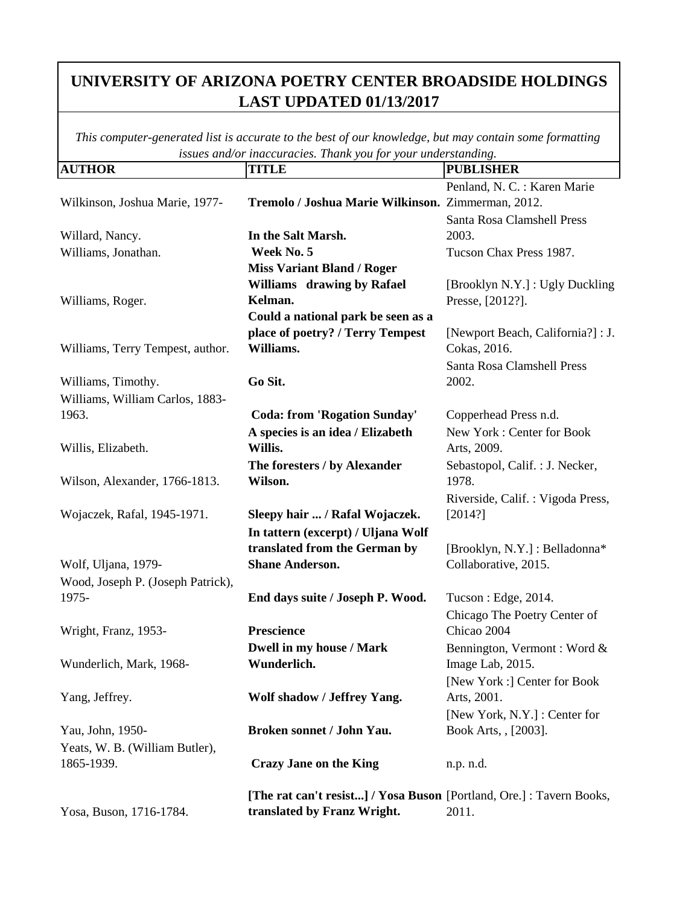| <b>AUTHOR</b>                     | <b>TITLE</b>                                                         | <b>PUBLISHER</b>                  |
|-----------------------------------|----------------------------------------------------------------------|-----------------------------------|
|                                   |                                                                      | Penland, N. C. : Karen Marie      |
| Wilkinson, Joshua Marie, 1977-    | Tremolo / Joshua Marie Wilkinson. Zimmerman, 2012.                   |                                   |
|                                   |                                                                      | Santa Rosa Clamshell Press        |
| Willard, Nancy.                   | In the Salt Marsh.                                                   | 2003.                             |
| Williams, Jonathan.               | Week No. 5                                                           | Tucson Chax Press 1987.           |
|                                   | <b>Miss Variant Bland / Roger</b>                                    |                                   |
|                                   | Williams drawing by Rafael                                           | [Brooklyn N.Y.] : Ugly Duckling   |
| Williams, Roger.                  | Kelman.                                                              | Presse, [2012?].                  |
|                                   | Could a national park be seen as a                                   |                                   |
|                                   | place of poetry? / Terry Tempest                                     | [Newport Beach, California?] : J. |
| Williams, Terry Tempest, author.  | Williams.                                                            | Cokas, 2016.                      |
|                                   |                                                                      | Santa Rosa Clamshell Press        |
| Williams, Timothy.                | Go Sit.                                                              | 2002.                             |
| Williams, William Carlos, 1883-   |                                                                      |                                   |
| 1963.                             | <b>Coda: from 'Rogation Sunday'</b>                                  | Copperhead Press n.d.             |
|                                   | A species is an idea / Elizabeth                                     | New York: Center for Book         |
| Willis, Elizabeth.                | Willis.                                                              | Arts, 2009.                       |
|                                   | The foresters / by Alexander                                         | Sebastopol, Calif. : J. Necker,   |
| Wilson, Alexander, 1766-1813.     | Wilson.                                                              | 1978.                             |
|                                   |                                                                      | Riverside, Calif.: Vigoda Press,  |
| Wojaczek, Rafal, 1945-1971.       | Sleepy hair  / Rafal Wojaczek.                                       | [2014?]                           |
|                                   | In tattern (excerpt) / Uljana Wolf                                   |                                   |
|                                   | translated from the German by                                        | [Brooklyn, N.Y.] : Belladonna*    |
| Wolf, Uljana, 1979-               | <b>Shane Anderson.</b>                                               | Collaborative, 2015.              |
| Wood, Joseph P. (Joseph Patrick), |                                                                      |                                   |
| 1975-                             | End days suite / Joseph P. Wood.                                     | Tucson: Edge, 2014.               |
|                                   |                                                                      | Chicago The Poetry Center of      |
| Wright, Franz, 1953-              | Prescience                                                           | Chicao 2004                       |
|                                   | Dwell in my house / Mark                                             | Bennington, Vermont: Word &       |
| Wunderlich, Mark, 1968-           | Wunderlich.                                                          | Image Lab, 2015.                  |
|                                   |                                                                      | [New York :] Center for Book      |
| Yang, Jeffrey.                    | Wolf shadow / Jeffrey Yang.                                          | Arts, 2001.                       |
|                                   |                                                                      | [New York, N.Y.] : Center for     |
| Yau, John, 1950-                  | Broken sonnet / John Yau.                                            | Book Arts, , [2003].              |
| Yeats, W. B. (William Butler),    |                                                                      |                                   |
| 1865-1939.                        | <b>Crazy Jane on the King</b>                                        |                                   |
|                                   |                                                                      | n.p. n.d.                         |
|                                   | [The rat can't resist] / Yosa Buson [Portland, Ore.] : Tavern Books, |                                   |
| Yosa, Buson, 1716-1784.           | translated by Franz Wright.                                          | 2011.                             |
|                                   |                                                                      |                                   |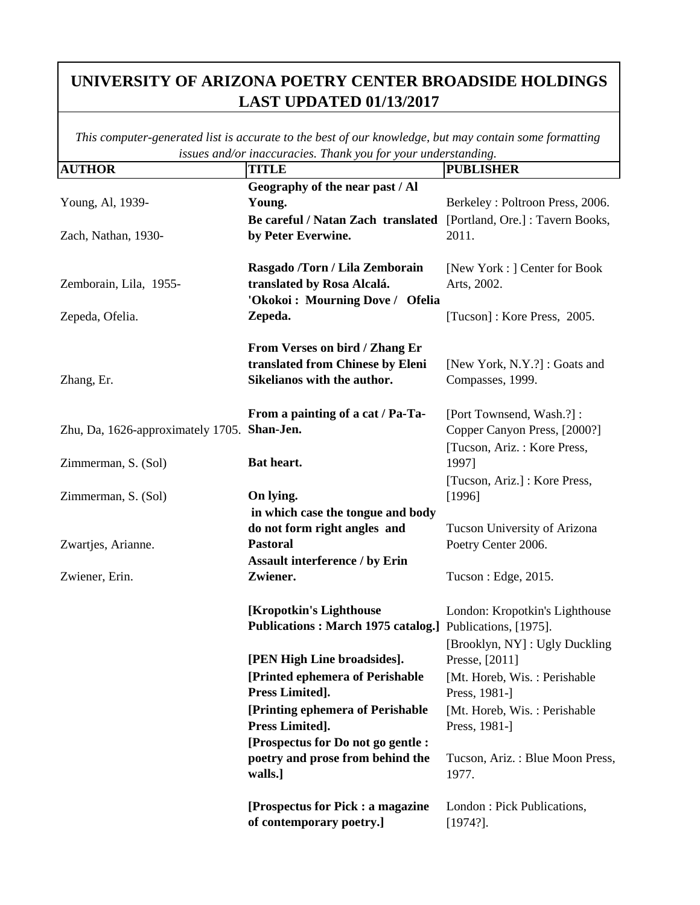| <b>AUTHOR</b>                               | issues ana/or maccuracies. Thank you for your undersidiating.<br><b>TITLE</b> | <b>PUBLISHER</b>                 |
|---------------------------------------------|-------------------------------------------------------------------------------|----------------------------------|
|                                             | Geography of the near past / Al                                               |                                  |
| Young, Al, 1939-                            | Young.                                                                        | Berkeley: Poltroon Press, 2006.  |
|                                             | Be careful / Natan Zach translated                                            | [Portland, Ore.] : Tavern Books, |
| Zach, Nathan, 1930-                         | by Peter Everwine.                                                            | 2011.                            |
|                                             |                                                                               |                                  |
|                                             | Rasgado /Torn / Lila Zemborain                                                | [New York : ] Center for Book    |
| Zemborain, Lila, 1955-                      | translated by Rosa Alcalá.                                                    | Arts, 2002.                      |
|                                             | 'Okokoi: Mourning Dove / Ofelia                                               |                                  |
| Zepeda, Ofelia.                             | Zepeda.                                                                       | [Tucson]: Kore Press, 2005.      |
|                                             |                                                                               |                                  |
|                                             | From Verses on bird / Zhang Er                                                |                                  |
|                                             | translated from Chinese by Eleni                                              | [New York, N.Y.?] : Goats and    |
| Zhang, Er.                                  | Sikelianos with the author.                                                   | Compasses, 1999.                 |
|                                             |                                                                               |                                  |
|                                             | From a painting of a cat / Pa-Ta-                                             | [Port Townsend, Wash.?]:         |
| Zhu, Da, 1626-approximately 1705. Shan-Jen. |                                                                               | Copper Canyon Press, [2000?]     |
|                                             |                                                                               | [Tucson, Ariz.: Kore Press,      |
| Zimmerman, S. (Sol)                         | Bat heart.                                                                    | 1997]                            |
|                                             |                                                                               | [Tucson, Ariz.] : Kore Press,    |
| Zimmerman, S. (Sol)                         | On lying.                                                                     | [1996]                           |
|                                             | in which case the tongue and body                                             |                                  |
|                                             | do not form right angles and                                                  | Tucson University of Arizona     |
| Zwartjes, Arianne.                          | <b>Pastoral</b>                                                               | Poetry Center 2006.              |
|                                             | <b>Assault interference / by Erin</b>                                         |                                  |
| Zwiener, Erin.                              | Zwiener.                                                                      | Tucson : Edge, 2015.             |
|                                             |                                                                               |                                  |
|                                             | [Kropotkin's Lighthouse                                                       | London: Kropotkin's Lighthouse   |
|                                             | Publications: March 1975 catalog.] Publications, [1975].                      |                                  |
|                                             |                                                                               | [Brooklyn, NY]: Ugly Duckling    |
|                                             | [PEN High Line broadsides].                                                   | Presse, [2011]                   |
|                                             | [Printed ephemera of Perishable                                               | [Mt. Horeb, Wis.: Perishable     |
|                                             | Press Limited].                                                               | Press, 1981-]                    |
|                                             | [Printing ephemera of Perishable                                              | [Mt. Horeb, Wis.: Perishable     |
|                                             | Press Limited].                                                               | Press, 1981-]                    |
|                                             | [Prospectus for Do not go gentle :                                            |                                  |
|                                             | poetry and prose from behind the                                              | Tucson, Ariz.: Blue Moon Press,  |
|                                             | walls.]                                                                       | 1977.                            |
|                                             |                                                                               |                                  |
|                                             | [Prospectus for Pick : a magazine                                             | London: Pick Publications,       |
|                                             | of contemporary poetry.]                                                      | $[1974?]$ .                      |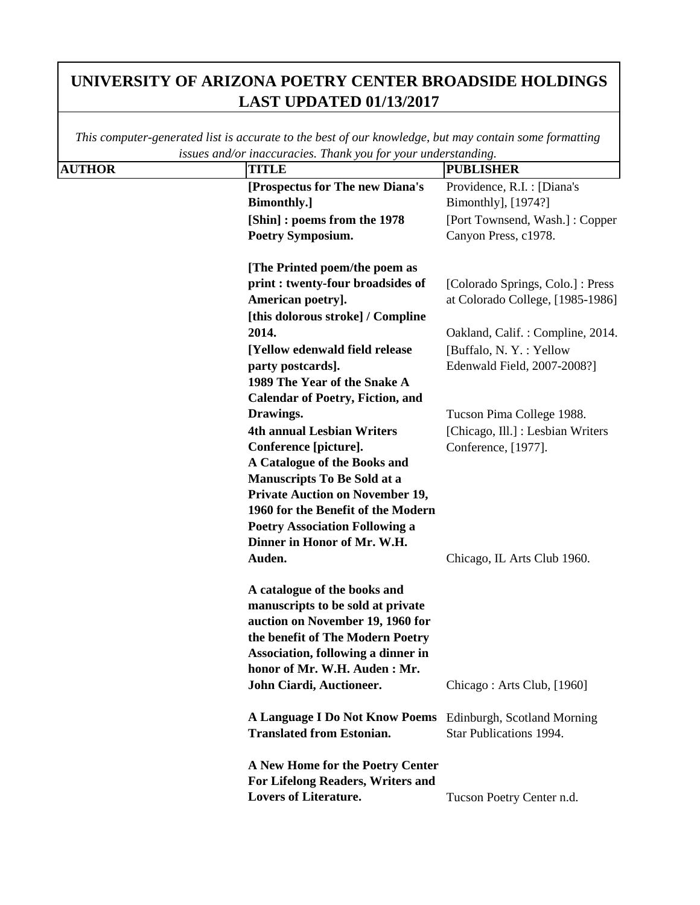|               | issues ana/or inaccuracies. I nank you for your unaerstanaing. |                                   |
|---------------|----------------------------------------------------------------|-----------------------------------|
| <b>AUTHOR</b> | <b>TITLE</b>                                                   | <b>PUBLISHER</b>                  |
|               | [Prospectus for The new Diana's                                | Providence, R.I. : [Diana's       |
|               | <b>Bimonthly.</b> ]                                            | Bimonthly], [1974?]               |
|               | [Shin] : poems from the 1978                                   | [Port Townsend, Wash.]: Copper    |
|               | <b>Poetry Symposium.</b>                                       | Canyon Press, c1978.              |
|               |                                                                |                                   |
|               | [The Printed poem/the poem as                                  |                                   |
|               | print : twenty-four broadsides of                              | [Colorado Springs, Colo.] : Press |
|               | American poetry].                                              | at Colorado College, [1985-1986]  |
|               | [this dolorous stroke] / Compline                              |                                   |
|               | 2014.                                                          | Oakland, Calif.: Compline, 2014.  |
|               | [Yellow edenwald field release                                 | [Buffalo, N.Y.: Yellow            |
|               | party postcards].                                              | Edenwald Field, 2007-2008?]       |
|               | 1989 The Year of the Snake A                                   |                                   |
|               | <b>Calendar of Poetry, Fiction, and</b>                        |                                   |
|               | Drawings.                                                      | Tucson Pima College 1988.         |
|               | <b>4th annual Lesbian Writers</b>                              | [Chicago, Ill.] : Lesbian Writers |
|               | Conference [picture].                                          | Conference, [1977].               |
|               | A Catalogue of the Books and                                   |                                   |
|               | <b>Manuscripts To Be Sold at a</b>                             |                                   |
|               | <b>Private Auction on November 19,</b>                         |                                   |
|               | 1960 for the Benefit of the Modern                             |                                   |
|               | <b>Poetry Association Following a</b>                          |                                   |
|               | Dinner in Honor of Mr. W.H.                                    |                                   |
|               | Auden.                                                         | Chicago, IL Arts Club 1960.       |
|               | A catalogue of the books and                                   |                                   |
|               | manuscripts to be sold at private                              |                                   |
|               | auction on November 19, 1960 for                               |                                   |
|               | the benefit of The Modern Poetry                               |                                   |
|               | Association, following a dinner in                             |                                   |
|               | honor of Mr. W.H. Auden : Mr.                                  |                                   |
|               | John Ciardi, Auctioneer.                                       | Chicago: Arts Club, [1960]        |
|               |                                                                |                                   |
|               | A Language I Do Not Know Poems Edinburgh, Scotland Morning     |                                   |
|               | <b>Translated from Estonian.</b>                               | Star Publications 1994.           |
|               | A New Home for the Poetry Center                               |                                   |
|               | For Lifelong Readers, Writers and                              |                                   |
|               | <b>Lovers of Literature.</b>                                   | Tucson Poetry Center n.d.         |
|               |                                                                |                                   |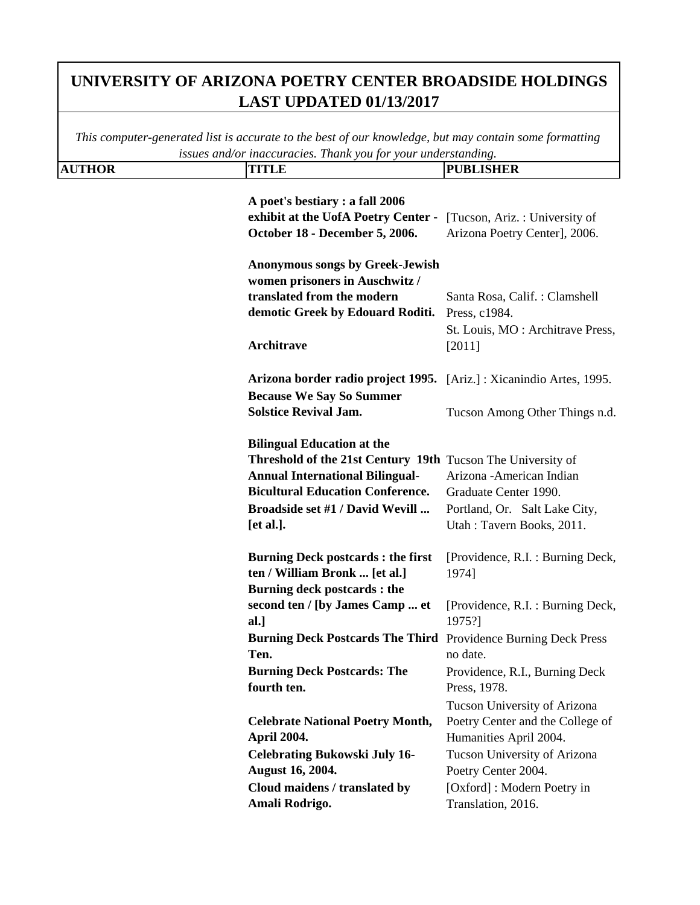|               | issues and/or inaccuracies. Thank you for your understanding.                                                                                                                                                                         |                                                                                                                  |
|---------------|---------------------------------------------------------------------------------------------------------------------------------------------------------------------------------------------------------------------------------------|------------------------------------------------------------------------------------------------------------------|
| <b>AUTHOR</b> | <b>TITLE</b>                                                                                                                                                                                                                          | <b>PUBLISHER</b>                                                                                                 |
|               | A poet's bestiary : a fall 2006<br>exhibit at the UofA Poetry Center -<br>October 18 - December 5, 2006.                                                                                                                              | [Tucson, Ariz.: University of<br>Arizona Poetry Center], 2006.                                                   |
|               | <b>Anonymous songs by Greek-Jewish</b><br>women prisoners in Auschwitz /<br>translated from the modern<br>demotic Greek by Edouard Roditi.<br>Architrave                                                                              | Santa Rosa, Calif. : Clamshell<br>Press, c1984.<br>St. Louis, MO: Architrave Press,<br>[2011]                    |
|               | Arizona border radio project 1995. [Ariz.]: Xicanindio Artes, 1995.<br><b>Because We Say So Summer</b><br><b>Solstice Revival Jam.</b>                                                                                                | Tucson Among Other Things n.d.                                                                                   |
|               | <b>Bilingual Education at the</b><br>Threshold of the 21st Century 19th Tucson The University of<br><b>Annual International Bilingual-</b><br><b>Bicultural Education Conference.</b><br>Broadside set #1 / David Wevill<br>[et al.]. | Arizona - American Indian<br>Graduate Center 1990.<br>Portland, Or. Salt Lake City,<br>Utah: Tavern Books, 2011. |
|               | <b>Burning Deck postcards: the first</b><br>ten / William Bronk  [et al.]<br><b>Burning deck postcards : the</b>                                                                                                                      | [Providence, R.I. : Burning Deck,<br>1974]                                                                       |
|               | second ten / [by James Camp  et<br>al.]                                                                                                                                                                                               | [Providence, R.I. : Burning Deck,<br>1975?]                                                                      |
|               | Burning Deck Postcards The Third Providence Burning Deck Press<br>Ten.                                                                                                                                                                | no date.                                                                                                         |
|               | <b>Burning Deck Postcards: The</b><br>fourth ten.                                                                                                                                                                                     | Providence, R.I., Burning Deck<br>Press, 1978.                                                                   |
|               | <b>Celebrate National Poetry Month,</b><br><b>April 2004.</b>                                                                                                                                                                         | Tucson University of Arizona<br>Poetry Center and the College of<br>Humanities April 2004.                       |
|               | <b>Celebrating Bukowski July 16-</b><br><b>August 16, 2004.</b>                                                                                                                                                                       | Tucson University of Arizona<br>Poetry Center 2004.                                                              |
|               | Cloud maidens / translated by<br>Amali Rodrigo.                                                                                                                                                                                       | [Oxford]: Modern Poetry in<br>Translation, 2016.                                                                 |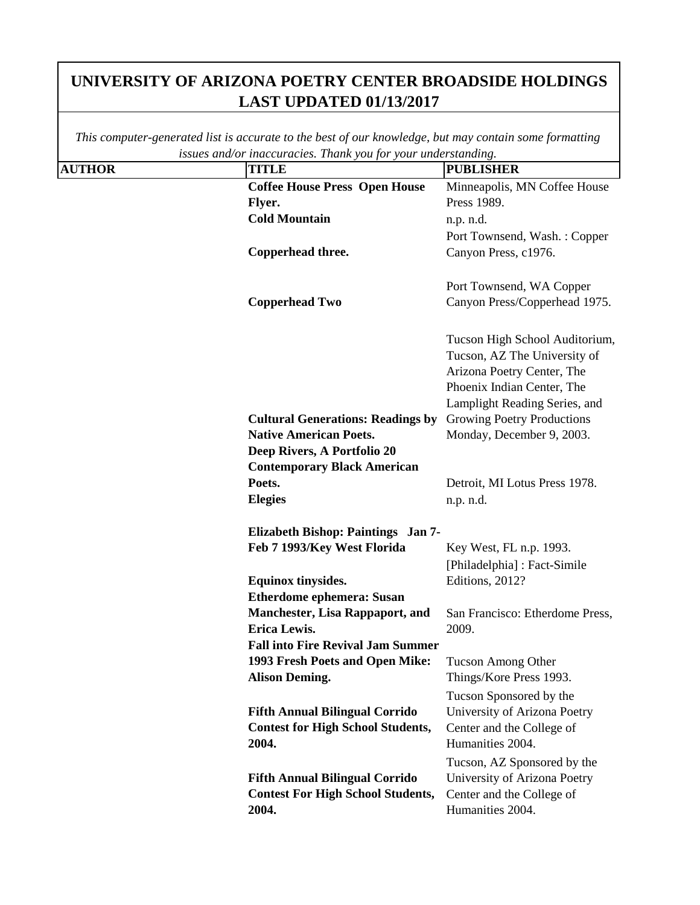|               | issues ana/or maccuracies. Thank you for your undersidiating. |                                 |
|---------------|---------------------------------------------------------------|---------------------------------|
| <b>AUTHOR</b> | <b>TITLE</b>                                                  | <b>PUBLISHER</b>                |
|               | <b>Coffee House Press Open House</b>                          | Minneapolis, MN Coffee House    |
|               | Flyer.                                                        | Press 1989.                     |
|               | <b>Cold Mountain</b>                                          | n.p. n.d.                       |
|               |                                                               | Port Townsend, Wash.: Copper    |
|               | Copperhead three.                                             | Canyon Press, c1976.            |
|               |                                                               |                                 |
|               |                                                               | Port Townsend, WA Copper        |
|               | <b>Copperhead Two</b>                                         | Canyon Press/Copperhead 1975.   |
|               |                                                               |                                 |
|               |                                                               | Tucson High School Auditorium,  |
|               |                                                               | Tucson, AZ The University of    |
|               |                                                               | Arizona Poetry Center, The      |
|               |                                                               | Phoenix Indian Center, The      |
|               |                                                               | Lamplight Reading Series, and   |
|               | <b>Cultural Generations: Readings by</b>                      | Growing Poetry Productions      |
|               | <b>Native American Poets.</b>                                 | Monday, December 9, 2003.       |
|               | Deep Rivers, A Portfolio 20                                   |                                 |
|               | <b>Contemporary Black American</b>                            |                                 |
|               | Poets.                                                        | Detroit, MI Lotus Press 1978.   |
|               | <b>Elegies</b>                                                | n.p. n.d.                       |
|               |                                                               |                                 |
|               | Elizabeth Bishop: Paintings Jan 7-                            |                                 |
|               | Feb 7 1993/Key West Florida                                   | Key West, FL n.p. 1993.         |
|               |                                                               | [Philadelphia] : Fact-Simile    |
|               | <b>Equinox tinysides.</b>                                     | Editions, 2012?                 |
|               | <b>Etherdome ephemera: Susan</b>                              |                                 |
|               | <b>Manchester, Lisa Rappaport, and</b>                        | San Francisco: Etherdome Press, |
|               | <b>Erica Lewis.</b>                                           | 2009.                           |
|               | <b>Fall into Fire Revival Jam Summer</b>                      |                                 |
|               | 1993 Fresh Poets and Open Mike:                               | Tucson Among Other              |
|               | <b>Alison Deming.</b>                                         | Things/Kore Press 1993.         |
|               |                                                               | Tucson Sponsored by the         |
|               | <b>Fifth Annual Bilingual Corrido</b>                         | University of Arizona Poetry    |
|               | <b>Contest for High School Students,</b>                      | Center and the College of       |
|               | 2004.                                                         | Humanities 2004.                |
|               |                                                               | Tucson, AZ Sponsored by the     |
|               | <b>Fifth Annual Bilingual Corrido</b>                         | University of Arizona Poetry    |
|               | <b>Contest For High School Students,</b>                      | Center and the College of       |
|               | 2004.                                                         | Humanities 2004.                |
|               |                                                               |                                 |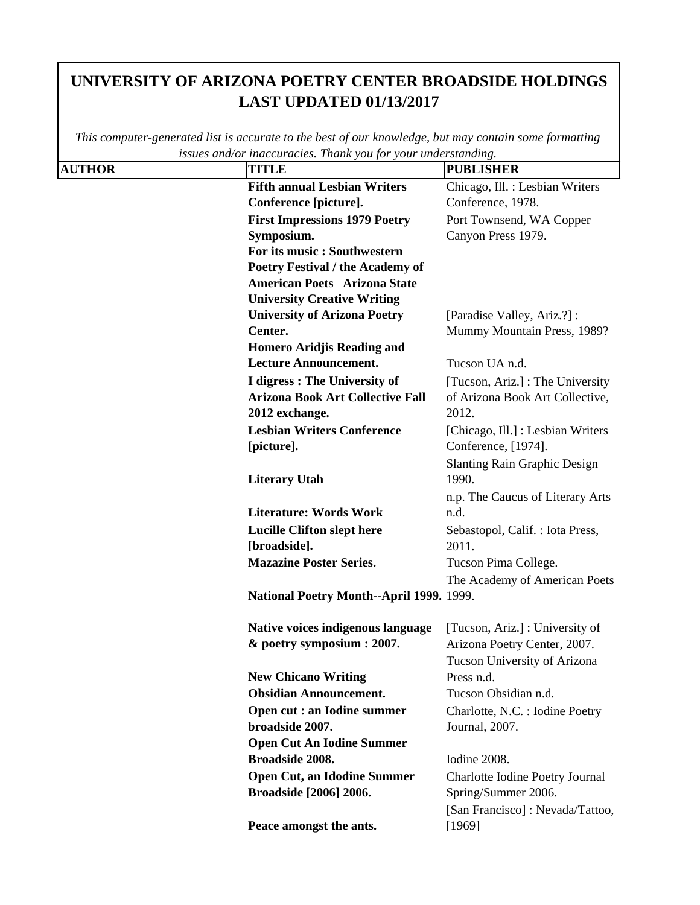|               | issues ana/or inaccuracies. I nank you jor your unaersianaing. |                                     |
|---------------|----------------------------------------------------------------|-------------------------------------|
| <b>AUTHOR</b> | <b>TITLE</b>                                                   | <b>PUBLISHER</b>                    |
|               | <b>Fifth annual Lesbian Writers</b>                            | Chicago, Ill. : Lesbian Writers     |
|               | Conference [picture].                                          | Conference, 1978.                   |
|               | <b>First Impressions 1979 Poetry</b>                           | Port Townsend, WA Copper            |
|               | Symposium.                                                     | Canyon Press 1979.                  |
|               | For its music : Southwestern                                   |                                     |
|               | Poetry Festival / the Academy of                               |                                     |
|               | <b>American Poets Arizona State</b>                            |                                     |
|               | <b>University Creative Writing</b>                             |                                     |
|               | <b>University of Arizona Poetry</b>                            | [Paradise Valley, Ariz.?] :         |
|               | Center.                                                        | Mummy Mountain Press, 1989?         |
|               | <b>Homero Aridjis Reading and</b>                              |                                     |
|               | <b>Lecture Announcement.</b>                                   | Tucson UA n.d.                      |
|               | I digress : The University of                                  | [Tucson, Ariz.] : The University    |
|               | <b>Arizona Book Art Collective Fall</b>                        | of Arizona Book Art Collective,     |
|               | 2012 exchange.                                                 | 2012.                               |
|               | <b>Lesbian Writers Conference</b>                              | [Chicago, Ill.] : Lesbian Writers   |
|               | [picture].                                                     | Conference, [1974].                 |
|               |                                                                | <b>Slanting Rain Graphic Design</b> |
|               | <b>Literary Utah</b>                                           | 1990.                               |
|               |                                                                | n.p. The Caucus of Literary Arts    |
|               | <b>Literature: Words Work</b>                                  | n.d.                                |
|               | <b>Lucille Clifton slept here</b>                              | Sebastopol, Calif.: Iota Press,     |
|               | [broadside].                                                   | 2011.                               |
|               | <b>Mazazine Poster Series.</b>                                 | Tucson Pima College.                |
|               |                                                                | The Academy of American Poets       |
|               | National Poetry Month--April 1999. 1999.                       |                                     |
|               |                                                                |                                     |
|               | Native voices indigenous language                              | [Tucson, Ariz.] : University of     |
|               | & poetry symposium : 2007.                                     | Arizona Poetry Center, 2007.        |
|               |                                                                | Tucson University of Arizona        |
|               | <b>New Chicano Writing</b>                                     | Press n.d.                          |
|               | <b>Obsidian Announcement.</b>                                  | Tucson Obsidian n.d.                |
|               | Open cut : an Iodine summer                                    | Charlotte, N.C. : Iodine Poetry     |
|               | broadside 2007.                                                | Journal, 2007.                      |
|               | <b>Open Cut An Iodine Summer</b>                               |                                     |
|               | Broadside 2008.                                                | Iodine 2008.                        |
|               | <b>Open Cut, an Idodine Summer</b>                             | Charlotte Iodine Poetry Journal     |
|               | Broadside [2006] 2006.                                         | Spring/Summer 2006.                 |
|               |                                                                | [San Francisco] : Nevada/Tattoo,    |
|               | Peace amongst the ants.                                        |                                     |
|               |                                                                | [1969]                              |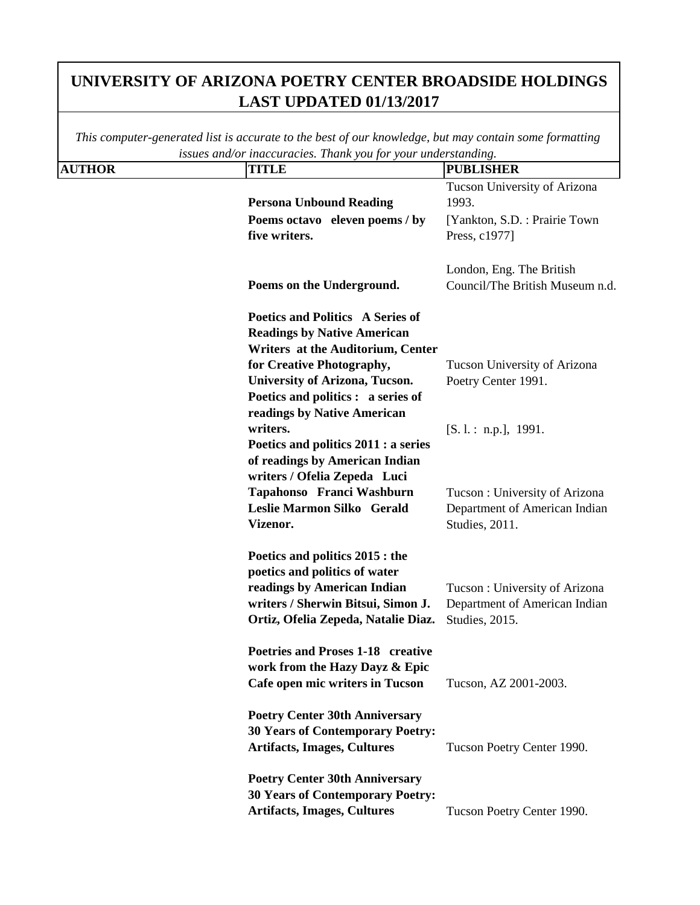| This computer-generated list is accurate to the best of our knowledge, but may contain some formatting<br>issues and/or inaccuracies. Thank you for your understanding. |                                                                                                                                                                                                                                                 |                                                                                                          |
|-------------------------------------------------------------------------------------------------------------------------------------------------------------------------|-------------------------------------------------------------------------------------------------------------------------------------------------------------------------------------------------------------------------------------------------|----------------------------------------------------------------------------------------------------------|
| <b>AUTHOR</b>                                                                                                                                                           | <b>TITLE</b>                                                                                                                                                                                                                                    | <b>PUBLISHER</b>                                                                                         |
|                                                                                                                                                                         | <b>Persona Unbound Reading</b><br>Poems octavo eleven poems / by<br>five writers.                                                                                                                                                               | Tucson University of Arizona<br>1993.<br>[Yankton, S.D.: Prairie Town]<br>Press, c1977]                  |
|                                                                                                                                                                         | Poems on the Underground.                                                                                                                                                                                                                       | London, Eng. The British<br>Council/The British Museum n.d.                                              |
|                                                                                                                                                                         | Poetics and Politics A Series of<br><b>Readings by Native American</b><br>Writers at the Auditorium, Center<br>for Creative Photography,<br>University of Arizona, Tucson.<br>Poetics and politics : a series of<br>readings by Native American | Tucson University of Arizona<br>Poetry Center 1991.                                                      |
|                                                                                                                                                                         | writers.<br>Poetics and politics 2011 : a series<br>of readings by American Indian<br>writers / Ofelia Zepeda Luci<br>Tapahonso Franci Washburn<br>Leslie Marmon Silko Gerald<br>Vizenor.                                                       | [S. 1.: n.p.], 1991.<br>Tucson: University of Arizona<br>Department of American Indian<br>Studies, 2011. |
|                                                                                                                                                                         | Poetics and politics 2015 : the<br>poetics and politics of water<br>readings by American Indian<br>writers / Sherwin Bitsui, Simon J.<br>Ortiz, Ofelia Zepeda, Natalie Diaz.                                                                    | Tucson: University of Arizona<br>Department of American Indian<br>Studies, 2015.                         |
|                                                                                                                                                                         | Poetries and Proses 1-18 creative<br>work from the Hazy Dayz & Epic<br>Cafe open mic writers in Tucson                                                                                                                                          | Tucson, AZ 2001-2003.                                                                                    |
|                                                                                                                                                                         | <b>Poetry Center 30th Anniversary</b><br><b>30 Years of Contemporary Poetry:</b><br><b>Artifacts, Images, Cultures</b>                                                                                                                          | Tucson Poetry Center 1990.                                                                               |
|                                                                                                                                                                         | <b>Poetry Center 30th Anniversary</b><br><b>30 Years of Contemporary Poetry:</b><br><b>Artifacts, Images, Cultures</b>                                                                                                                          | Tucson Poetry Center 1990.                                                                               |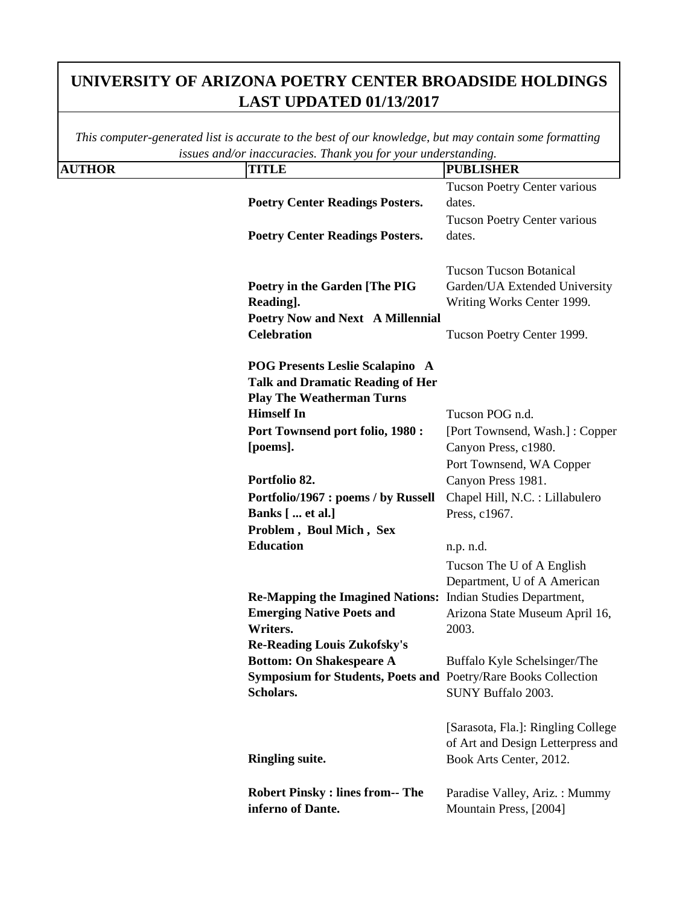|               | issues ana/or maccuracies. Thank you for your undersidiating.  |                                     |
|---------------|----------------------------------------------------------------|-------------------------------------|
| <b>AUTHOR</b> | <b>TITLE</b>                                                   | <b>PUBLISHER</b>                    |
|               |                                                                | <b>Tucson Poetry Center various</b> |
|               | <b>Poetry Center Readings Posters.</b>                         | dates.                              |
|               |                                                                | <b>Tucson Poetry Center various</b> |
|               | <b>Poetry Center Readings Posters.</b>                         | dates.                              |
|               |                                                                |                                     |
|               |                                                                | <b>Tucson Tucson Botanical</b>      |
|               | Poetry in the Garden [The PIG                                  | Garden/UA Extended University       |
|               | Reading].                                                      | Writing Works Center 1999.          |
|               | Poetry Now and Next A Millennial                               |                                     |
|               | <b>Celebration</b>                                             | Tucson Poetry Center 1999.          |
|               |                                                                |                                     |
|               | <b>POG Presents Leslie Scalapino A</b>                         |                                     |
|               | <b>Talk and Dramatic Reading of Her</b>                        |                                     |
|               | <b>Play The Weatherman Turns</b>                               |                                     |
|               | <b>Himself In</b>                                              | Tucson POG n.d.                     |
|               | Port Townsend port folio, 1980 :                               | [Port Townsend, Wash.]: Copper      |
|               | [poems].                                                       | Canyon Press, c1980.                |
|               |                                                                | Port Townsend, WA Copper            |
|               | Portfolio 82.                                                  | Canyon Press 1981.                  |
|               | Portfolio/1967 : poems / by Russell                            | Chapel Hill, N.C. : Lillabulero     |
|               | Banks [  et al.]                                               | Press, c1967.                       |
|               | Problem, Boul Mich, Sex                                        |                                     |
|               | <b>Education</b>                                               | n.p. n.d.                           |
|               |                                                                | Tucson The U of A English           |
|               |                                                                | Department, U of A American         |
|               | Re-Mapping the Imagined Nations: Indian Studies Department,    |                                     |
|               | <b>Emerging Native Poets and</b>                               | Arizona State Museum April 16,      |
|               | Writers.                                                       | 2003.                               |
|               | <b>Re-Reading Louis Zukofsky's</b>                             |                                     |
|               | <b>Bottom: On Shakespeare A</b>                                | Buffalo Kyle Schelsinger/The        |
|               | Symposium for Students, Poets and Poetry/Rare Books Collection |                                     |
|               | Scholars.                                                      | SUNY Buffalo 2003.                  |
|               |                                                                |                                     |
|               |                                                                | [Sarasota, Fla.]: Ringling College  |
|               |                                                                | of Art and Design Letterpress and   |
|               | <b>Ringling suite.</b>                                         | Book Arts Center, 2012.             |
|               |                                                                |                                     |
|               | <b>Robert Pinsky: lines from-- The</b>                         | Paradise Valley, Ariz.: Mummy       |
|               | inferno of Dante.                                              | Mountain Press, [2004]              |
|               |                                                                |                                     |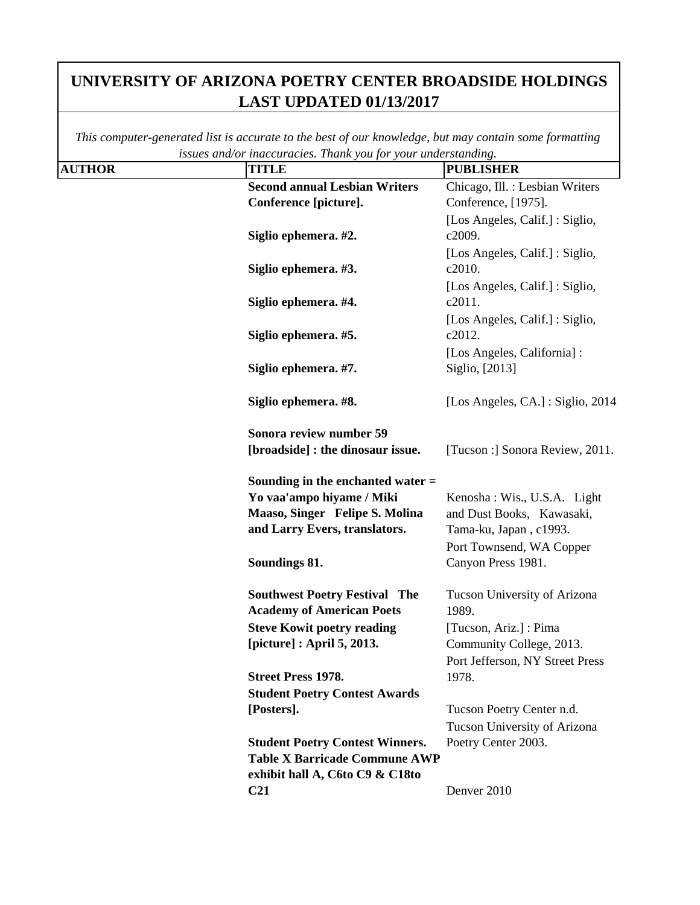|               | issues ana/or maccuracies. Thank you for your understanding. |                                   |
|---------------|--------------------------------------------------------------|-----------------------------------|
| <b>AUTHOR</b> | <b>TITLE</b>                                                 | <b>PUBLISHER</b>                  |
|               | <b>Second annual Lesbian Writers</b>                         | Chicago, Ill. : Lesbian Writers   |
|               | Conference [picture].                                        | Conference, [1975].               |
|               |                                                              | [Los Angeles, Calif.]: Siglio,    |
|               | Siglio ephemera. #2.                                         | c2009.                            |
|               |                                                              | [Los Angeles, Calif.] : Siglio,   |
|               | Siglio ephemera. #3.                                         | c2010.                            |
|               |                                                              | [Los Angeles, Calif.] : Siglio,   |
|               | Siglio ephemera. #4.                                         | c2011.                            |
|               |                                                              | [Los Angeles, Calif.] : Siglio,   |
|               | Siglio ephemera. #5.                                         | c2012.                            |
|               |                                                              | [Los Angeles, California] :       |
|               | Siglio ephemera. #7.                                         | Siglio, [2013]                    |
|               |                                                              |                                   |
|               | Siglio ephemera. #8.                                         | [Los Angeles, CA.] : Siglio, 2014 |
|               |                                                              |                                   |
|               | Sonora review number 59                                      |                                   |
|               | [broadside] : the dinosaur issue.                            | [Tucson :] Sonora Review, 2011.   |
|               |                                                              |                                   |
|               | Sounding in the enchanted water $=$                          |                                   |
|               | Yo vaa'ampo hiyame / Miki                                    | Kenosha: Wis., U.S.A. Light       |
|               | Maaso, Singer Felipe S. Molina                               | and Dust Books, Kawasaki,         |
|               | and Larry Evers, translators.                                | Tama-ku, Japan, c1993.            |
|               |                                                              | Port Townsend, WA Copper          |
|               | Soundings 81.                                                | Canyon Press 1981.                |
|               |                                                              |                                   |
|               | <b>Southwest Poetry Festival The</b>                         | Tucson University of Arizona      |
|               | <b>Academy of American Poets</b>                             | 1989.                             |
|               | <b>Steve Kowit poetry reading</b>                            | [Tucson, Ariz.] : Pima            |
|               | [picture] : April 5, 2013.                                   | Community College, 2013.          |
|               |                                                              | Port Jefferson, NY Street Press   |
|               | <b>Street Press 1978.</b>                                    | 1978.                             |
|               | <b>Student Poetry Contest Awards</b>                         |                                   |
|               | [Posters].                                                   | Tucson Poetry Center n.d.         |
|               |                                                              | Tucson University of Arizona      |
|               | <b>Student Poetry Contest Winners.</b>                       | Poetry Center 2003.               |
|               | <b>Table X Barricade Commune AWP</b>                         |                                   |
|               | exhibit hall A, C6to C9 & C18to                              |                                   |
|               | C <sub>21</sub>                                              | Denver 2010                       |
|               |                                                              |                                   |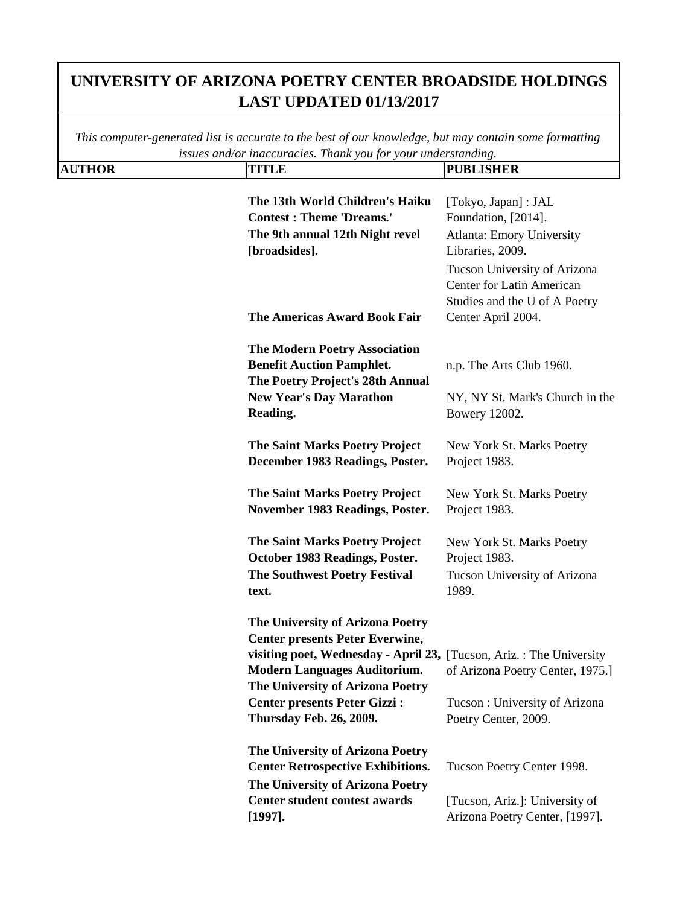**AUTHOR TITLE PUBLISHER** *This computer-generated list is accurate to the best of our knowledge, but may contain some formatting issues and/or inaccuracies. Thank you for your understanding.* **The 13th World Children's Haiku Contest : Theme 'Dreams.'** [Tokyo, Japan] : JAL Foundation, [2014]. **The 9th annual 12th Night revel [broadsides].** Atlanta: Emory University Libraries, 2009. **The Americas Award Book Fair**  Tucson University of Arizona Center for Latin American Studies and the U of A Poetry Center April 2004. **The Modern Poetry Association Benefit Auction Pamphlet.** n.p. The Arts Club 1960. **The Poetry Project's 28th Annual New Year's Day Marathon Reading.** NY, NY St. Mark's Church in the Bowery 12002. **The Saint Marks Poetry Project December 1983 Readings, Poster.** New York St. Marks Poetry Project 1983. **The Saint Marks Poetry Project November 1983 Readings, Poster.** New York St. Marks Poetry Project 1983. **The Saint Marks Poetry Project October 1983 Readings, Poster.** New York St. Marks Poetry Project 1983. **The Southwest Poetry Festival text.** Tucson University of Arizona 1989. **The University of Arizona Poetry Center presents Peter Everwine, visiting poet, Wednesday - April 23,**  [Tucson, Ariz. : The University **Modern Languages Auditorium.** of Arizona Poetry Center, 1975.] **The University of Arizona Poetry Center presents Peter Gizzi : Thursday Feb. 26, 2009.** Tucson : University of Arizona Poetry Center, 2009. **The University of Arizona Poetry Center Retrospective Exhibitions.** Tucson Poetry Center 1998. **The University of Arizona Poetry Center student contest awards [1997].** [Tucson, Ariz.]: University of Arizona Poetry Center, [1997].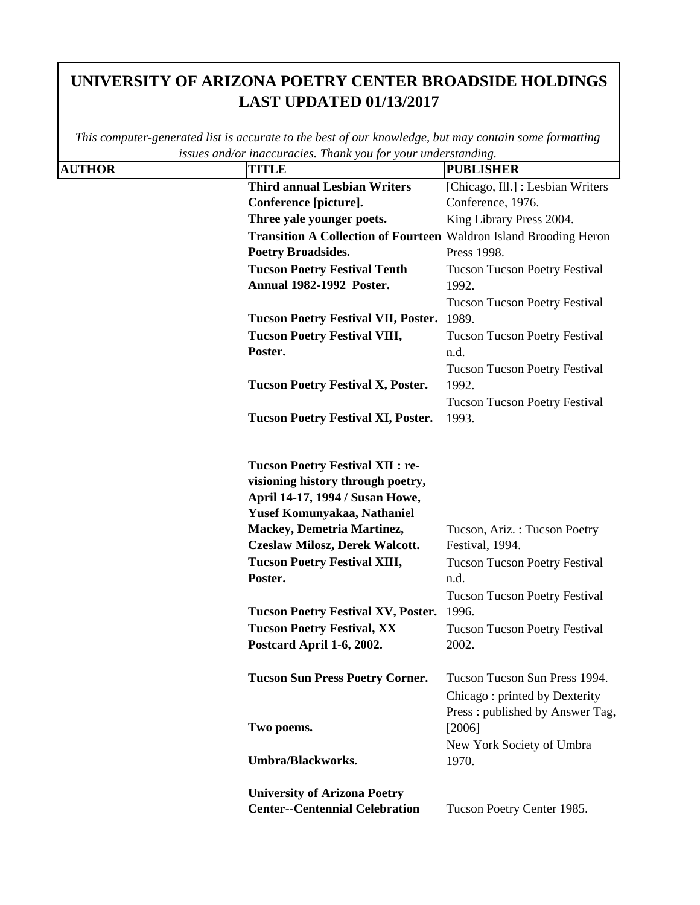|               | issues ana/or maccuracies. Thank you for your undersidiating.                                                                                                                                                                                                                                                                                                                         |                                                                                                                                                                                                   |
|---------------|---------------------------------------------------------------------------------------------------------------------------------------------------------------------------------------------------------------------------------------------------------------------------------------------------------------------------------------------------------------------------------------|---------------------------------------------------------------------------------------------------------------------------------------------------------------------------------------------------|
| <b>AUTHOR</b> | <b>TITLE</b>                                                                                                                                                                                                                                                                                                                                                                          | <b>PUBLISHER</b>                                                                                                                                                                                  |
|               | <b>Third annual Lesbian Writers</b>                                                                                                                                                                                                                                                                                                                                                   | [Chicago, Ill.] : Lesbian Writers                                                                                                                                                                 |
|               | Conference [picture].                                                                                                                                                                                                                                                                                                                                                                 | Conference, 1976.                                                                                                                                                                                 |
|               | Three yale younger poets.                                                                                                                                                                                                                                                                                                                                                             | King Library Press 2004.                                                                                                                                                                          |
|               | Transition A Collection of Fourteen Waldron Island Brooding Heron                                                                                                                                                                                                                                                                                                                     |                                                                                                                                                                                                   |
|               | <b>Poetry Broadsides.</b>                                                                                                                                                                                                                                                                                                                                                             | Press 1998.                                                                                                                                                                                       |
|               | <b>Tucson Poetry Festival Tenth</b><br><b>Annual 1982-1992 Poster.</b>                                                                                                                                                                                                                                                                                                                | <b>Tucson Tucson Poetry Festival</b><br>1992.                                                                                                                                                     |
|               |                                                                                                                                                                                                                                                                                                                                                                                       | <b>Tucson Tucson Poetry Festival</b>                                                                                                                                                              |
|               | <b>Tucson Poetry Festival VII, Poster.</b>                                                                                                                                                                                                                                                                                                                                            | 1989.                                                                                                                                                                                             |
|               | <b>Tucson Poetry Festival VIII,</b>                                                                                                                                                                                                                                                                                                                                                   | <b>Tucson Tucson Poetry Festival</b>                                                                                                                                                              |
|               | Poster.                                                                                                                                                                                                                                                                                                                                                                               | n.d.                                                                                                                                                                                              |
|               | <b>Tucson Poetry Festival X, Poster.</b>                                                                                                                                                                                                                                                                                                                                              | <b>Tucson Tucson Poetry Festival</b><br>1992.                                                                                                                                                     |
|               | <b>Tucson Poetry Festival XI, Poster.</b>                                                                                                                                                                                                                                                                                                                                             | <b>Tucson Tucson Poetry Festival</b><br>1993.                                                                                                                                                     |
|               | <b>Tucson Poetry Festival XII: re-</b><br>visioning history through poetry,<br>April 14-17, 1994 / Susan Howe,<br>Yusef Komunyakaa, Nathaniel<br>Mackey, Demetria Martinez,<br><b>Czeslaw Milosz, Derek Walcott.</b><br><b>Tucson Poetry Festival XIII,</b><br>Poster.<br><b>Tucson Poetry Festival XV, Poster.</b><br><b>Tucson Poetry Festival, XX</b><br>Postcard April 1-6, 2002. | Tucson, Ariz.: Tucson Poetry<br>Festival, 1994.<br><b>Tucson Tucson Poetry Festival</b><br>n.d.<br><b>Tucson Tucson Poetry Festival</b><br>1996.<br><b>Tucson Tucson Poetry Festival</b><br>2002. |
|               | <b>Tucson Sun Press Poetry Corner.</b>                                                                                                                                                                                                                                                                                                                                                | Tucson Tucson Sun Press 1994.<br>Chicago: printed by Dexterity<br>Press: published by Answer Tag,                                                                                                 |
|               | Two poems.                                                                                                                                                                                                                                                                                                                                                                            | [2006]<br>New York Society of Umbra                                                                                                                                                               |
|               | <b>Umbra/Blackworks.</b>                                                                                                                                                                                                                                                                                                                                                              | 1970.                                                                                                                                                                                             |
|               | <b>University of Arizona Poetry</b>                                                                                                                                                                                                                                                                                                                                                   |                                                                                                                                                                                                   |
|               | <b>Center--Centennial Celebration</b>                                                                                                                                                                                                                                                                                                                                                 | Tucson Poetry Center 1985.                                                                                                                                                                        |
|               |                                                                                                                                                                                                                                                                                                                                                                                       |                                                                                                                                                                                                   |